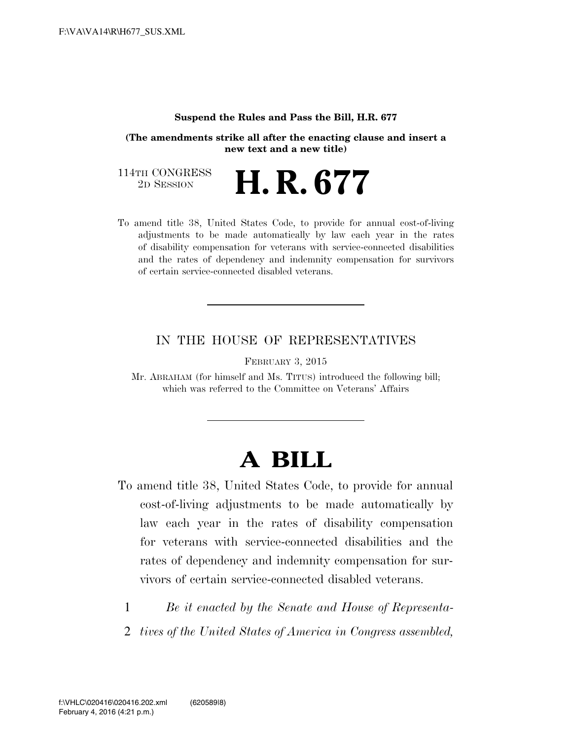#### **Suspend the Rules and Pass the Bill, H.R. 677**

**(The amendments strike all after the enacting clause and insert a new text and a new title)** 

114TH CONGRESS<br>2D SESSION 2D SESSION **H. R. 677** 

To amend title 38, United States Code, to provide for annual cost-of-living adjustments to be made automatically by law each year in the rates of disability compensation for veterans with service-connected disabilities and the rates of dependency and indemnity compensation for survivors of certain service-connected disabled veterans.

## IN THE HOUSE OF REPRESENTATIVES

FEBRUARY 3, 2015

Mr. ABRAHAM (for himself and Ms. TITUS) introduced the following bill; which was referred to the Committee on Veterans' Affairs

# **A BILL**

- To amend title 38, United States Code, to provide for annual cost-of-living adjustments to be made automatically by law each year in the rates of disability compensation for veterans with service-connected disabilities and the rates of dependency and indemnity compensation for survivors of certain service-connected disabled veterans.
	- 1 *Be it enacted by the Senate and House of Representa-*
	- 2 *tives of the United States of America in Congress assembled,*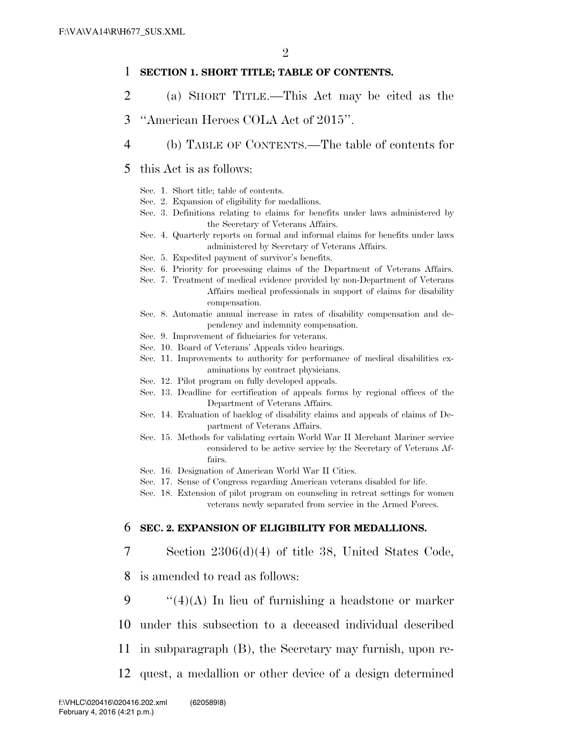#### 1 **SECTION 1. SHORT TITLE; TABLE OF CONTENTS.**

- 2 (a) SHORT TITLE.—This Act may be cited as the
- 3 ''American Heroes COLA Act of 2015''.
- 4 (b) TABLE OF CONTENTS.—The table of contents for

#### 5 this Act is as follows:

- Sec. 1. Short title; table of contents.
- Sec. 2. Expansion of eligibility for medallions.
- Sec. 3. Definitions relating to claims for benefits under laws administered by the Secretary of Veterans Affairs.
- Sec. 4. Quarterly reports on formal and informal claims for benefits under laws administered by Secretary of Veterans Affairs.
- Sec. 5. Expedited payment of survivor's benefits.
- Sec. 6. Priority for processing claims of the Department of Veterans Affairs.
- Sec. 7. Treatment of medical evidence provided by non-Department of Veterans Affairs medical professionals in support of claims for disability compensation.
- Sec. 8. Automatic annual increase in rates of disability compensation and dependency and indemnity compensation.
- Sec. 9. Improvement of fiduciaries for veterans.
- Sec. 10. Board of Veterans' Appeals video hearings.
- Sec. 11. Improvements to authority for performance of medical disabilities examinations by contract physicians.
- Sec. 12. Pilot program on fully developed appeals.
- Sec. 13. Deadline for certification of appeals forms by regional offices of the Department of Veterans Affairs.
- Sec. 14. Evaluation of backlog of disability claims and appeals of claims of Department of Veterans Affairs.
- Sec. 15. Methods for validating certain World War II Merchant Mariner service considered to be active service by the Secretary of Veterans Affairs.
- Sec. 16. Designation of American World War II Cities.
- Sec. 17. Sense of Congress regarding American veterans disabled for life.
- Sec. 18. Extension of pilot program on counseling in retreat settings for women veterans newly separated from service in the Armed Forces.

#### 6 **SEC. 2. EXPANSION OF ELIGIBILITY FOR MEDALLIONS.**

- 7 Section 2306(d)(4) of title 38, United States Code,
- 8 is amended to read as follows:
- 9  $\cdot$  "(4)(A) In lieu of furnishing a headstone or marker
- 10 under this subsection to a deceased individual described
- 11 in subparagraph (B), the Secretary may furnish, upon re-
- 12 quest, a medallion or other device of a design determined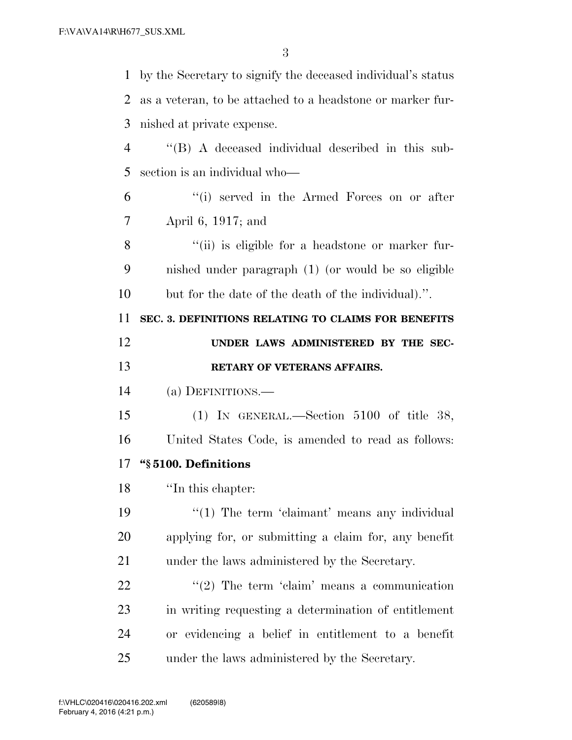| $\mathbf{1}$   | by the Secretary to signify the deceased individual's status |
|----------------|--------------------------------------------------------------|
| 2              | as a veteran, to be attached to a headstone or marker fur-   |
| 3              | nished at private expense.                                   |
| $\overline{4}$ | $\lq\lq$ $(A)$ A deceased individual described in this sub-  |
| 5              | section is an individual who-                                |
| 6              | "(i) served in the Armed Forces on or after                  |
| 7              | April 6, 1917; and                                           |
| 8              | "(ii) is eligible for a headstone or marker fur-             |
| 9              | nished under paragraph (1) (or would be so eligible          |
| 10             | but for the date of the death of the individual).".          |
| 11             | SEC. 3. DEFINITIONS RELATING TO CLAIMS FOR BENEFITS          |
| 12             | UNDER LAWS ADMINISTERED BY THE SEC-                          |
|                |                                                              |
| 13             | RETARY OF VETERANS AFFAIRS.                                  |
| 14             | (a) DEFINITIONS.—                                            |
| 15             | (1) IN GENERAL.—Section $5100$ of title 38,                  |
| 16             | United States Code, is amended to read as follows:           |
| 17             | "§5100. Definitions                                          |
| 18             | "In this chapter:                                            |
| 19             | $\lq(1)$ The term 'claimant' means any individual            |
| 20             | applying for, or submitting a claim for, any benefit         |
| 21             | under the laws administered by the Secretary.                |
| 22             | $\lq(2)$ The term 'claim' means a communication              |
| 23             | in writing requesting a determination of entitlement         |
| 24             | or evidencing a belief in entitlement to a benefit           |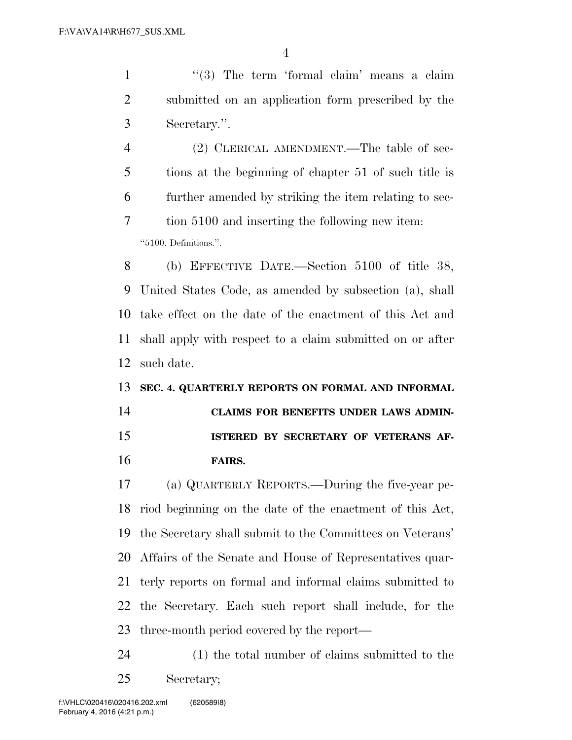1 ''(3) The term 'formal claim' means a claim submitted on an application form prescribed by the Secretary.''.

 (2) CLERICAL AMENDMENT.—The table of sec- tions at the beginning of chapter 51 of such title is further amended by striking the item relating to sec- tion 5100 and inserting the following new item: ''5100. Definitions.''.

 (b) EFFECTIVE DATE.—Section 5100 of title 38, United States Code, as amended by subsection (a), shall take effect on the date of the enactment of this Act and shall apply with respect to a claim submitted on or after such date.

#### **SEC. 4. QUARTERLY REPORTS ON FORMAL AND INFORMAL**

 **CLAIMS FOR BENEFITS UNDER LAWS ADMIN- ISTERED BY SECRETARY OF VETERANS AF-FAIRS.** 

 (a) QUARTERLY REPORTS.—During the five-year pe- riod beginning on the date of the enactment of this Act, the Secretary shall submit to the Committees on Veterans' Affairs of the Senate and House of Representatives quar- terly reports on formal and informal claims submitted to the Secretary. Each such report shall include, for the three-month period covered by the report—

 (1) the total number of claims submitted to the Secretary;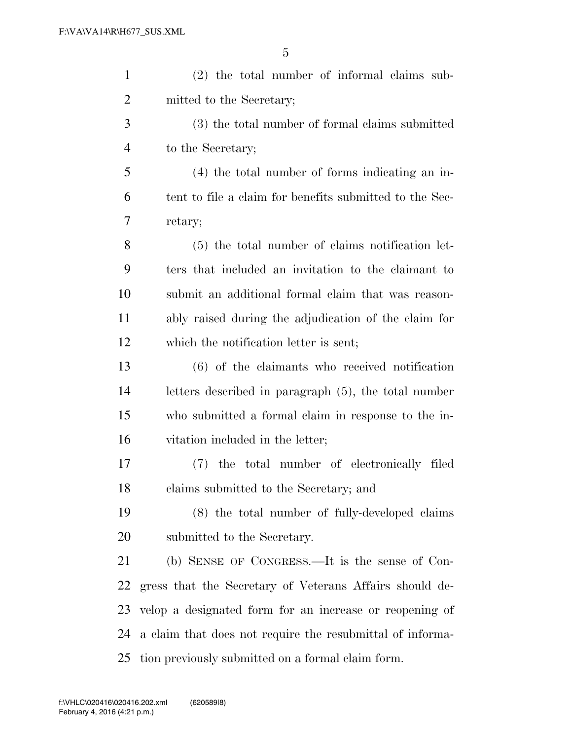| $\mathbf{1}$   | $(2)$ the total number of informal claims sub-            |
|----------------|-----------------------------------------------------------|
| $\overline{2}$ | mitted to the Secretary;                                  |
| 3              | (3) the total number of formal claims submitted           |
| 4              | to the Secretary;                                         |
| 5              | (4) the total number of forms indicating an in-           |
| 6              | tent to file a claim for benefits submitted to the Sec-   |
| 7              | retary;                                                   |
| 8              | (5) the total number of claims notification let-          |
| 9              | ters that included an invitation to the claimant to       |
| 10             | submit an additional formal claim that was reason-        |
| 11             | ably raised during the adjudication of the claim for      |
| 12             | which the notification letter is sent;                    |
| 13             | $(6)$ of the claimants who received notification          |
| 14             | letters described in paragraph (5), the total number      |
| 15             | who submitted a formal claim in response to the in-       |
| 16             | vitation included in the letter;                          |
| 17             | the total number of electronically filed<br>(7)           |
| 18             | claims submitted to the Secretary; and                    |
| 19             | (8) the total number of fully-developed claims            |
| <b>20</b>      | submitted to the Secretary.                               |
| 21             | (b) SENSE OF CONGRESS.—It is the sense of Con-            |
| 22             | gress that the Secretary of Veterans Affairs should de-   |
| 23             | velop a designated form for an increase or reopening of   |
| 24             | a claim that does not require the resubmittal of informa- |
| 25             | tion previously submitted on a formal claim form.         |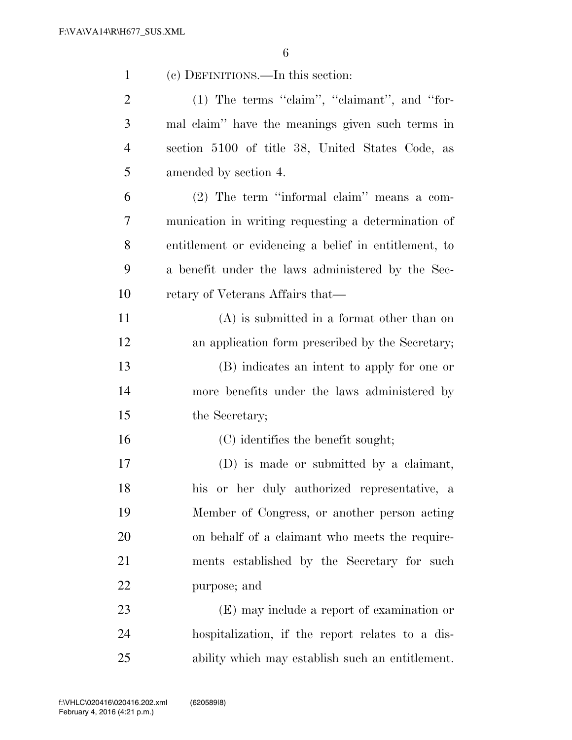| $\mathbf{1}$   | (c) DEFINITIONS.—In this section:                     |
|----------------|-------------------------------------------------------|
| $\overline{2}$ | (1) The terms "claim", "claimant", and "for-          |
| 3              | mal claim" have the meanings given such terms in      |
| 4              | section 5100 of title 38, United States Code, as      |
| 5              | amended by section 4.                                 |
| 6              | $(2)$ The term "informal claim" means a com-          |
| 7              | munication in writing requesting a determination of   |
| 8              | entitlement or evidencing a belief in entitlement, to |
| 9              | a benefit under the laws administered by the Sec-     |
| 10             | retary of Veterans Affairs that—                      |
| 11             | $(A)$ is submitted in a format other than on          |
| 12             | an application form prescribed by the Secretary;      |
| 13             | (B) indicates an intent to apply for one or           |
| 14             | more benefits under the laws administered by          |
| 15             | the Secretary;                                        |
| 16             | (C) identifies the benefit sought;                    |
| 17             | (D) is made or submitted by a claimant,               |
| 18             | his or her duly authorized representative, a          |
| 19             | Member of Congress, or another person acting          |
| 20             | on behalf of a claimant who meets the require-        |
| 21             | ments established by the Secretary for such           |
| 22             | purpose; and                                          |
| 23             | (E) may include a report of examination or            |
| 24             | hospitalization, if the report relates to a dis-      |
| 25             | ability which may establish such an entitlement.      |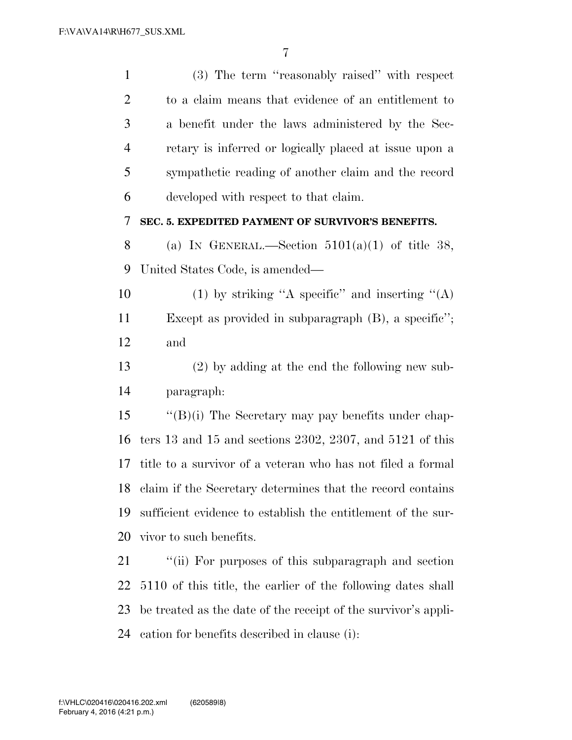| $\mathbf{1}$   | (3) The term "reasonably raised" with respect                  |
|----------------|----------------------------------------------------------------|
| $\overline{2}$ | to a claim means that evidence of an entitlement to            |
| 3              | a benefit under the laws administered by the Sec-              |
| $\overline{4}$ | retary is inferred or logically placed at issue upon a         |
| 5              | sympathetic reading of another claim and the record            |
| 6              | developed with respect to that claim.                          |
| 7              | SEC. 5. EXPEDITED PAYMENT OF SURVIVOR'S BENEFITS.              |
| 8              | (a) IN GENERAL.—Section $5101(a)(1)$ of title 38,              |
| 9              | United States Code, is amended—                                |
| 10             | (1) by striking "A specific" and inserting " $(A)$             |
| 11             | Except as provided in subparagraph $(B)$ , a specific";        |
| 12             | and                                                            |
| 13             | $(2)$ by adding at the end the following new sub-              |
| 14             | paragraph:                                                     |
| 15             | $\lq\lq(B)(i)$ The Secretary may pay benefits under chap-      |
| 16             | ters 13 and 15 and sections 2302, 2307, and 5121 of this       |
| 17             | title to a survivor of a veteran who has not filed a formal    |
|                | 18 claim if the Secretary determines that the record contains  |
| 19             | sufficient evidence to establish the entitlement of the sur-   |
| 20             | vivor to such benefits.                                        |
| 21             | "(ii) For purposes of this subparagraph and section            |
| 22             | 5110 of this title, the earlier of the following dates shall   |
| 23             | be treated as the date of the receipt of the survivor's appli- |
|                |                                                                |

cation for benefits described in clause (i):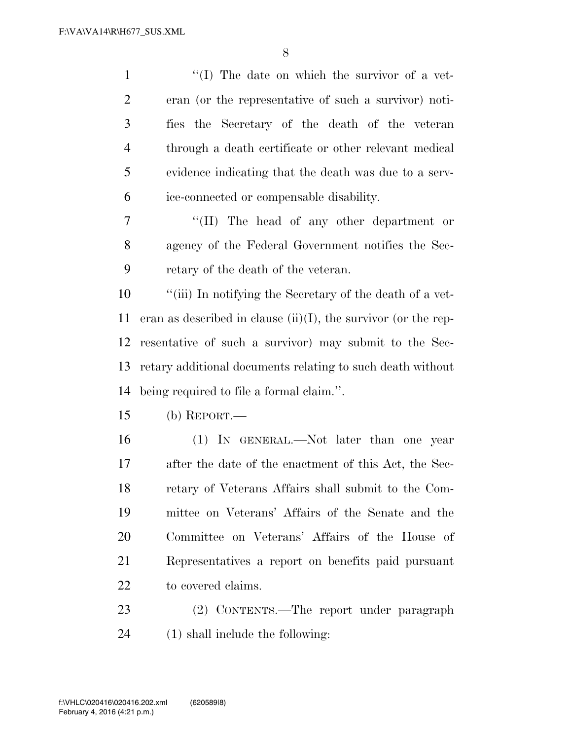| $\mathbf{1}$   | $\lq\lq$ . The date on which the survivor of a vet-               |
|----------------|-------------------------------------------------------------------|
| $\overline{2}$ | eran (or the representative of such a survivor) noti-             |
| 3              | fies the Secretary of the death of the veteran                    |
| $\overline{4}$ | through a death certificate or other relevant medical             |
| 5              | evidence indicating that the death was due to a serv-             |
| 6              | ice-connected or compensable disability.                          |
| 7              | "(II) The head of any other department or                         |
| 8              | agency of the Federal Government notifies the Sec-                |
| 9              | retary of the death of the veteran.                               |
| 10             | "(iii) In notifying the Secretary of the death of a vet-          |
| 11             | eran as described in clause $(ii)(I)$ , the survivor (or the rep- |
| 12             | resentative of such a survivor) may submit to the Sec-            |
| 13             | retary additional documents relating to such death without        |
| 14             | being required to file a formal claim.".                          |
| 15             | (b) REPORT.—                                                      |
| 16             | (1) IN GENERAL.—Not later than one year                           |
| 17             | after the date of the enactment of this Act, the Sec-             |
| 18             | retary of Veterans Affairs shall submit to the Com-               |
| 19             | mittee on Veterans' Affairs of the Senate and the                 |
| 20             | Committee on Veterans' Affairs of the House of                    |
| 21             | Representatives a report on benefits paid pursuant                |
| 22             | to covered claims.                                                |
| 23             | (2) CONTENTS.—The report under paragraph                          |

(1) shall include the following: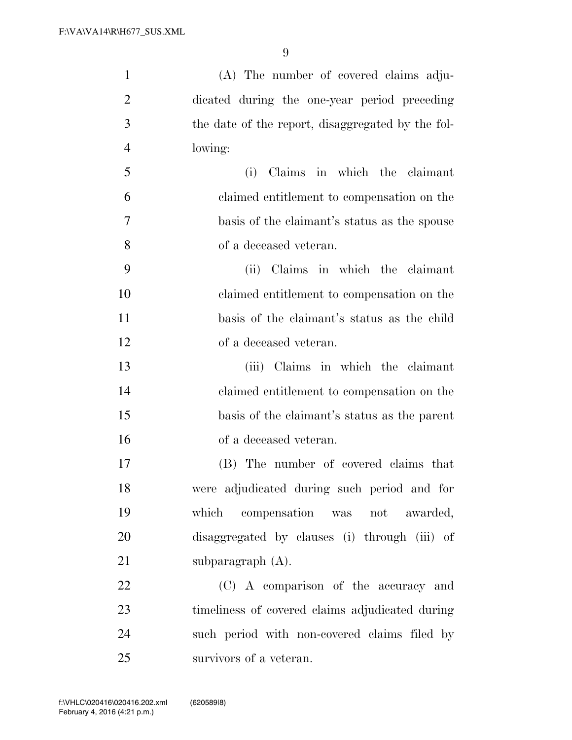| $\mathbf{1}$   | (A) The number of covered claims adju-            |
|----------------|---------------------------------------------------|
| $\overline{2}$ | dicated during the one-year period preceding      |
| 3              | the date of the report, disaggregated by the fol- |
| $\overline{4}$ | lowing:                                           |
| 5              | Claims in which the claimant<br>(i)               |
| 6              | claimed entitlement to compensation on the        |
| 7              | basis of the claimant's status as the spouse      |
| 8              | of a deceased veteran.                            |
| 9              | (ii) Claims in which the claimant                 |
| 10             | claimed entitlement to compensation on the        |
| 11             | basis of the claimant's status as the child       |
| 12             | of a deceased veteran.                            |
| 13             | (iii) Claims in which the claimant                |
| 14             | claimed entitlement to compensation on the        |
| 15             | basis of the claimant's status as the parent      |
| 16             | of a deceased veteran.                            |
| 17             | (B) The number of covered claims that             |
| 18             | were adjudicated during such period and for       |
| 19             | which compensation was not awarded,               |
| 20             | disaggregated by clauses (i) through (iii) of     |
| 21             | subparagraph $(A)$ .                              |
| 22             | (C) A comparison of the accuracy and              |
| 23             | timeliness of covered claims adjudicated during   |
| 24             | such period with non-covered claims filed by      |
| 25             | survivors of a veteran.                           |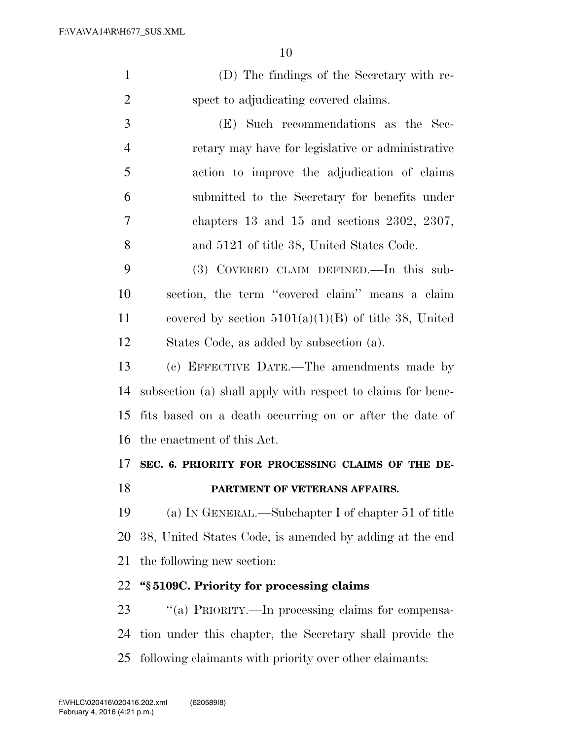| $\mathbf{1}$   | (D) The findings of the Secretary with re-                  |
|----------------|-------------------------------------------------------------|
| $\overline{2}$ | spect to adjudicating covered claims.                       |
| 3              | (E) Such recommendations as the Sec-                        |
| 4              | retary may have for legislative or administrative           |
| 5              | action to improve the adjudication of claims                |
| 6              | submitted to the Secretary for benefits under               |
| 7              | chapters $13$ and $15$ and sections $2302, 2307,$           |
| 8              | and 5121 of title 38, United States Code.                   |
| 9              | (3) COVERED CLAIM DEFINED.—In this sub-                     |
| 10             | section, the term "covered claim" means a claim             |
| 11             | covered by section $5101(a)(1)(B)$ of title 38, United      |
| 12             | States Code, as added by subsection (a).                    |
| 13             | (c) EFFECTIVE DATE.—The amendments made by                  |
| 14             | subsection (a) shall apply with respect to claims for bene- |
| 15             | fits based on a death occurring on or after the date of     |
| 16             | the enactment of this Act.                                  |
| 17             | SEC. 6. PRIORITY FOR PROCESSING CLAIMS OF THE DE-           |
| 18             | PARTMENT OF VETERANS AFFAIRS.                               |
| 19             | (a) IN GENERAL.—Subchapter I of chapter 51 of title         |
| 20             | 38, United States Code, is amended by adding at the end     |
| 21             | the following new section:                                  |

## **''§ 5109C. Priority for processing claims**

23 "(a) PRIORITY.—In processing claims for compensa- tion under this chapter, the Secretary shall provide the following claimants with priority over other claimants: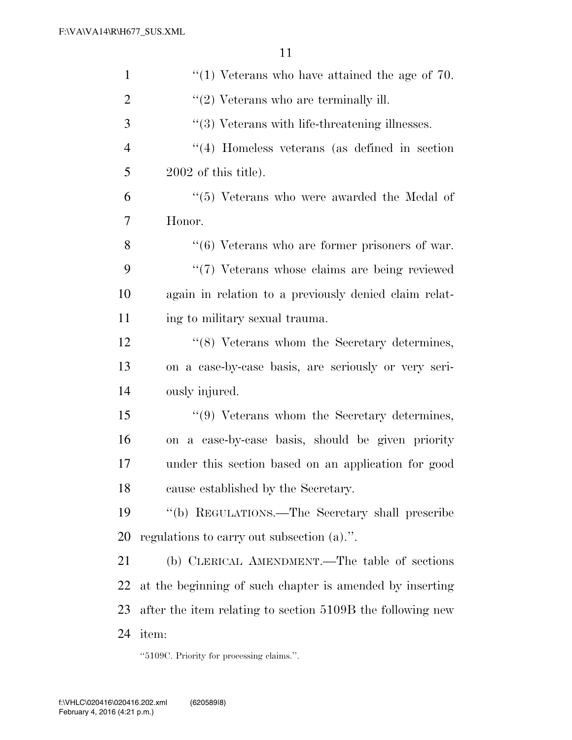| $\mathbf{1}$   | $\lq(1)$ Veterans who have attained the age of 70.         |
|----------------|------------------------------------------------------------|
| $\overline{2}$ | $\lq(2)$ Veterans who are terminally ill.                  |
| 3              | $\lq(3)$ Veterans with life-threatening illnesses.         |
| $\overline{4}$ | $\lq(4)$ Homeless veterans (as defined in section)         |
| 5              | $2002$ of this title).                                     |
| 6              | $\lq(5)$ Veterans who were awarded the Medal of            |
| 7              | Honor.                                                     |
| 8              | $``(6)$ Veterans who are former prisoners of war.          |
| 9              | "(7) Veterans whose claims are being reviewed              |
| 10             | again in relation to a previously denied claim relat-      |
| 11             | ing to military sexual trauma.                             |
| 12             | "(8) Veterans whom the Secretary determines,               |
| 13             | on a case-by-case basis, are seriously or very seri-       |
| 14             | ously injured.                                             |
| 15             | "(9) Veterans whom the Secretary determines,               |
| 16             | on a case-by-case basis, should be given priority          |
| 17             | under this section based on an application for good        |
| 18             | cause established by the Secretary.                        |
| 19             | "(b) REGULATIONS.—The Secretary shall prescribe            |
| <b>20</b>      | regulations to carry out subsection $(a)$ .".              |
| 21             | (b) CLERICAL AMENDMENT.—The table of sections              |
| 22             | at the beginning of such chapter is amended by inserting   |
| 23             | after the item relating to section 5109B the following new |
| 24             | item:                                                      |

''5109C. Priority for processing claims.''.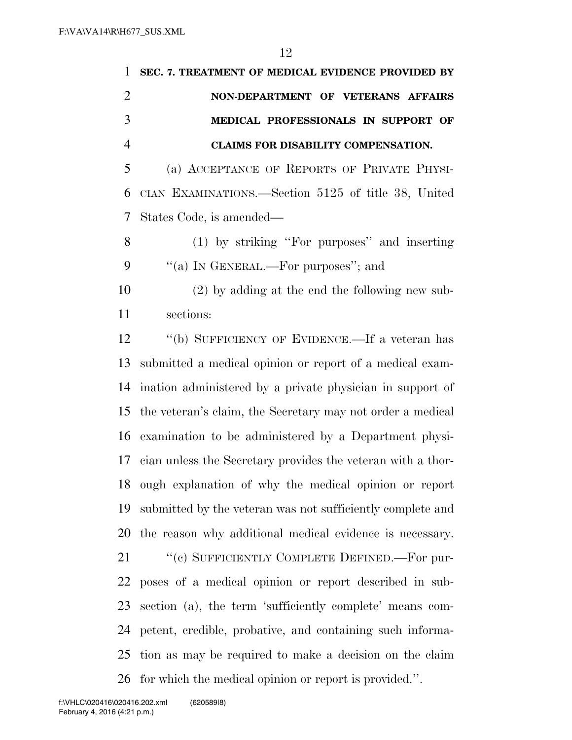| 1              | SEC. 7. TREATMENT OF MEDICAL EVIDENCE PROVIDED BY           |
|----------------|-------------------------------------------------------------|
| $\overline{2}$ | NON-DEPARTMENT OF VETERANS AFFAIRS                          |
| 3              | MEDICAL PROFESSIONALS IN SUPPORT OF                         |
| $\overline{4}$ | <b>CLAIMS FOR DISABILITY COMPENSATION.</b>                  |
| 5              | (a) ACCEPTANCE OF REPORTS OF PRIVATE PHYSI-                 |
| 6              | CIAN EXAMINATIONS.—Section 5125 of title 38, United         |
| 7              | States Code, is amended—                                    |
| 8              | (1) by striking "For purposes" and inserting                |
| 9              | "(a) IN GENERAL.—For purposes"; and                         |
| 10             | $(2)$ by adding at the end the following new sub-           |
| 11             | sections:                                                   |
| 12             | "(b) SUFFICIENCY OF EVIDENCE.—If a veteran has              |
| 13             | submitted a medical opinion or report of a medical exam-    |
| 14             | ination administered by a private physician in support of   |
| 15             | the veteran's claim, the Secretary may not order a medical  |
| 16             | examination to be administered by a Department physi-       |
| 17             | cian unless the Secretary provides the veteran with a thor- |
|                | 18 ough explanation of why the medical opinion or report    |
| 19             | submitted by the veteran was not sufficiently complete and  |
| 20             | the reason why additional medical evidence is necessary.    |
| 21             | "(c) SUFFICIENTLY COMPLETE DEFINED.—For pur-                |
| 22             | poses of a medical opinion or report described in sub-      |
| 23             | section (a), the term 'sufficiently complete' means com-    |
| 24             | petent, credible, probative, and containing such informa-   |
| 25             | tion as may be required to make a decision on the claim     |
| 26             | for which the medical opinion or report is provided.".      |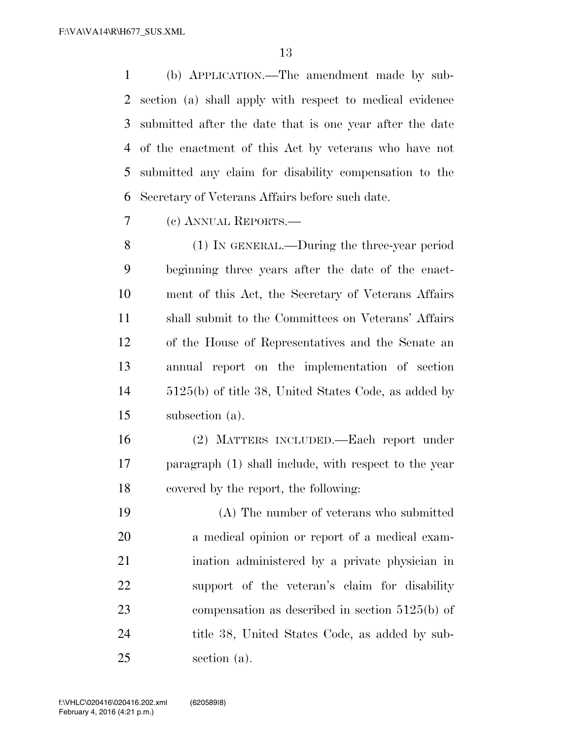(b) APPLICATION.—The amendment made by sub- section (a) shall apply with respect to medical evidence submitted after the date that is one year after the date of the enactment of this Act by veterans who have not submitted any claim for disability compensation to the Secretary of Veterans Affairs before such date.

(c) ANNUAL REPORTS.—

 (1) IN GENERAL.—During the three-year period beginning three years after the date of the enact- ment of this Act, the Secretary of Veterans Affairs shall submit to the Committees on Veterans' Affairs of the House of Representatives and the Senate an annual report on the implementation of section 5125(b) of title 38, United States Code, as added by subsection (a).

 (2) MATTERS INCLUDED.—Each report under paragraph (1) shall include, with respect to the year covered by the report, the following:

 (A) The number of veterans who submitted a medical opinion or report of a medical exam- ination administered by a private physician in support of the veteran's claim for disability compensation as described in section 5125(b) of title 38, United States Code, as added by sub-section (a).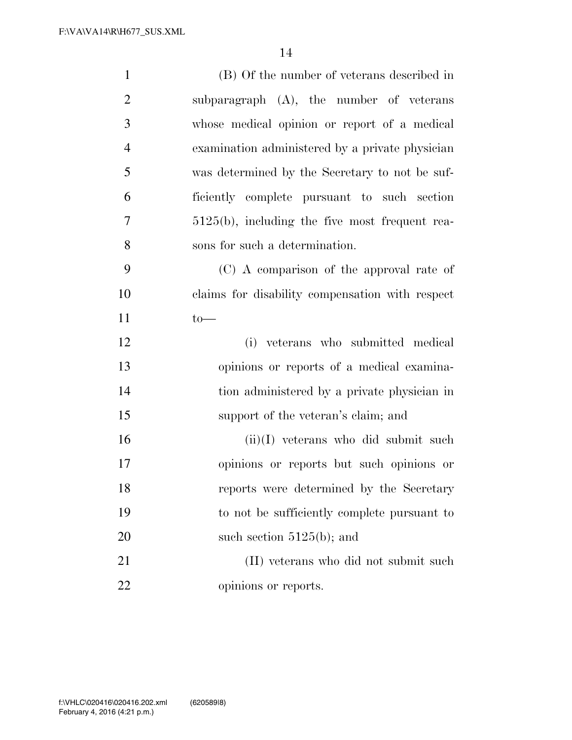| $\mathbf{1}$   | (B) Of the number of veterans described in        |
|----------------|---------------------------------------------------|
| $\overline{2}$ | subparagraph $(A)$ , the number of veterans       |
| 3              | whose medical opinion or report of a medical      |
| $\overline{4}$ | examination administered by a private physician   |
| 5              | was determined by the Secretary to not be suf-    |
| 6              | ficiently complete pursuant to such section       |
| $\overline{7}$ | $5125(b)$ , including the five most frequent rea- |
| 8              | sons for such a determination.                    |
| 9              | (C) A comparison of the approval rate of          |
| 10             | claims for disability compensation with respect   |
| 11             | $to-$                                             |
| 12             | (i) veterans who submitted medical                |
| 13             | opinions or reports of a medical examina-         |
| 14             | tion administered by a private physician in       |
| 15             | support of the veteran's claim; and               |
| 16             | $(ii)(I)$ veterans who did submit such            |
| 17             | opinions or reports but such opinions or          |
| 18             | reports were determined by the Secretary          |
| 19             | to not be sufficiently complete pursuant to       |
| 20             | such section $5125(b)$ ; and                      |
| 21             | (II) veterans who did not submit such             |
| 22             | opinions or reports.                              |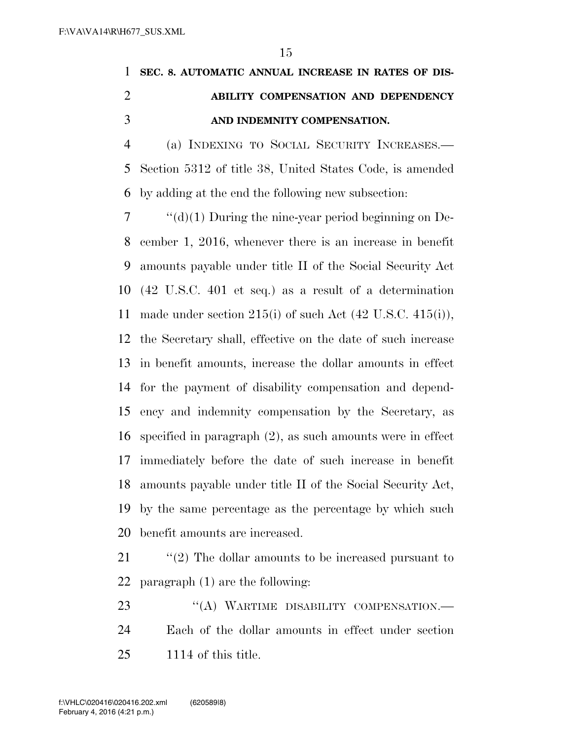## **SEC. 8. AUTOMATIC ANNUAL INCREASE IN RATES OF DIS- ABILITY COMPENSATION AND DEPENDENCY AND INDEMNITY COMPENSATION.**

 (a) INDEXING TO SOCIAL SECURITY INCREASES.— Section 5312 of title 38, United States Code, is amended by adding at the end the following new subsection:

 $7 \cdot \text{``(d)(1)}$  During the nine-year period beginning on De- cember 1, 2016, whenever there is an increase in benefit amounts payable under title II of the Social Security Act (42 U.S.C. 401 et seq.) as a result of a determination 11 made under section  $215(i)$  of such Act  $(42 \text{ U.S.C. } 415(i)),$  the Secretary shall, effective on the date of such increase in benefit amounts, increase the dollar amounts in effect for the payment of disability compensation and depend- ency and indemnity compensation by the Secretary, as specified in paragraph (2), as such amounts were in effect immediately before the date of such increase in benefit amounts payable under title II of the Social Security Act, by the same percentage as the percentage by which such benefit amounts are increased.

 ''(2) The dollar amounts to be increased pursuant to paragraph (1) are the following:

23 "(A) WARTIME DISABILITY COMPENSATION.— Each of the dollar amounts in effect under section 1114 of this title.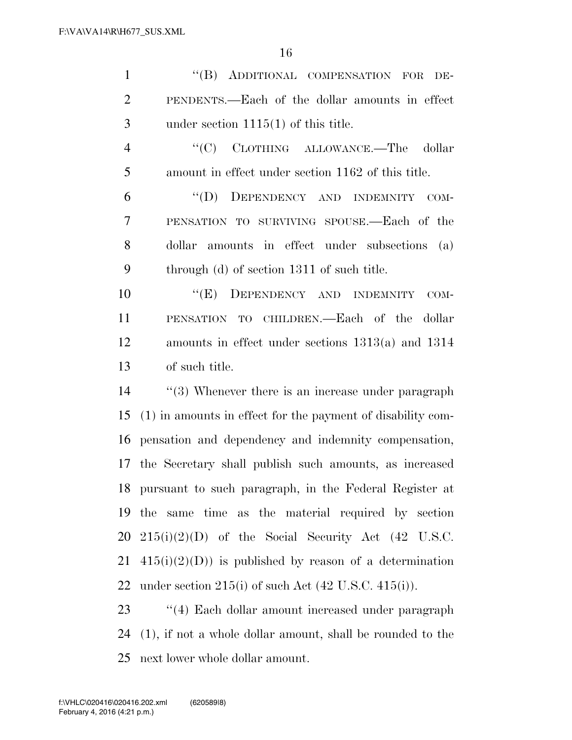1 "(B) ADDITIONAL COMPENSATION FOR DE- PENDENTS.—Each of the dollar amounts in effect under section 1115(1) of this title.

4 "(C) CLOTHING ALLOWANCE.—The dollar amount in effect under section 1162 of this title.

 ''(D) DEPENDENCY AND INDEMNITY COM- PENSATION TO SURVIVING SPOUSE.—Each of the dollar amounts in effect under subsections (a) through (d) of section 1311 of such title.

10 "(E) DEPENDENCY AND INDEMNITY COM- PENSATION TO CHILDREN.—Each of the dollar amounts in effect under sections 1313(a) and 1314 of such title.

14 ''(3) Whenever there is an increase under paragraph (1) in amounts in effect for the payment of disability com- pensation and dependency and indemnity compensation, the Secretary shall publish such amounts, as increased pursuant to such paragraph, in the Federal Register at the same time as the material required by section 215(i)(2)(D) of the Social Security Act (42 U.S.C.  $415(i)(2)(D)$  is published by reason of a determination 22 under section  $215(i)$  of such Act  $(42 \text{ U.S.C. } 415(i))$ .

23 ''(4) Each dollar amount increased under paragraph (1), if not a whole dollar amount, shall be rounded to the next lower whole dollar amount.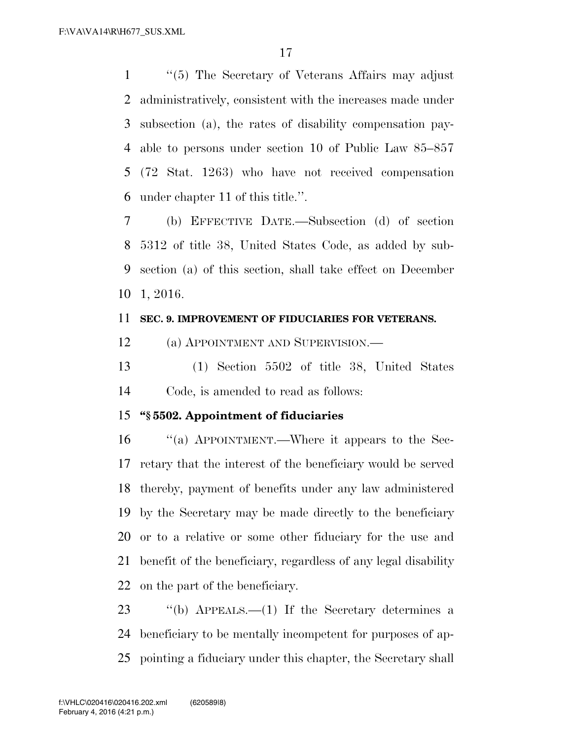''(5) The Secretary of Veterans Affairs may adjust administratively, consistent with the increases made under subsection (a), the rates of disability compensation pay- able to persons under section 10 of Public Law 85–857 (72 Stat. 1263) who have not received compensation under chapter 11 of this title.''.

 (b) EFFECTIVE DATE.—Subsection (d) of section 5312 of title 38, United States Code, as added by sub- section (a) of this section, shall take effect on December 1, 2016.

#### **SEC. 9. IMPROVEMENT OF FIDUCIARIES FOR VETERANS.**

(a) APPOINTMENT AND SUPERVISION.—

 (1) Section 5502 of title 38, United States Code, is amended to read as follows:

### **''§ 5502. Appointment of fiduciaries**

 ''(a) APPOINTMENT.—Where it appears to the Sec- retary that the interest of the beneficiary would be served thereby, payment of benefits under any law administered by the Secretary may be made directly to the beneficiary or to a relative or some other fiduciary for the use and benefit of the beneficiary, regardless of any legal disability on the part of the beneficiary.

 ''(b) APPEALS.—(1) If the Secretary determines a beneficiary to be mentally incompetent for purposes of ap-pointing a fiduciary under this chapter, the Secretary shall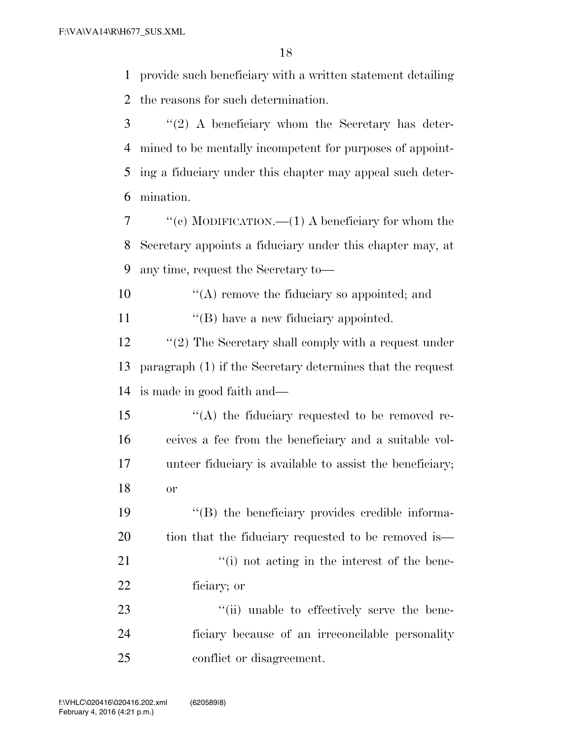provide such beneficiary with a written statement detailing the reasons for such determination.

 ''(2) A beneficiary whom the Secretary has deter- mined to be mentally incompetent for purposes of appoint- ing a fiduciary under this chapter may appeal such deter-mination.

 ''(c) MODIFICATION.—(1) A beneficiary for whom the Secretary appoints a fiduciary under this chapter may, at any time, request the Secretary to—

 $\mathcal{L}(\mathbf{A})$  remove the fiduciary so appointed; and 11  $\lq\lq (B)$  have a new fiduciary appointed.

12 ''(2) The Secretary shall comply with a request under paragraph (1) if the Secretary determines that the request is made in good faith and—

15 "(A) the fiduciary requested to be removed re- ceives a fee from the beneficiary and a suitable vol- unteer fiduciary is available to assist the beneficiary; or

 ''(B) the beneficiary provides credible informa-20 tion that the fiduciary requested to be removed is— 21 ''(i) not acting in the interest of the bene-ficiary; or

23  $\frac{1}{2}$   $\frac{1}{2}$   $\frac{1}{2}$  unable to effectively serve the bene- ficiary because of an irreconcilable personality conflict or disagreement.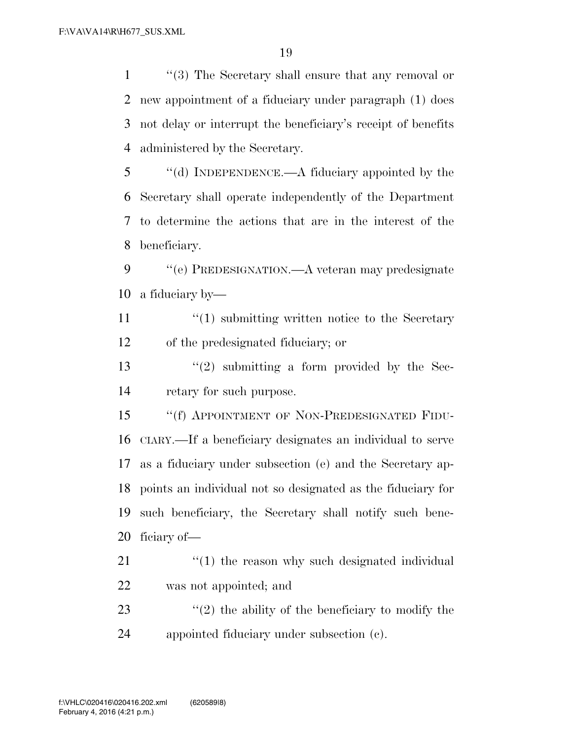''(3) The Secretary shall ensure that any removal or new appointment of a fiduciary under paragraph (1) does not delay or interrupt the beneficiary's receipt of benefits administered by the Secretary.

 ''(d) INDEPENDENCE.—A fiduciary appointed by the Secretary shall operate independently of the Department to determine the actions that are in the interest of the beneficiary.

 ''(e) PREDESIGNATION.—A veteran may predesignate a fiduciary by—

11 ''(1) submitting written notice to the Secretary of the predesignated fiduciary; or

13  $\frac{13}{2}$  submitting a form provided by the Sec-retary for such purpose.

15 "(f) APPOINTMENT OF NON-PREDESIGNATED FIDU- CIARY.—If a beneficiary designates an individual to serve as a fiduciary under subsection (e) and the Secretary ap- points an individual not so designated as the fiduciary for such beneficiary, the Secretary shall notify such bene-ficiary of—

21  $\frac{1}{2}$  (1) the reason why such designated individual was not appointed; and

23  $\frac{1}{2}$  (2) the ability of the beneficiary to modify the appointed fiduciary under subsection (c).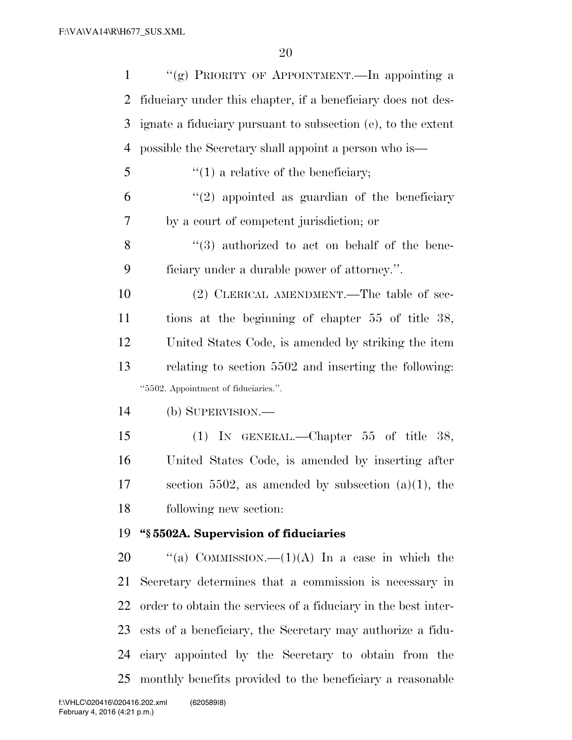| $\mathbf{1}$   | "(g) PRIORITY OF APPOINTMENT.—In appointing a                  |
|----------------|----------------------------------------------------------------|
| 2              | fiduciary under this chapter, if a beneficiary does not des-   |
| 3              | ignate a fiduciary pursuant to subsection (e), to the extent   |
| $\overline{4}$ | possible the Secretary shall appoint a person who is—          |
| 5              | $f'(1)$ a relative of the beneficiary;                         |
| 6              | $\lq(2)$ appointed as guardian of the beneficiary              |
| 7              | by a court of competent jurisdiction; or                       |
| $8\,$          | $(3)$ authorized to act on behalf of the bene-                 |
| 9              | ficiary under a durable power of attorney.".                   |
| 10             | (2) CLERICAL AMENDMENT.—The table of sec-                      |
| 11             | tions at the beginning of chapter 55 of title 38,              |
| 12             | United States Code, is amended by striking the item            |
| 13             | relating to section 5502 and inserting the following:          |
|                | "5502. Appointment of fiduciaries.".                           |
| 14             | (b) SUPERVISION.—                                              |
| 15             | (1) IN GENERAL.—Chapter $55$ of title $38$ ,                   |
| 16             | United States Code, is amended by inserting after              |
| 17             | section 5502, as amended by subsection $(a)(1)$ , the          |
| 18             | following new section:                                         |
| 19             | "§5502A. Supervision of fiduciaries                            |
| 20             | "(a) COMMISSION. $-(1)(A)$ In a case in which the              |
| 21             | Secretary determines that a commission is necessary in         |
| 22             | order to obtain the services of a fiduciary in the best inter- |
| 23             | ests of a beneficiary, the Secretary may authorize a fidu-     |
| 24             | ciary appointed by the Secretary to obtain from the            |
|                |                                                                |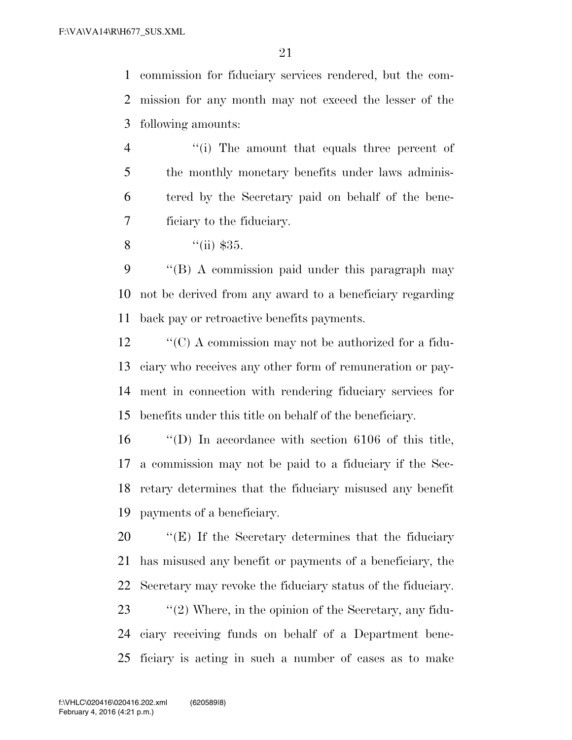commission for fiduciary services rendered, but the com- mission for any month may not exceed the lesser of the following amounts:

4 ''(i) The amount that equals three percent of 5 the monthly monetary benefits under laws adminis- tered by the Secretary paid on behalf of the bene-ficiary to the fiduciary.

8  $\frac{4}{\pi}$   $\frac{1}{35}$ .

 ''(B) A commission paid under this paragraph may not be derived from any award to a beneficiary regarding back pay or retroactive benefits payments.

 $\bullet$  "(C) A commission may not be authorized for a fidu- ciary who receives any other form of remuneration or pay- ment in connection with rendering fiduciary services for benefits under this title on behalf of the beneficiary.

 ''(D) In accordance with section 6106 of this title, a commission may not be paid to a fiduciary if the Sec- retary determines that the fiduciary misused any benefit payments of a beneficiary.

 ''(E) If the Secretary determines that the fiduciary has misused any benefit or payments of a beneficiary, the Secretary may revoke the fiduciary status of the fiduciary. 23 ''(2) Where, in the opinion of the Secretary, any fidu- ciary receiving funds on behalf of a Department bene-ficiary is acting in such a number of cases as to make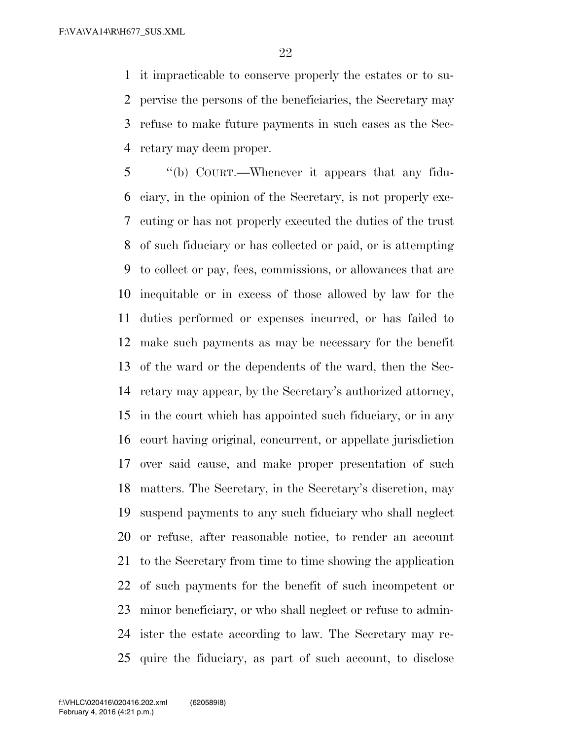it impracticable to conserve properly the estates or to su- pervise the persons of the beneficiaries, the Secretary may refuse to make future payments in such cases as the Sec-retary may deem proper.

 ''(b) COURT.—Whenever it appears that any fidu- ciary, in the opinion of the Secretary, is not properly exe- cuting or has not properly executed the duties of the trust of such fiduciary or has collected or paid, or is attempting to collect or pay, fees, commissions, or allowances that are inequitable or in excess of those allowed by law for the duties performed or expenses incurred, or has failed to make such payments as may be necessary for the benefit of the ward or the dependents of the ward, then the Sec- retary may appear, by the Secretary's authorized attorney, in the court which has appointed such fiduciary, or in any court having original, concurrent, or appellate jurisdiction over said cause, and make proper presentation of such matters. The Secretary, in the Secretary's discretion, may suspend payments to any such fiduciary who shall neglect or refuse, after reasonable notice, to render an account to the Secretary from time to time showing the application of such payments for the benefit of such incompetent or minor beneficiary, or who shall neglect or refuse to admin- ister the estate according to law. The Secretary may re-quire the fiduciary, as part of such account, to disclose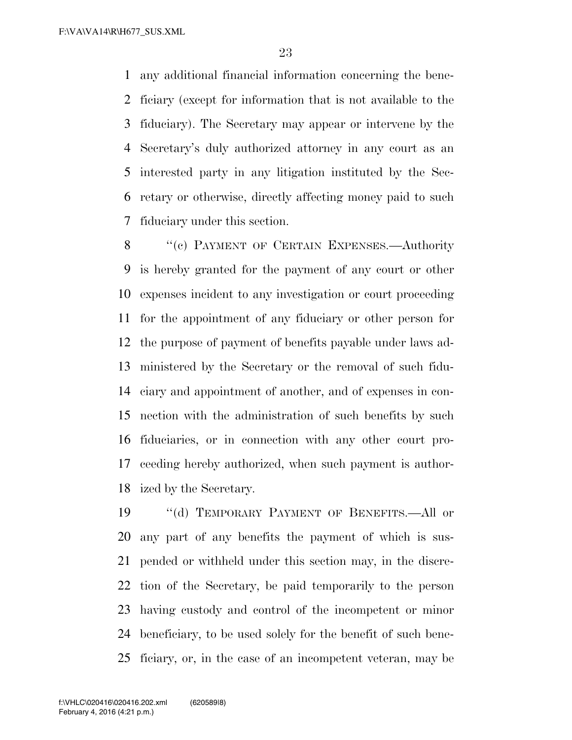any additional financial information concerning the bene- ficiary (except for information that is not available to the fiduciary). The Secretary may appear or intervene by the Secretary's duly authorized attorney in any court as an interested party in any litigation instituted by the Sec- retary or otherwise, directly affecting money paid to such fiduciary under this section.

8 "(c) PAYMENT OF CERTAIN EXPENSES.—Authority is hereby granted for the payment of any court or other expenses incident to any investigation or court proceeding for the appointment of any fiduciary or other person for the purpose of payment of benefits payable under laws ad- ministered by the Secretary or the removal of such fidu- ciary and appointment of another, and of expenses in con- nection with the administration of such benefits by such fiduciaries, or in connection with any other court pro- ceeding hereby authorized, when such payment is author-ized by the Secretary.

19 "(d) TEMPORARY PAYMENT OF BENEFITS.—All or any part of any benefits the payment of which is sus- pended or withheld under this section may, in the discre- tion of the Secretary, be paid temporarily to the person having custody and control of the incompetent or minor beneficiary, to be used solely for the benefit of such bene-ficiary, or, in the case of an incompetent veteran, may be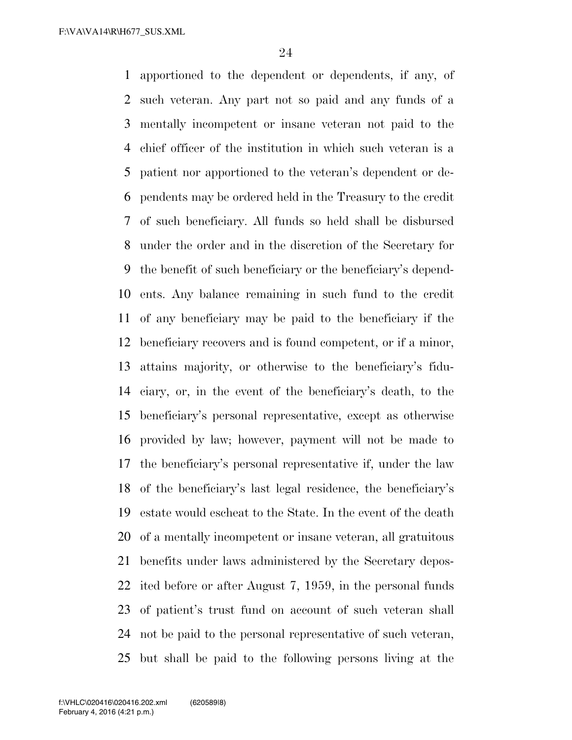apportioned to the dependent or dependents, if any, of such veteran. Any part not so paid and any funds of a mentally incompetent or insane veteran not paid to the chief officer of the institution in which such veteran is a patient nor apportioned to the veteran's dependent or de- pendents may be ordered held in the Treasury to the credit of such beneficiary. All funds so held shall be disbursed under the order and in the discretion of the Secretary for the benefit of such beneficiary or the beneficiary's depend- ents. Any balance remaining in such fund to the credit of any beneficiary may be paid to the beneficiary if the beneficiary recovers and is found competent, or if a minor, attains majority, or otherwise to the beneficiary's fidu- ciary, or, in the event of the beneficiary's death, to the beneficiary's personal representative, except as otherwise provided by law; however, payment will not be made to the beneficiary's personal representative if, under the law of the beneficiary's last legal residence, the beneficiary's estate would escheat to the State. In the event of the death of a mentally incompetent or insane veteran, all gratuitous benefits under laws administered by the Secretary depos- ited before or after August 7, 1959, in the personal funds of patient's trust fund on account of such veteran shall not be paid to the personal representative of such veteran, but shall be paid to the following persons living at the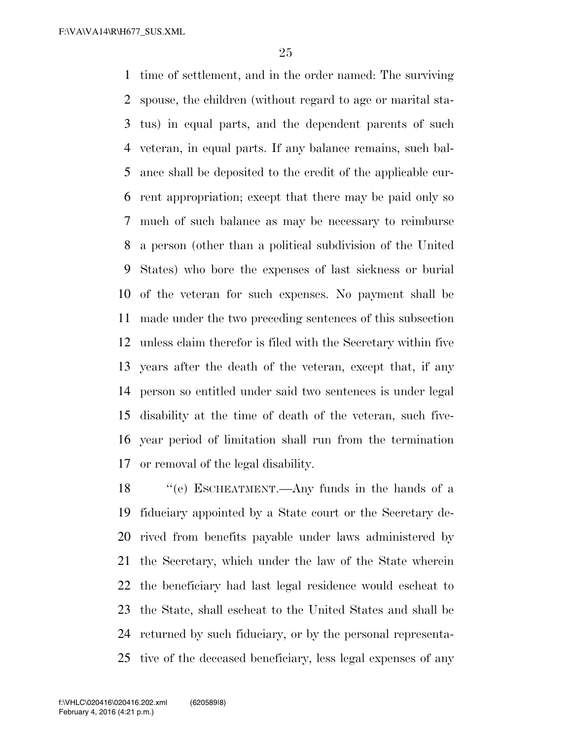time of settlement, and in the order named: The surviving spouse, the children (without regard to age or marital sta- tus) in equal parts, and the dependent parents of such veteran, in equal parts. If any balance remains, such bal- ance shall be deposited to the credit of the applicable cur- rent appropriation; except that there may be paid only so much of such balance as may be necessary to reimburse a person (other than a political subdivision of the United States) who bore the expenses of last sickness or burial of the veteran for such expenses. No payment shall be made under the two preceding sentences of this subsection unless claim therefor is filed with the Secretary within five years after the death of the veteran, except that, if any person so entitled under said two sentences is under legal disability at the time of death of the veteran, such five- year period of limitation shall run from the termination or removal of the legal disability.

 ''(e) ESCHEATMENT.—Any funds in the hands of a fiduciary appointed by a State court or the Secretary de- rived from benefits payable under laws administered by the Secretary, which under the law of the State wherein the beneficiary had last legal residence would escheat to the State, shall escheat to the United States and shall be returned by such fiduciary, or by the personal representa-tive of the deceased beneficiary, less legal expenses of any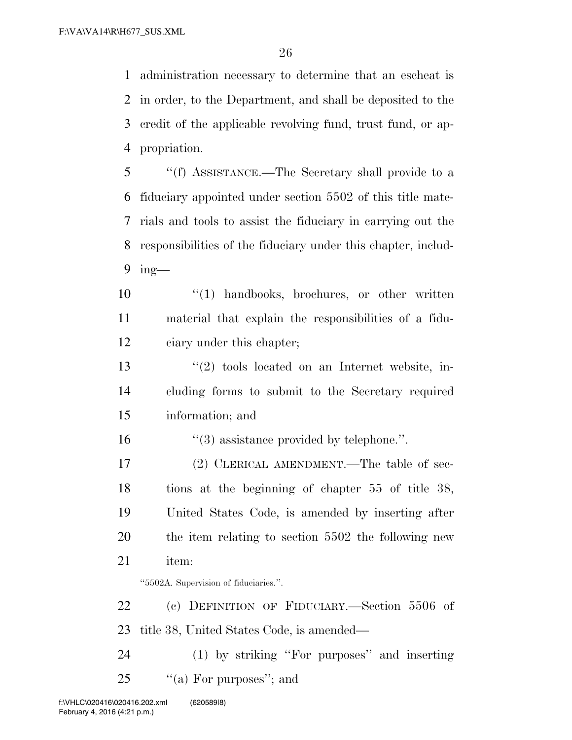administration necessary to determine that an escheat is in order, to the Department, and shall be deposited to the credit of the applicable revolving fund, trust fund, or ap-propriation.

 ''(f) ASSISTANCE.—The Secretary shall provide to a fiduciary appointed under section 5502 of this title mate- rials and tools to assist the fiduciary in carrying out the responsibilities of the fiduciary under this chapter, includ-ing—

10  $\frac{10}{10}$  handbooks, brochures, or other written material that explain the responsibilities of a fidu-ciary under this chapter;

 ''(2) tools located on an Internet website, in- cluding forms to submit to the Secretary required information; and

''(3) assistance provided by telephone.''.

 (2) CLERICAL AMENDMENT.—The table of sec- tions at the beginning of chapter 55 of title 38, United States Code, is amended by inserting after the item relating to section 5502 the following new item:

''5502A. Supervision of fiduciaries.''.

 (c) DEFINITION OF FIDUCIARY.—Section 5506 of title 38, United States Code, is amended—

 (1) by striking ''For purposes'' and inserting 25  $\%$  (a) For purposes"; and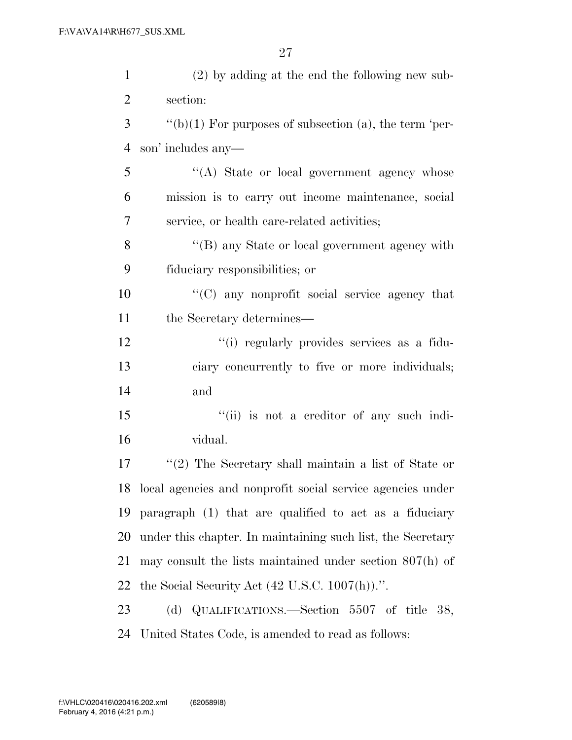| $\mathbf{1}$   | $(2)$ by adding at the end the following new sub-             |
|----------------|---------------------------------------------------------------|
| $\overline{2}$ | section:                                                      |
| 3              | $\lq\lq(b)(1)$ For purposes of subsection (a), the term 'per- |
| $\overline{4}$ | son' includes any—                                            |
| 5              | "(A) State or local government agency whose                   |
| 6              | mission is to carry out income maintenance, social            |
| 7              | service, or health care-related activities;                   |
| 8              | "(B) any State or local government agency with                |
| 9              | fiduciary responsibilities; or                                |
| 10             | "(C) any nonprofit social service agency that                 |
| 11             | the Secretary determines—                                     |
| 12             | "(i) regularly provides services as a fidu-                   |
| 13             | ciary concurrently to five or more individuals;               |
| 14             | and                                                           |
| 15             | "(ii) is not a creditor of any such indi-                     |
| 16             | vidual.                                                       |
| 17             | $\lq(2)$ The Secretary shall maintain a list of State or      |
| 18             | local agencies and nonprofit social service agencies under    |
| 19             | paragraph (1) that are qualified to act as a fiduciary        |
| 20             | under this chapter. In maintaining such list, the Secretary   |
| 21             | may consult the lists maintained under section $807(h)$ of    |
| 22             | the Social Security Act $(42 \text{ U.S.C. } 1007(h))$ .".    |
| 23             | (d) QUALIFICATIONS.—Section 5507 of title 38,                 |
| 24             | United States Code, is amended to read as follows:            |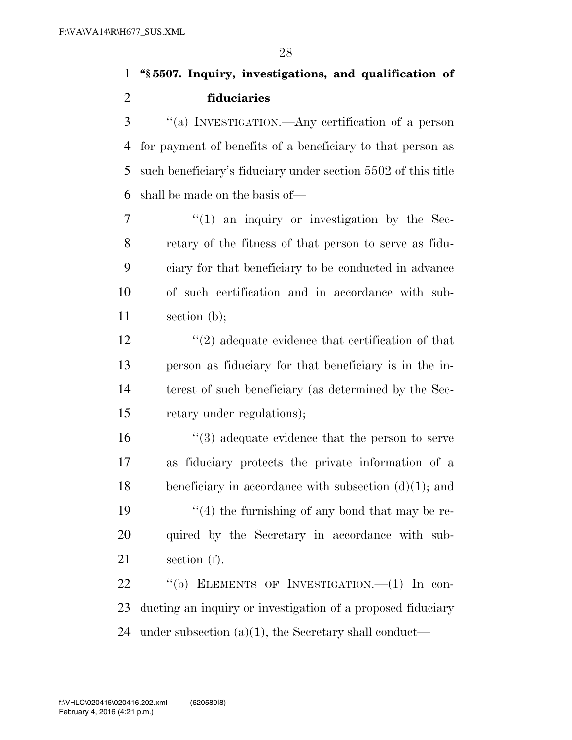**''§ 5507. Inquiry, investigations, and qualification of fiduciaries** 

 ''(a) INVESTIGATION.—Any certification of a person for payment of benefits of a beneficiary to that person as such beneficiary's fiduciary under section 5502 of this title shall be made on the basis of—

 $7 \t\t\t\t\t''(1)$  an inquiry or investigation by the Sec- retary of the fitness of that person to serve as fidu- ciary for that beneficiary to be conducted in advance of such certification and in accordance with sub-section (b);

 ''(2) adequate evidence that certification of that person as fiduciary for that beneficiary is in the in- terest of such beneficiary (as determined by the Sec-retary under regulations);

 ''(3) adequate evidence that the person to serve as fiduciary protects the private information of a beneficiary in accordance with subsection (d)(1); and  $\frac{1}{2}$  (4) the furnishing of any bond that may be re-20 quired by the Secretary in accordance with sub-section (f).

22 "(b) ELEMENTS OF INVESTIGATION. -- (1) In con- ducting an inquiry or investigation of a proposed fiduciary under subsection (a)(1), the Secretary shall conduct—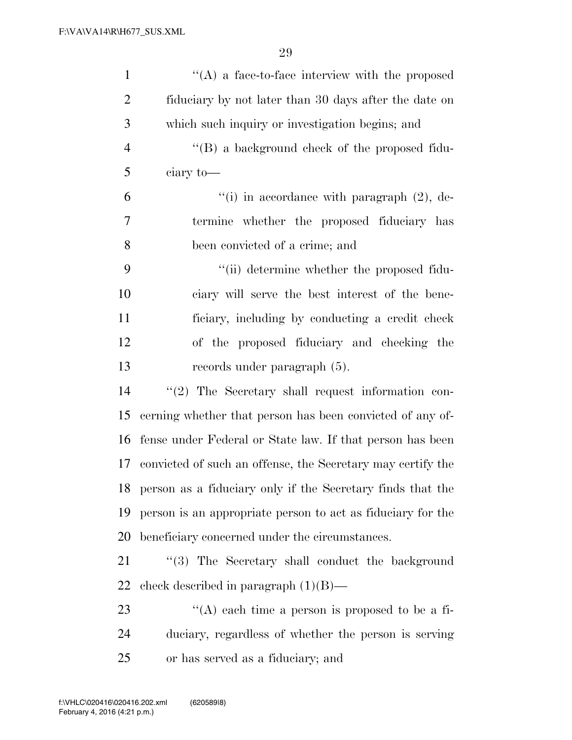| $\mathbf{1}$   | $\lq\lq$ a face-to-face interview with the proposed           |
|----------------|---------------------------------------------------------------|
| $\overline{2}$ | fiduciary by not later than 30 days after the date on         |
| 3              | which such inquiry or investigation begins; and               |
| $\overline{4}$ | "(B) a background check of the proposed fidu-                 |
| 5              | ciary to-                                                     |
| 6              | "(i) in accordance with paragraph $(2)$ , de-                 |
| 7              | termine whether the proposed fiduciary has                    |
| 8              | been convicted of a crime; and                                |
| 9              | "(ii) determine whether the proposed fidu-                    |
| 10             | ciary will serve the best interest of the bene-               |
| 11             | ficiary, including by conducting a credit check               |
| 12             | of the proposed fiduciary and checking the                    |
| 13             | records under paragraph (5).                                  |
| 14             | $"(2)$ The Secretary shall request information con-           |
| 15             | cerning whether that person has been convicted of any of-     |
| 16             | fense under Federal or State law. If that person has been     |
| 17             | convicted of such an offense, the Secretary may certify the   |
|                | 18 person as a fiduciary only if the Secretary finds that the |
| 19             | person is an appropriate person to act as fiduciary for the   |
| 20             | beneficiary concerned under the circumstances.                |
| 21             | "(3) The Secretary shall conduct the background               |
| 22             | check described in paragraph $(1)(B)$ —                       |
| 23             | "(A) each time a person is proposed to be a fi-               |
| 24             | duciary, regardless of whether the person is serving          |
| 25             | or has served as a fiduciary; and                             |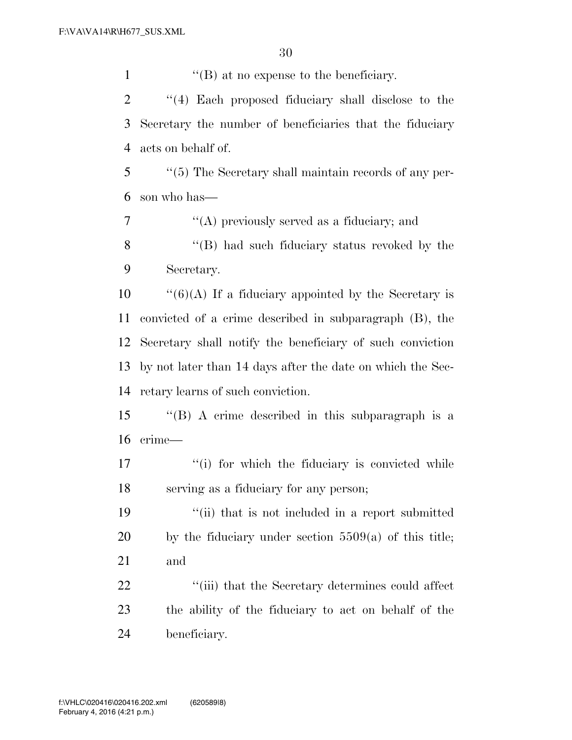1 ''(B) at no expense to the beneficiary.

 ''(4) Each proposed fiduciary shall disclose to the Secretary the number of beneficiaries that the fiduciary acts on behalf of.

 ''(5) The Secretary shall maintain records of any per-son who has—

 ''(A) previously served as a fiduciary; and 8 "(B) had such fiduciary status revoked by the Secretary.

 ''(6)(A) If a fiduciary appointed by the Secretary is convicted of a crime described in subparagraph (B), the Secretary shall notify the beneficiary of such conviction by not later than 14 days after the date on which the Sec-retary learns of such conviction.

 ''(B) A crime described in this subparagraph is a crime—

17 ''(i) for which the fiduciary is convicted while serving as a fiduciary for any person;

 ''(ii) that is not included in a report submitted by the fiduciary under section 5509(a) of this title; and

22 ''(iii) that the Secretary determines could affect the ability of the fiduciary to act on behalf of the beneficiary.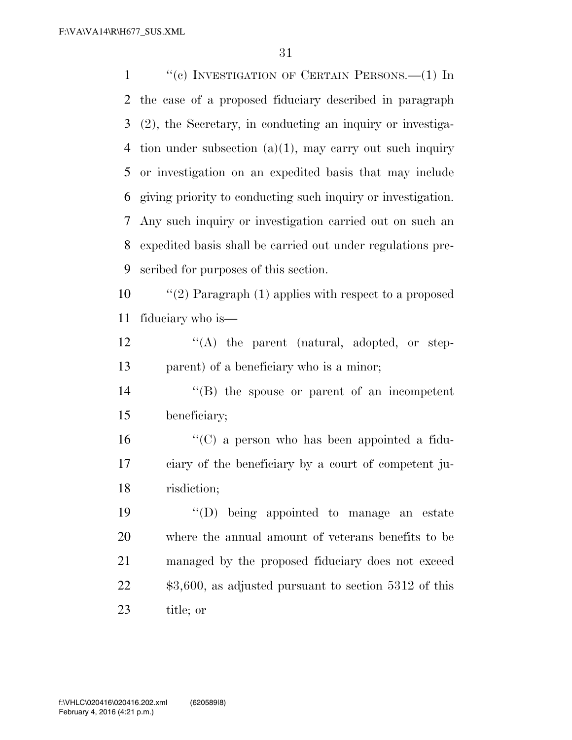1 "(c) INVESTIGATION OF CERTAIN PERSONS.—(1) In the case of a proposed fiduciary described in paragraph (2), the Secretary, in conducting an inquiry or investiga-4 tion under subsection  $(a)(1)$ , may carry out such inquiry or investigation on an expedited basis that may include giving priority to conducting such inquiry or investigation. Any such inquiry or investigation carried out on such an expedited basis shall be carried out under regulations pre-scribed for purposes of this section.

 ''(2) Paragraph (1) applies with respect to a proposed fiduciary who is—

12  $\langle (A)$  the parent (natural, adopted, or step-parent) of a beneficiary who is a minor;

 ''(B) the spouse or parent of an incompetent beneficiary;

 ''(C) a person who has been appointed a fidu- ciary of the beneficiary by a court of competent ju-risdiction;

 ''(D) being appointed to manage an estate where the annual amount of veterans benefits to be managed by the proposed fiduciary does not exceed 22 \$3,600, as adjusted pursuant to section 5312 of this title; or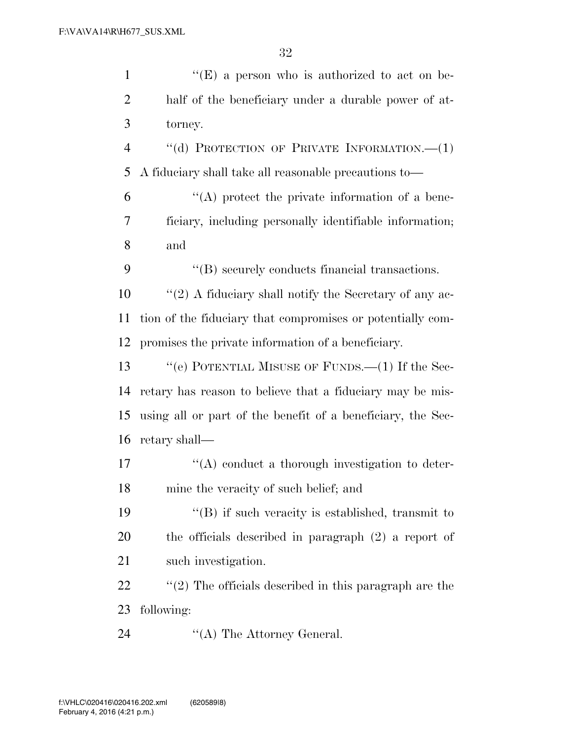| $\mathbf{1}$   | $f(E)$ a person who is authorized to act on be-             |
|----------------|-------------------------------------------------------------|
| $\overline{2}$ | half of the beneficiary under a durable power of at-        |
| 3              | torney.                                                     |
| $\overline{4}$ | "(d) PROTECTION OF PRIVATE INFORMATION.-- (1)               |
| 5              | A fiduciary shall take all reasonable precautions to-       |
| 6              | $\lq\lq$ protect the private information of a bene-         |
| 7              | ficiary, including personally identifiable information;     |
| 8              | and                                                         |
| 9              | "(B) securely conducts financial transactions.              |
| 10             | " $(2)$ A fiduciary shall notify the Secretary of any ac-   |
| 11             | tion of the fiduciary that compromises or potentially com-  |
| 12             | promises the private information of a beneficiary.          |
| 13             | "(e) POTENTIAL MISUSE OF FUNDS.— $(1)$ If the Sec-          |
| 14             | retary has reason to believe that a fiduciary may be mis-   |
| 15             | using all or part of the benefit of a beneficiary, the Sec- |
| 16             | retary shall—                                               |
| 17             | "(A) conduct a thorough investigation to deter-             |
| 18             | mine the veracity of such belief; and                       |
| 19             | "(B) if such veracity is established, transmit to           |
| 20             | the officials described in paragraph $(2)$ a report of      |
| 21             | such investigation.                                         |
| 22             | $\lq(2)$ The officials described in this paragraph are the  |
| 23             | following:                                                  |
| 24             | $\lq\lq$ The Attorney General.                              |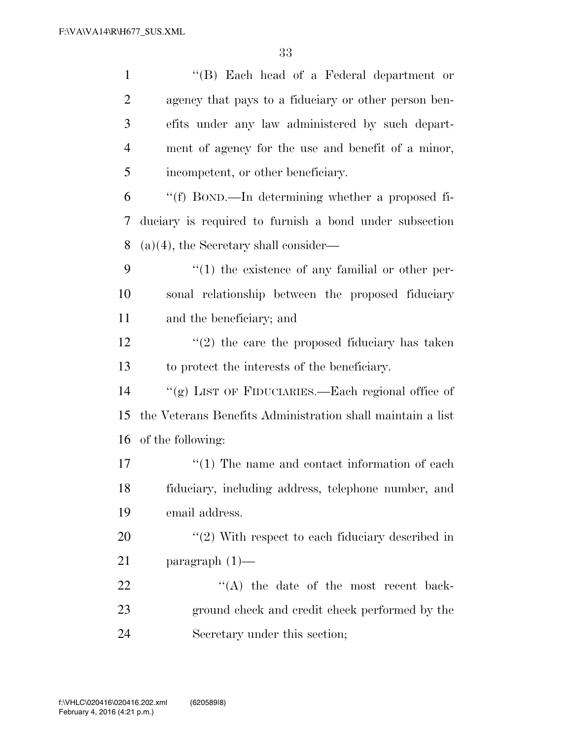| $\mathbf{1}$             | $\lq\lq$ (B) Each head of a Federal department or          |
|--------------------------|------------------------------------------------------------|
| $\overline{2}$           | agency that pays to a fiduciary or other person ben-       |
| 3                        | efits under any law administered by such depart-           |
| $\overline{4}$           | ment of agency for the use and benefit of a minor,         |
| 5                        | incompetent, or other beneficiary.                         |
| 6                        | "(f) BOND.—In determining whether a proposed fi-           |
| $\overline{\mathcal{L}}$ | duciary is required to furnish a bond under subsection     |
| 8                        | $(a)(4)$ , the Secretary shall consider—                   |
| 9                        | $\lq(1)$ the existence of any familial or other per-       |
| 10                       | sonal relationship between the proposed fiduciary          |
| 11                       | and the beneficiary; and                                   |
| 12                       | $\lq(2)$ the care the proposed fiduciary has taken         |
| 13                       | to protect the interests of the beneficiary.               |
| 14                       | "(g) LIST OF FIDUCIARIES.—Each regional office of          |
| 15                       | the Veterans Benefits Administration shall maintain a list |
| 16                       | of the following:                                          |
| 17                       | $\cdot\cdot(1)$ The name and contact information of each   |
| 18                       | fiduciary, including address, telephone number, and        |
| 19                       | email address.                                             |
| 20                       | $\lq(2)$ With respect to each fiduciary described in       |
| 21                       | paragraph $(1)$ —                                          |
| 22                       | $\lq\lq$ the date of the most recent back-                 |
| 23                       | ground check and credit check performed by the             |
| 24                       | Secretary under this section;                              |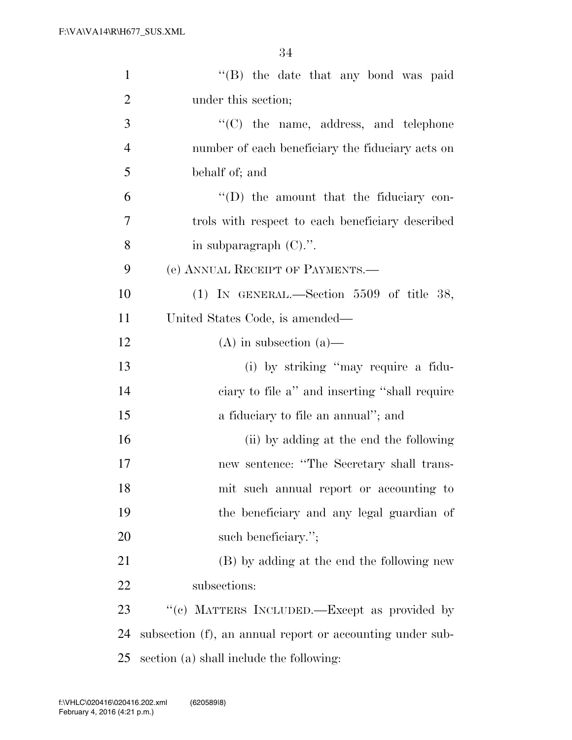| $\mathbf{1}$   | "(B) the date that any bond was paid                      |
|----------------|-----------------------------------------------------------|
| $\overline{2}$ | under this section;                                       |
| 3              | $\lq\lq$ (C) the name, address, and telephone             |
| $\overline{4}$ | number of each beneficiary the fiduciary acts on          |
| 5              | behalf of; and                                            |
| 6              | $\lq\lq$ the amount that the fiduciary con-               |
| 7              | trols with respect to each beneficiary described          |
| 8              | in subparagraph $(C)$ .".                                 |
| 9              | (e) ANNUAL RECEIPT OF PAYMENTS.—                          |
| 10             | (1) IN GENERAL.—Section 5509 of title 38,                 |
| 11             | United States Code, is amended—                           |
| 12             | $(A)$ in subsection $(a)$ —                               |
| 13             | (i) by striking "may require a fidu-                      |
| 14             | ciary to file a" and inserting "shall require             |
| 15             | a fiduciary to file an annual"; and                       |
| 16             | (ii) by adding at the end the following                   |
| 17             | new sentence: "The Secretary shall trans-                 |
| 18             | mit such annual report or accounting to                   |
| 19             | the beneficiary and any legal guardian of                 |
| 20             | such beneficiary.";                                       |
| 21             | (B) by adding at the end the following new                |
| 22             | subsections:                                              |
| 23             | "(c) MATTERS INCLUDED.—Except as provided by              |
| 24             | subsection (f), an annual report or accounting under sub- |
| 25             | section (a) shall include the following:                  |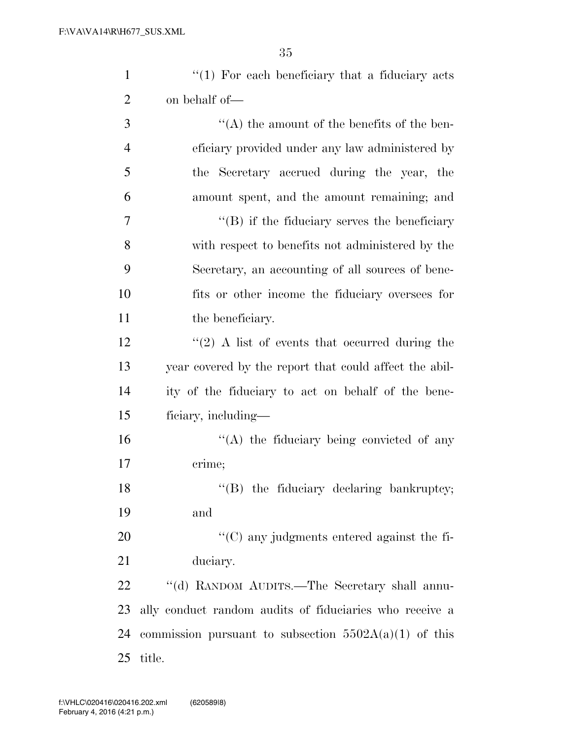| $\mathbf{1}$   | $\lq(1)$ For each beneficiary that a fiduciary acts     |
|----------------|---------------------------------------------------------|
| $\overline{2}$ | on behalf of—                                           |
| 3              | $\lq\lq$ the amount of the benefits of the ben-         |
| $\overline{4}$ | eficiary provided under any law administered by         |
| 5              | the Secretary accrued during the year, the              |
| 6              | amount spent, and the amount remaining; and             |
| 7              | $\lq\lq (B)$ if the fiduciary serves the beneficiary    |
| 8              | with respect to benefits not administered by the        |
| 9              | Secretary, an accounting of all sources of bene-        |
| 10             | fits or other income the fiduciary oversees for         |
| 11             | the beneficiary.                                        |
| 12             | $\lq(2)$ A list of events that occurred during the      |
| 13             | year covered by the report that could affect the abil-  |
| 14             | ity of the fiduciary to act on behalf of the bene-      |
| 15             | ficiary, including—                                     |
| 16             | $\lq\lq$ the fiduciary being convicted of any           |
| 17             | crime;                                                  |
| 18             | "(B) the fiduciary declaring bankruptcy;                |
| 19             | and                                                     |
| 20             | "(C) any judgments entered against the fi-              |
| 21             | duciary.                                                |
| 22             | "(d) RANDOM AUDITS.—The Secretary shall annu-           |
| 23             | ally conduct random audits of fiduciaries who receive a |
| 24             | commission pursuant to subsection $5502A(a)(1)$ of this |
| 25             | title.                                                  |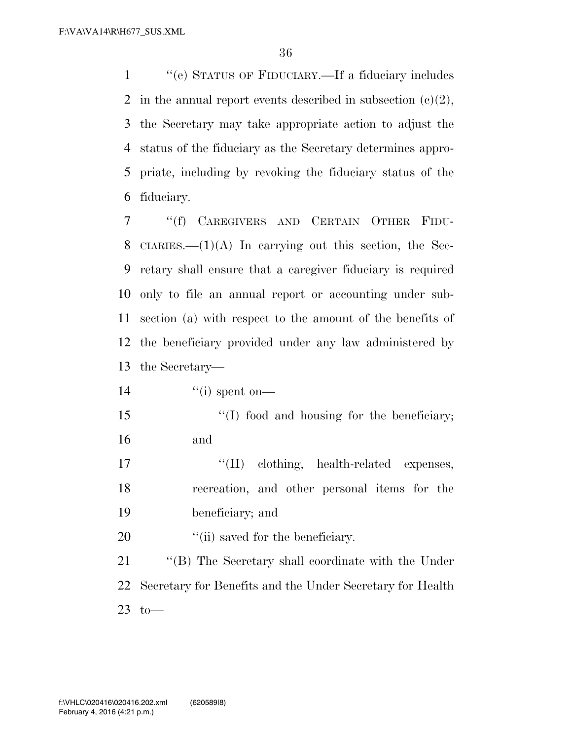''(e) STATUS OF FIDUCIARY.—If a fiduciary includes 2 in the annual report events described in subsection  $(c)(2)$ , the Secretary may take appropriate action to adjust the status of the fiduciary as the Secretary determines appro- priate, including by revoking the fiduciary status of the fiduciary.

 ''(f) CAREGIVERS AND CERTAIN OTHER FIDU-8 CIARIES.— $(1)(A)$  In carrying out this section, the Sec- retary shall ensure that a caregiver fiduciary is required only to file an annual report or accounting under sub- section (a) with respect to the amount of the benefits of the beneficiary provided under any law administered by the Secretary—

14  $\qquad$   $\qquad$   $\qquad$   $\qquad$   $\qquad$   $\qquad$   $\qquad$   $\qquad$   $\qquad$   $\qquad$   $\qquad$   $\qquad$   $\qquad$   $\qquad$   $\qquad$   $\qquad$   $\qquad$   $\qquad$   $\qquad$   $\qquad$   $\qquad$   $\qquad$   $\qquad$   $\qquad$   $\qquad$   $\qquad$   $\qquad$   $\qquad$   $\qquad$   $\qquad$   $\qquad$   $\qquad$   $\qquad$   $\qquad$   $\qquad$   $\qquad$   $\$ 

15 "(I) food and housing for the beneficiary; and

17  $\text{``(II)}$  clothing, health-related expenses, recreation, and other personal items for the beneficiary; and

20  $\frac{1}{2}$  (ii) saved for the beneficiary.

21 "'(B) The Secretary shall coordinate with the Under Secretary for Benefits and the Under Secretary for Health to—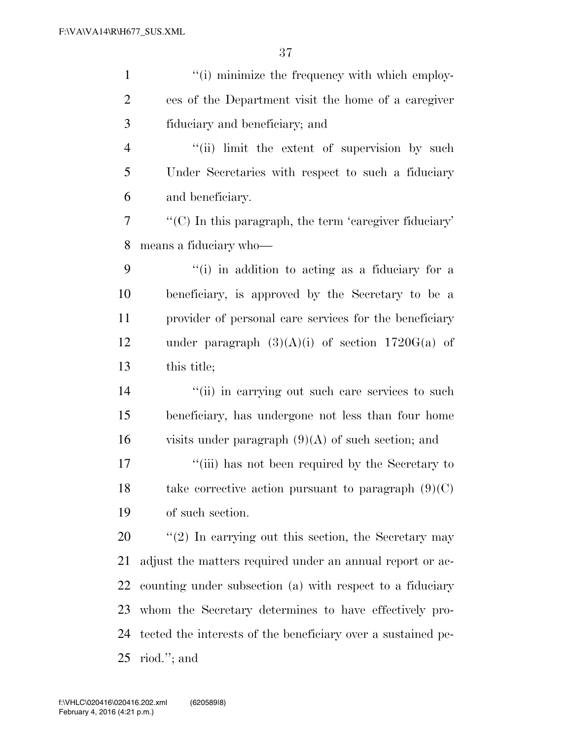| $\mathbf{1}$   | "(i) minimize the frequency with which employ-               |
|----------------|--------------------------------------------------------------|
| $\overline{2}$ | ees of the Department visit the home of a caregiver          |
| 3              | fiduciary and beneficiary; and                               |
| $\overline{4}$ | "(ii) limit the extent of supervision by such                |
| 5              | Under Secretaries with respect to such a fiduciary           |
| 6              | and beneficiary.                                             |
| 7              | $\lq\lq$ . In this paragraph, the term 'caregiver fiduciary' |
| 8              | means a fiduciary who-                                       |
| 9              | "(i) in addition to acting as a fiduciary for a              |
| 10             | beneficiary, is approved by the Secretary to be a            |
| 11             | provider of personal care services for the beneficiary       |
| 12             | under paragraph $(3)(A)(i)$ of section 1720G(a) of           |
| 13             | this title;                                                  |
| 14             | "(ii) in carrying out such care services to such             |
| 15             | beneficiary, has undergone not less than four home           |
| 16             | visits under paragraph $(9)(A)$ of such section; and         |
| 17             | "(iii) has not been required by the Secretary to             |
| 18             | take corrective action pursuant to paragraph $(9)(C)$        |
| 19             | of such section.                                             |
| 20             | $f'(2)$ In carrying out this section, the Secretary may      |
| 21             | adjust the matters required under an annual report or ac-    |
| 22             | counting under subsection (a) with respect to a fiduciary    |
| 23             | whom the Secretary determines to have effectively pro-       |
| 24             | tected the interests of the beneficiary over a sustained pe- |
| 25             | riod."; and                                                  |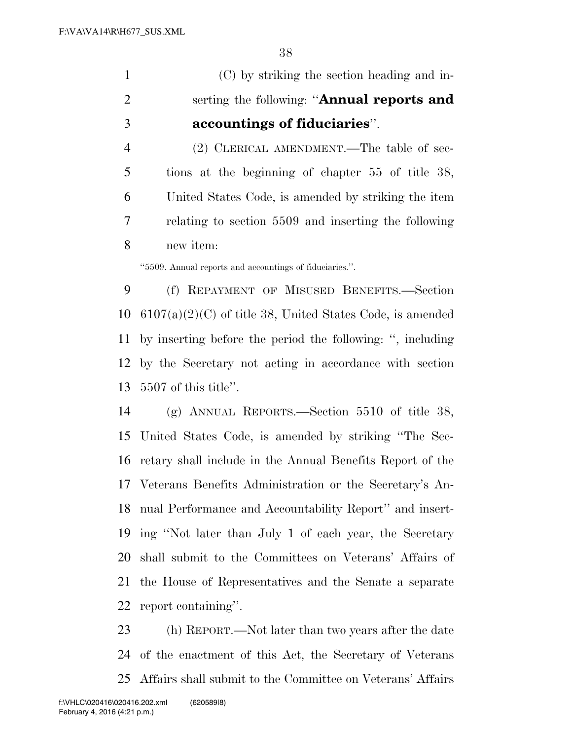(C) by striking the section heading and in- serting the following: ''**Annual reports and accountings of fiduciaries**''.

 (2) CLERICAL AMENDMENT.—The table of sec- tions at the beginning of chapter 55 of title 38, United States Code, is amended by striking the item relating to section 5509 and inserting the following new item:

''5509. Annual reports and accountings of fiduciaries.''.

 (f) REPAYMENT OF MISUSED BENEFITS.—Section 6107(a)(2)(C) of title 38, United States Code, is amended by inserting before the period the following: '', including by the Secretary not acting in accordance with section 5507 of this title''.

 (g) ANNUAL REPORTS.—Section 5510 of title 38, United States Code, is amended by striking ''The Sec- retary shall include in the Annual Benefits Report of the Veterans Benefits Administration or the Secretary's An- nual Performance and Accountability Report'' and insert- ing ''Not later than July 1 of each year, the Secretary shall submit to the Committees on Veterans' Affairs of the House of Representatives and the Senate a separate report containing''.

 (h) REPORT.—Not later than two years after the date of the enactment of this Act, the Secretary of Veterans Affairs shall submit to the Committee on Veterans' Affairs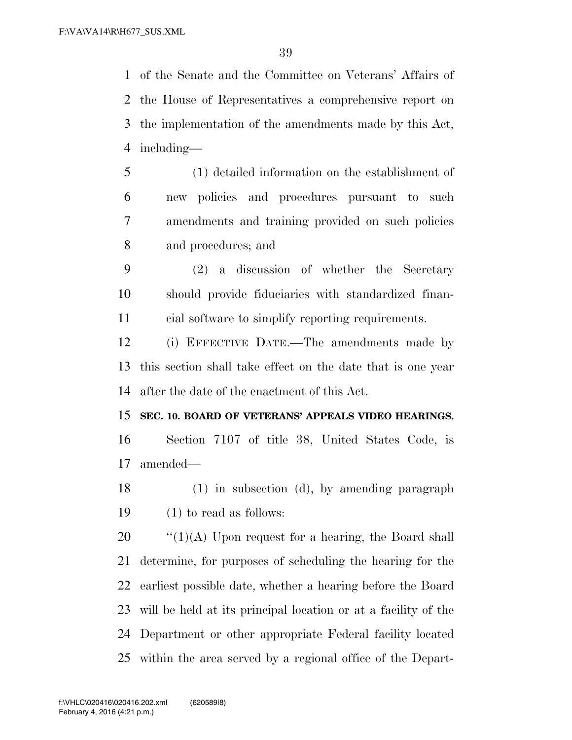of the Senate and the Committee on Veterans' Affairs of the House of Representatives a comprehensive report on the implementation of the amendments made by this Act, including—

- (1) detailed information on the establishment of new policies and procedures pursuant to such amendments and training provided on such policies and procedures; and
- (2) a discussion of whether the Secretary should provide fiduciaries with standardized finan-cial software to simplify reporting requirements.

 (i) EFFECTIVE DATE.—The amendments made by this section shall take effect on the date that is one year after the date of the enactment of this Act.

## **SEC. 10. BOARD OF VETERANS' APPEALS VIDEO HEARINGS.**

 Section 7107 of title 38, United States Code, is amended—

 (1) in subsection (d), by amending paragraph (1) to read as follows:

 $\frac{1}{20}$   $\frac{1}{20}$   $\frac{1}{20}$  Upon request for a hearing, the Board shall determine, for purposes of scheduling the hearing for the earliest possible date, whether a hearing before the Board will be held at its principal location or at a facility of the Department or other appropriate Federal facility located within the area served by a regional office of the Depart-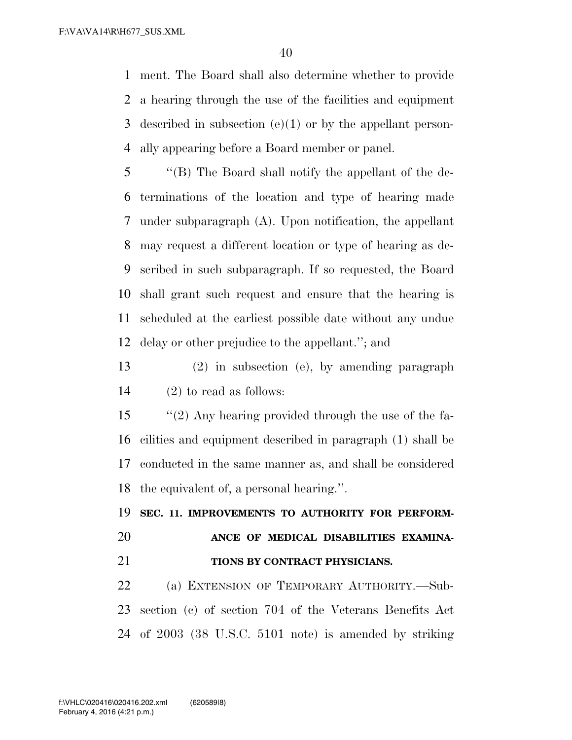ment. The Board shall also determine whether to provide a hearing through the use of the facilities and equipment described in subsection (e)(1) or by the appellant person-ally appearing before a Board member or panel.

 ''(B) The Board shall notify the appellant of the de- terminations of the location and type of hearing made under subparagraph (A). Upon notification, the appellant may request a different location or type of hearing as de- scribed in such subparagraph. If so requested, the Board shall grant such request and ensure that the hearing is scheduled at the earliest possible date without any undue delay or other prejudice to the appellant.''; and

 (2) in subsection (e), by amending paragraph (2) to read as follows:

 ''(2) Any hearing provided through the use of the fa- cilities and equipment described in paragraph (1) shall be conducted in the same manner as, and shall be considered the equivalent of, a personal hearing.''.

 **SEC. 11. IMPROVEMENTS TO AUTHORITY FOR PERFORM-ANCE OF MEDICAL DISABILITIES EXAMINA-**

## **TIONS BY CONTRACT PHYSICIANS.**

 (a) EXTENSION OF TEMPORARY AUTHORITY.—Sub- section (c) of section 704 of the Veterans Benefits Act of 2003 (38 U.S.C. 5101 note) is amended by striking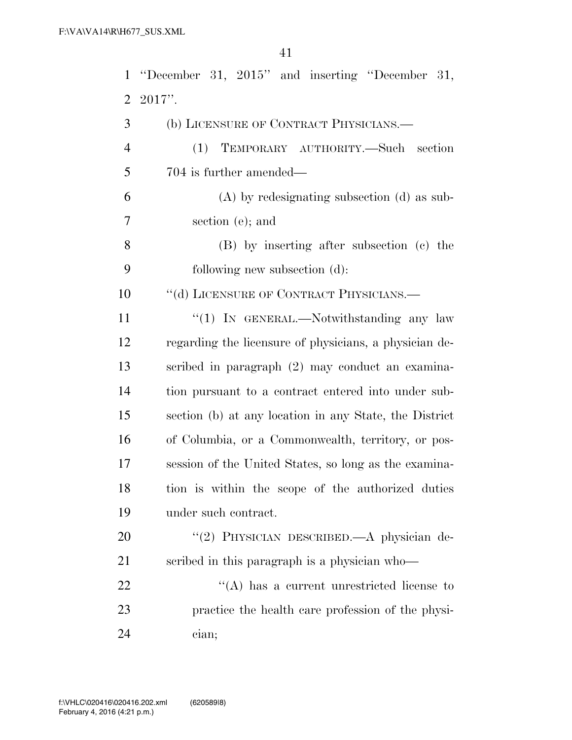|                | 1 "December 31, 2015" and inserting "December 31,      |
|----------------|--------------------------------------------------------|
| $\overline{2}$ | $2017$ ".                                              |
| 3              | (b) LICENSURE OF CONTRACT PHYSICIANS.                  |
| $\overline{4}$ | TEMPORARY AUTHORITY.—Such section<br>(1)               |
| 5              | 704 is further amended—                                |
| 6              | $(A)$ by redesignating subsection $(d)$ as sub-        |
| 7              | section (e); and                                       |
| 8              | (B) by inserting after subsection (c) the              |
| 9              | following new subsection (d):                          |
| 10             | "(d) LICENSURE OF CONTRACT PHYSICIANS.—                |
| 11             | "(1) IN GENERAL.—Notwithstanding any law               |
| 12             | regarding the licensure of physicians, a physician de- |
| 13             | scribed in paragraph (2) may conduct an examina-       |
| 14             | tion pursuant to a contract entered into under sub-    |
| 15             | section (b) at any location in any State, the District |
| 16             | of Columbia, or a Commonwealth, territory, or pos-     |
| 17             | session of the United States, so long as the examina-  |
| 18             | tion is within the scope of the authorized duties      |
| 19             | under such contract.                                   |
| 20             | "(2) PHYSICIAN DESCRIBED.—A physician de-              |
| 21             | scribed in this paragraph is a physician who-          |
| 22             | $\lq\lq$ has a current unrestricted license to         |
| 23             | practice the health care profession of the physi-      |
| 24             | cian;                                                  |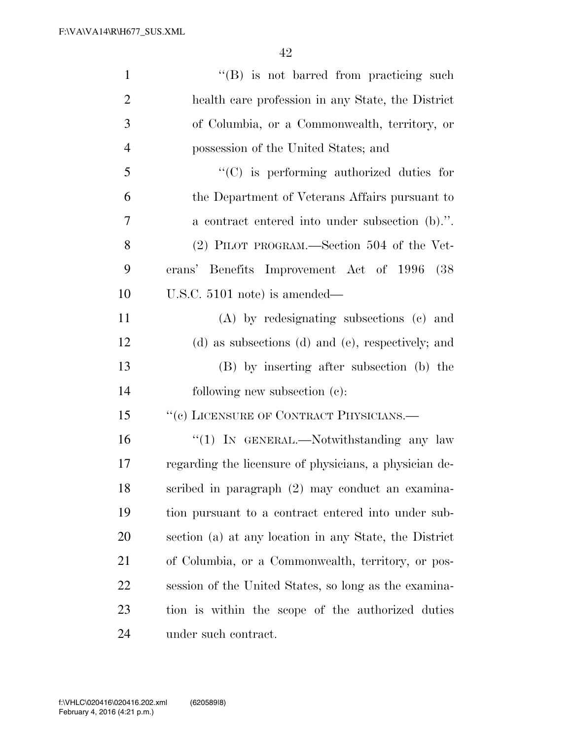| $\mathbf{1}$   | $\lq\lq (B)$ is not barred from practicing such        |
|----------------|--------------------------------------------------------|
| $\overline{2}$ | health care profession in any State, the District      |
| 3              | of Columbia, or a Commonwealth, territory, or          |
| $\overline{4}$ | possession of the United States; and                   |
| 5              | "(C) is performing authorized duties for               |
| 6              | the Department of Veterans Affairs pursuant to         |
| 7              | a contract entered into under subsection (b).".        |
| 8              | (2) PILOT PROGRAM.—Section 504 of the Vet-             |
| 9              | erans' Benefits Improvement Act of 1996 (38            |
| 10             | U.S.C. $5101$ note) is amended—                        |
| 11             | (A) by redesignating subsections (c) and               |
| 12             | (d) as subsections (d) and (e), respectively; and      |
| 13             | (B) by inserting after subsection (b) the              |
| 14             | following new subsection (c):                          |
| 15             | "(c) LICENSURE OF CONTRACT PHYSICIANS.-                |
| 16             | "(1) IN GENERAL.—Notwithstanding any law               |
| 17             | regarding the licensure of physicians, a physician de- |
| 18             | scribed in paragraph (2) may conduct an examina-       |
| 19             | tion pursuant to a contract entered into under sub-    |
| 20             | section (a) at any location in any State, the District |
| 21             | of Columbia, or a Commonwealth, territory, or pos-     |
| 22             | session of the United States, so long as the examina-  |
| 23             | tion is within the scope of the authorized duties      |
| 24             | under such contract.                                   |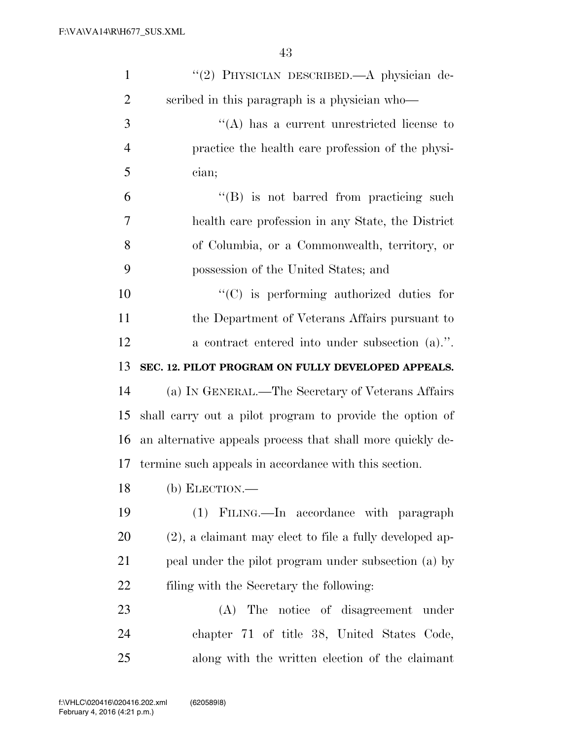| $\mathbf{1}$   | "(2) PHYSICIAN DESCRIBED.—A physician de-                  |
|----------------|------------------------------------------------------------|
| $\overline{2}$ | scribed in this paragraph is a physician who-              |
| 3              | $\lq\lq$ has a current unrestricted license to             |
| $\overline{4}$ | practice the health care profession of the physi-          |
| 5              | cian;                                                      |
| 6              | "(B) is not barred from practicing such                    |
| 7              | health care profession in any State, the District          |
| 8              | of Columbia, or a Commonwealth, territory, or              |
| 9              | possession of the United States; and                       |
| 10             | $\lq\lq$ (C) is performing authorized duties for           |
| 11             | the Department of Veterans Affairs pursuant to             |
| 12             | a contract entered into under subsection (a).".            |
| 13             | SEC. 12. PILOT PROGRAM ON FULLY DEVELOPED APPEALS.         |
| 14             | (a) IN GENERAL.—The Secretary of Veterans Affairs          |
| 15             | shall carry out a pilot program to provide the option of   |
| 16             | an alternative appeals process that shall more quickly de- |
| 17             | termine such appeals in accordance with this section.      |
| 18             | $(b)$ ELECTION.—                                           |
| 19             | (1) FILING.—In accordance with paragraph                   |
| 20             | $(2)$ , a claimant may elect to file a fully developed ap- |
| 21             | peal under the pilot program under subsection (a) by       |
| 22             | filing with the Secretary the following:                   |
| 23             | The notice of disagreement under<br>(A)                    |
|                |                                                            |
| 24             | chapter 71 of title 38, United States Code,                |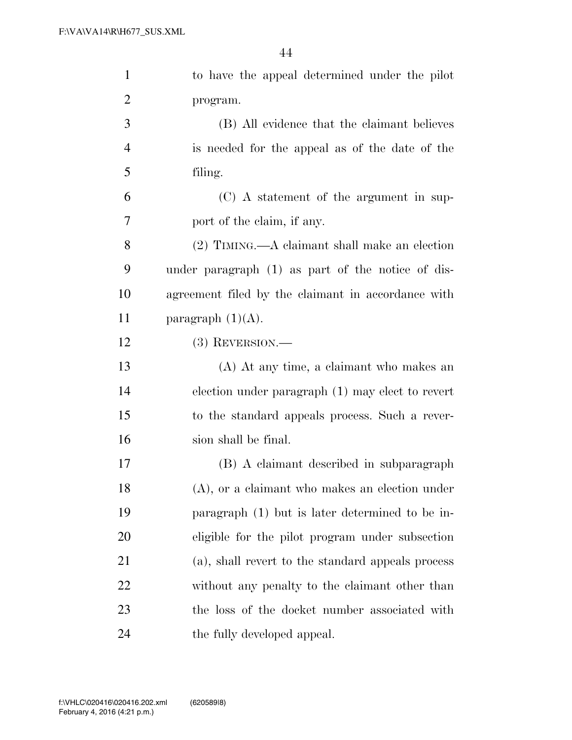| $\mathbf{1}$   | to have the appeal determined under the pilot      |
|----------------|----------------------------------------------------|
| $\overline{c}$ | program.                                           |
| $\mathfrak{Z}$ | (B) All evidence that the claimant believes        |
| $\overline{4}$ | is needed for the appeal as of the date of the     |
| 5              | filing.                                            |
| 6              | (C) A statement of the argument in sup-            |
| $\tau$         | port of the claim, if any.                         |
| 8              | $(2)$ TIMING.—A claimant shall make an election    |
| 9              | under paragraph (1) as part of the notice of dis-  |
| 10             | agreement filed by the claimant in accordance with |
| 11             | paragraph $(1)(A)$ .                               |
| 12             | $(3)$ REVERSION.—                                  |
| 13             | (A) At any time, a claimant who makes an           |
| 14             | election under paragraph $(1)$ may elect to revert |
| 15             | to the standard appeals process. Such a rever-     |
| 16             | sion shall be final.                               |
| 17             | (B) A claimant described in subparagraph           |
| 18             | $(A)$ , or a claimant who makes an election under  |
| 19             | paragraph (1) but is later determined to be in-    |
| 20             | eligible for the pilot program under subsection    |
| 21             | (a), shall revert to the standard appeals process  |
| 22             | without any penalty to the claimant other than     |
| 23             | the loss of the docket number associated with      |
| 24             | the fully developed appeal.                        |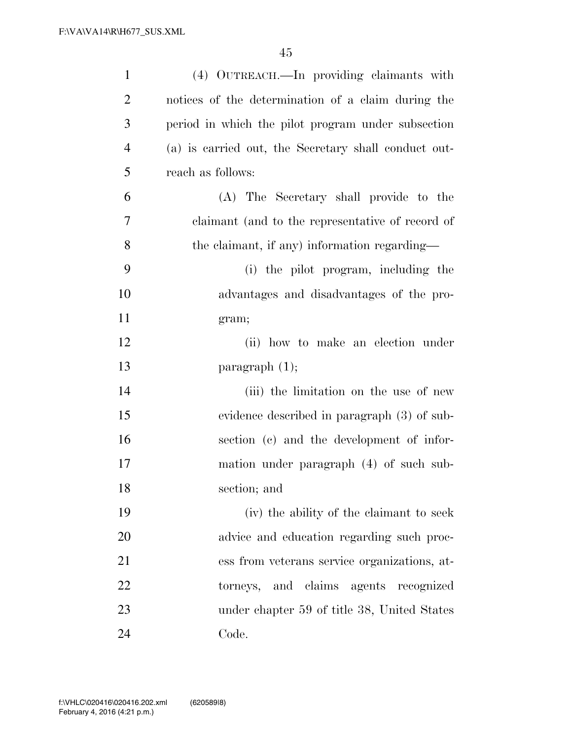| $\mathbf{1}$   | (4) OUTREACH.—In providing claimants with            |
|----------------|------------------------------------------------------|
| $\overline{2}$ | notices of the determination of a claim during the   |
| 3              | period in which the pilot program under subsection   |
| $\overline{4}$ | (a) is carried out, the Secretary shall conduct out- |
| 5              | reach as follows:                                    |
| 6              | (A) The Secretary shall provide to the               |
| 7              | claimant (and to the representative of record of     |
| 8              | the claimant, if any) information regarding—         |
| 9              | (i) the pilot program, including the                 |
| 10             | advantages and disadvantages of the pro-             |
| 11             | gram;                                                |
| 12             | (ii) how to make an election under                   |
| 13             | paragraph $(1)$ ;                                    |
| 14             | (iii) the limitation on the use of new               |
| 15             | evidence described in paragraph (3) of sub-          |
| 16             | section (c) and the development of infor-            |
| 17             | mation under paragraph (4) of such sub-              |
| 18             | section; and                                         |
| 19             | (iv) the ability of the claimant to seek             |
| 20             | advice and education regarding such proc-            |
| 21             | ess from veterans service organizations, at-         |
| 22             | torneys, and claims agents recognized                |
| 23             | under chapter 59 of title 38, United States          |
| 24             | Code.                                                |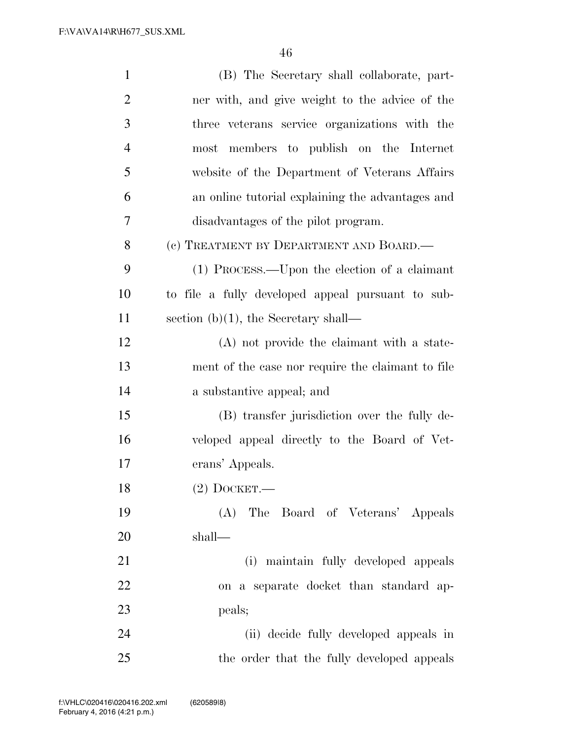| $\mathbf{1}$   | (B) The Secretary shall collaborate, part-        |
|----------------|---------------------------------------------------|
| $\overline{2}$ | ner with, and give weight to the advice of the    |
| 3              | three veterans service organizations with the     |
| $\overline{4}$ | most members to publish on the Internet           |
| 5              | website of the Department of Veterans Affairs     |
| 6              | an online tutorial explaining the advantages and  |
| $\overline{7}$ | disadvantages of the pilot program.               |
| 8              | (c) TREATMENT BY DEPARTMENT AND BOARD.—           |
| 9              | (1) PROCESS.—Upon the election of a claimant      |
| 10             | to file a fully developed appeal pursuant to sub- |
| 11             | section $(b)(1)$ , the Secretary shall—           |
| 12             | (A) not provide the claimant with a state-        |
| 13             | ment of the case nor require the claimant to file |
| 14             | a substantive appeal; and                         |
| 15             | (B) transfer jurisdiction over the fully de-      |
| 16             | veloped appeal directly to the Board of Vet-      |
| 17             | erans' Appeals.                                   |
| 18             | $(2)$ DOCKET.                                     |
| 19             | (A) The Board of Veterans' Appeals                |
| 20             | shall—                                            |
| 21             | (i) maintain fully developed appeals              |
| 22             | on a separate docket than standard ap-            |
| 23             | peals;                                            |
| 24             | (ii) decide fully developed appeals in            |
| 25             | the order that the fully developed appeals        |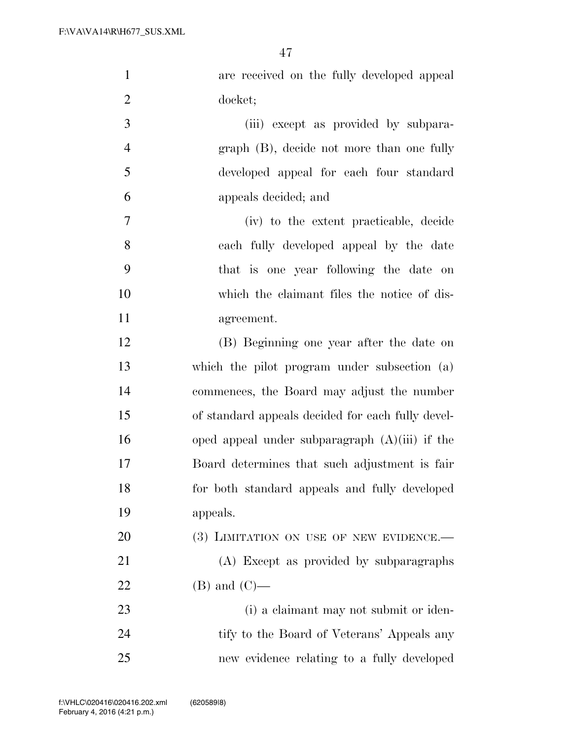| $\mathbf{1}$   | are received on the fully developed appeal        |
|----------------|---------------------------------------------------|
| $\overline{2}$ | docket;                                           |
| 3              | (iii) except as provided by subpara-              |
| $\overline{4}$ | graph (B), decide not more than one fully         |
| 5              | developed appeal for each four standard           |
| 6              | appeals decided; and                              |
| 7              | (iv) to the extent practicable, decide            |
| 8              | each fully developed appeal by the date           |
| 9              | that is one year following the date on            |
| 10             | which the claimant files the notice of dis-       |
| 11             | agreement.                                        |
| 12             | (B) Beginning one year after the date on          |
| 13             | which the pilot program under subsection (a)      |
| 14             | commences, the Board may adjust the number        |
| 15             | of standard appeals decided for each fully devel- |
| 16             | oped appeal under subparagraph $(A)(iii)$ if the  |
| 17             | Board determines that such adjustment is fair     |
| 18             | for both standard appeals and fully developed     |
| 19             | appeals.                                          |
| 20             | (3) LIMITATION ON USE OF NEW EVIDENCE.-           |
| 21             | (A) Except as provided by subparagraphs           |
| 22             | $(B)$ and $(C)$ —                                 |
| 23             | (i) a claimant may not submit or iden-            |
| 24             | tify to the Board of Veterans' Appeals any        |
| 25             | new evidence relating to a fully developed        |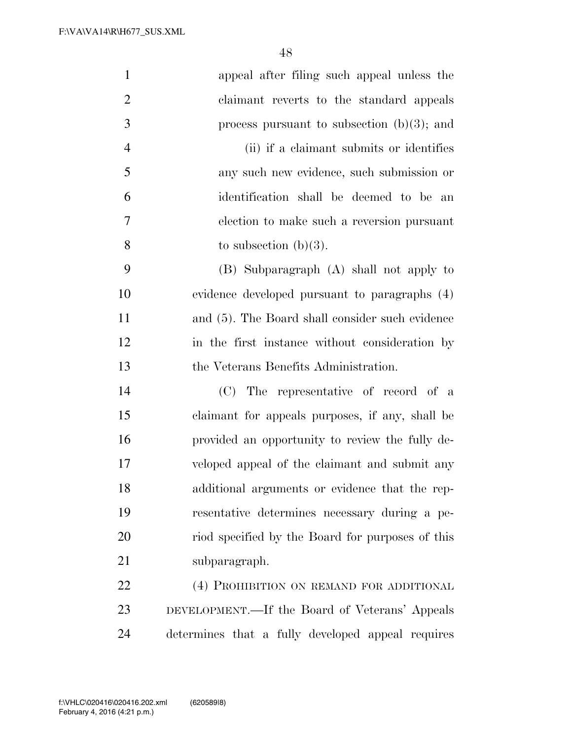| $\mathbf{1}$   | appeal after filing such appeal unless the         |
|----------------|----------------------------------------------------|
| $\overline{2}$ | claimant reverts to the standard appeals           |
| 3              | process pursuant to subsection $(b)(3)$ ; and      |
| $\overline{4}$ | (ii) if a claimant submits or identifies           |
| 5              | any such new evidence, such submission or          |
| 6              | identification shall be deemed to be an            |
| 7              | election to make such a reversion pursuant         |
| 8              | to subsection $(b)(3)$ .                           |
| 9              | (B) Subparagraph (A) shall not apply to            |
| 10             | evidence developed pursuant to paragraphs (4)      |
| 11             | and $(5)$ . The Board shall consider such evidence |
| 12             | in the first instance without consideration by     |
| 13             | the Veterans Benefits Administration.              |
| 14             | The representative of record of a<br>(C)           |
| 15             | claimant for appeals purposes, if any, shall be    |
| 16             | provided an opportunity to review the fully de-    |
| 17             | veloped appeal of the claimant and submit any      |
| 18             | additional arguments or evidence that the rep-     |
| 19             | resentative determines necessary during a pe-      |
| 20             | riod specified by the Board for purposes of this   |
| 21             | subparagraph.                                      |
| 22             | (4) PROHIBITION ON REMAND FOR ADDITIONAL           |
| 23             | DEVELOPMENT.—If the Board of Veterans' Appeals     |
| 24             | determines that a fully developed appeal requires  |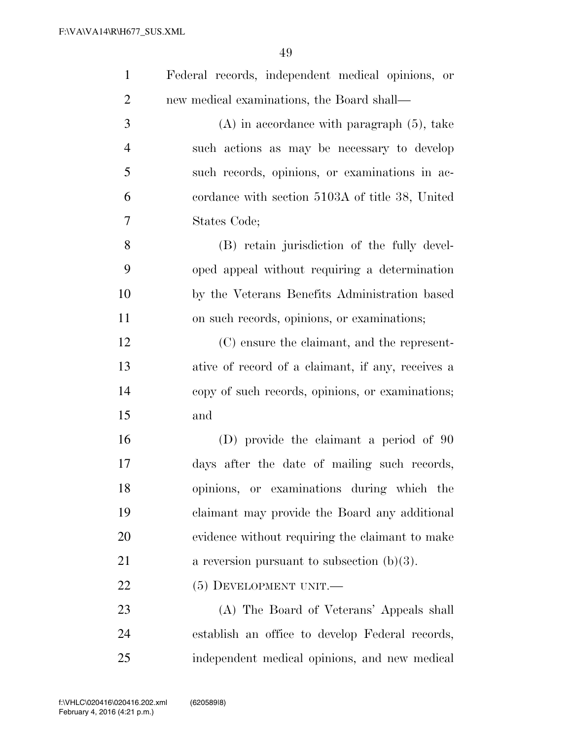| $\mathbf{1}$   | Federal records, independent medical opinions, or |
|----------------|---------------------------------------------------|
| $\overline{2}$ | new medical examinations, the Board shall—        |
| 3              | $(A)$ in accordance with paragraph $(5)$ , take   |
| $\overline{4}$ | such actions as may be necessary to develop       |
| 5              | such records, opinions, or examinations in ac-    |
| 6              | cordance with section 5103A of title 38, United   |
| $\tau$         | States Code;                                      |
| 8              | (B) retain jurisdiction of the fully devel-       |
| 9              | oped appeal without requiring a determination     |
| 10             | by the Veterans Benefits Administration based     |
| 11             | on such records, opinions, or examinations;       |
| 12             | (C) ensure the claimant, and the represent-       |
| 13             | ative of record of a claimant, if any, receives a |
| 14             | copy of such records, opinions, or examinations;  |
| 15             | and                                               |
| 16             | (D) provide the claimant a period of 90           |
| $17\,$         | days after the date of mailing such records,      |
| 18             | opinions, or examinations during which the        |
| 19             | claimant may provide the Board any additional     |
| 20             | evidence without requiring the claimant to make   |
| 21             | a reversion pursuant to subsection $(b)(3)$ .     |
| 22             | $(5)$ DEVELOPMENT UNIT.—                          |
| 23             | (A) The Board of Veterans' Appeals shall          |
| 24             | establish an office to develop Federal records,   |
| 25             | independent medical opinions, and new medical     |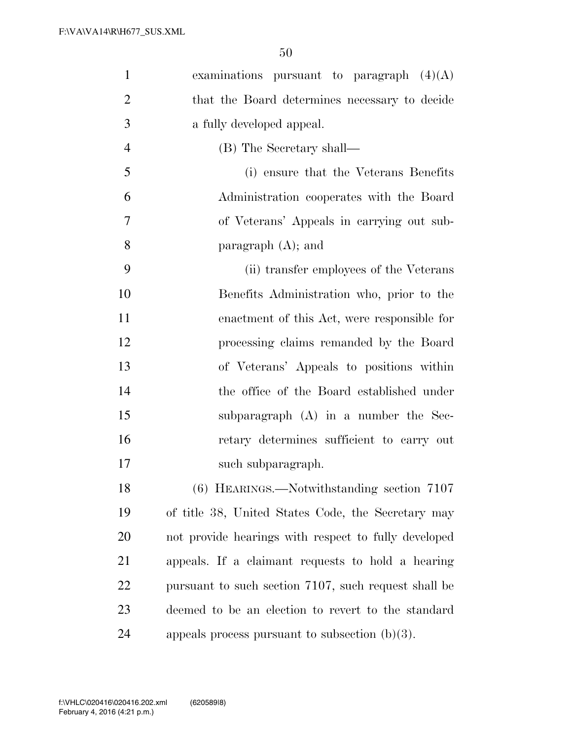| $\mathbf{1}$   | examinations pursuant to paragraph $(4)(A)$          |
|----------------|------------------------------------------------------|
| $\overline{2}$ | that the Board determines necessary to decide        |
| 3              | a fully developed appeal.                            |
| $\overline{4}$ | (B) The Secretary shall—                             |
| 5              | (i) ensure that the Veterans Benefits                |
| 6              | Administration cooperates with the Board             |
| $\overline{7}$ | of Veterans' Appeals in carrying out sub-            |
| 8              | paragraph $(A)$ ; and                                |
| 9              | (ii) transfer employees of the Veterans              |
| 10             | Benefits Administration who, prior to the            |
| 11             | enactment of this Act, were responsible for          |
| 12             | processing claims remanded by the Board              |
| 13             | of Veterans' Appeals to positions within             |
| 14             | the office of the Board established under            |
| 15             | subparagraph (A) in a number the Sec-                |
| 16             | retary determines sufficient to carry out            |
| 17             | such subparagraph.                                   |
| 18             | $(6)$ HEARINGS.—Notwithstanding section 7107         |
| 19             | of title 38, United States Code, the Secretary may   |
| 20             | not provide hearings with respect to fully developed |
| 21             | appeals. If a claimant requests to hold a hearing    |
| 22             | pursuant to such section 7107, such request shall be |
| 23             | deemed to be an election to revert to the standard   |
| 24             | appeals process pursuant to subsection $(b)(3)$ .    |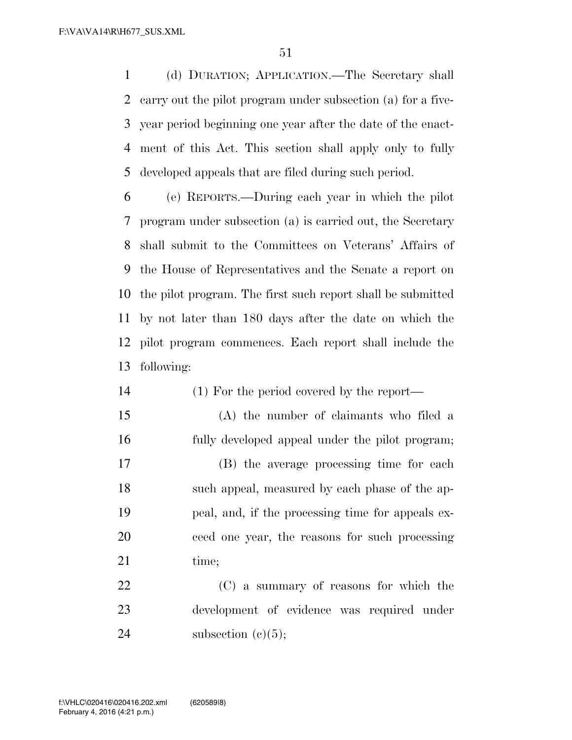(d) DURATION; APPLICATION.—The Secretary shall carry out the pilot program under subsection (a) for a five- year period beginning one year after the date of the enact- ment of this Act. This section shall apply only to fully developed appeals that are filed during such period.

 (e) REPORTS.—During each year in which the pilot program under subsection (a) is carried out, the Secretary shall submit to the Committees on Veterans' Affairs of the House of Representatives and the Senate a report on the pilot program. The first such report shall be submitted by not later than 180 days after the date on which the pilot program commences. Each report shall include the following:

- (1) For the period covered by the report—
- (A) the number of claimants who filed a fully developed appeal under the pilot program; (B) the average processing time for each such appeal, measured by each phase of the ap- peal, and, if the processing time for appeals ex- ceed one year, the reasons for such processing 21 time:

 (C) a summary of reasons for which the development of evidence was required under 24 subsection  $(e)(5)$ ;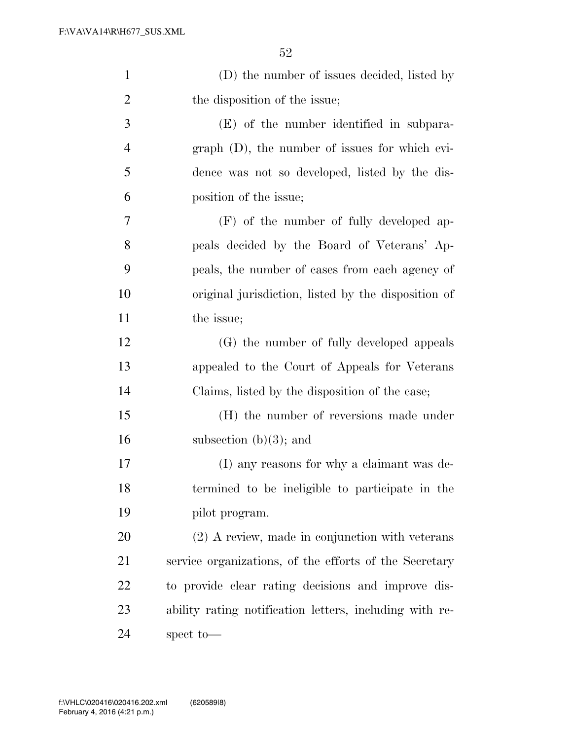| $\mathbf{1}$   | (D) the number of issues decided, listed by             |
|----------------|---------------------------------------------------------|
| $\overline{2}$ | the disposition of the issue;                           |
| 3              | (E) of the number identified in subpara-                |
| $\overline{4}$ | $graph$ (D), the number of issues for which evi-        |
| 5              | dence was not so developed, listed by the dis-          |
| 6              | position of the issue;                                  |
| 7              | (F) of the number of fully developed ap-                |
| 8              | peals decided by the Board of Veterans' Ap-             |
| 9              | peals, the number of cases from each agency of          |
| 10             | original jurisdiction, listed by the disposition of     |
| 11             | the issue;                                              |
| 12             | (G) the number of fully developed appeals               |
| 13             | appealed to the Court of Appeals for Veterans           |
| 14             | Claims, listed by the disposition of the case;          |
| 15             | (H) the number of reversions made under                 |
| 16             | subsection $(b)(3)$ ; and                               |
| 17             | (I) any reasons for why a claimant was de-              |
| 18             | termined to be ineligible to participate in the         |
| 19             | pilot program.                                          |
| 20             | $(2)$ A review, made in conjunction with veterans       |
| 21             | service organizations, of the efforts of the Secretary  |
| 22             | to provide clear rating decisions and improve dis-      |
| 23             | ability rating notification letters, including with re- |
| 24             | spect to-                                               |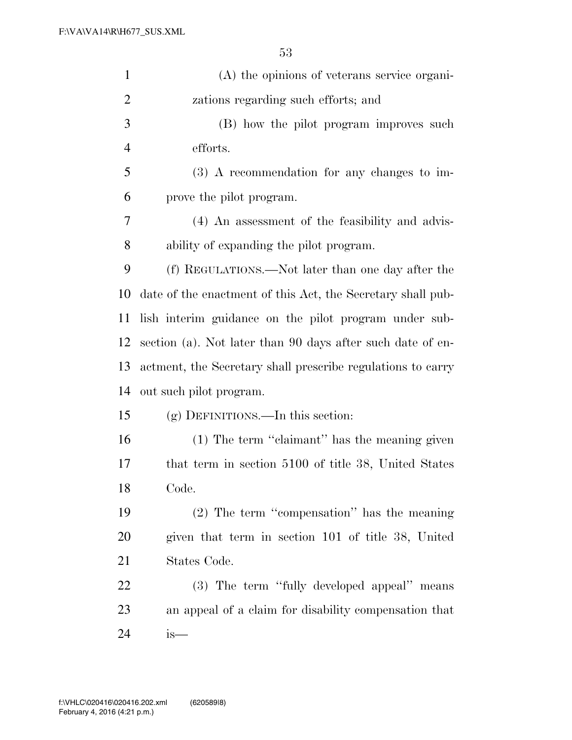| $\mathbf{1}$   | (A) the opinions of veterans service organi-                |
|----------------|-------------------------------------------------------------|
| $\overline{2}$ | zations regarding such efforts; and                         |
| 3              | (B) how the pilot program improves such                     |
| $\overline{4}$ | efforts.                                                    |
| 5              | $(3)$ A recommendation for any changes to im-               |
| 6              | prove the pilot program.                                    |
| 7              | (4) An assessment of the feasibility and advis-             |
| $8\,$          | ability of expanding the pilot program.                     |
| 9              | (f) REGULATIONS.—Not later than one day after the           |
| 10             | date of the enactment of this Act, the Secretary shall pub- |
| 11             | lish interim guidance on the pilot program under sub-       |
| 12             | section (a). Not later than 90 days after such date of en-  |
| 13             | actment, the Secretary shall prescribe regulations to carry |
| 14             | out such pilot program.                                     |
| 15             | $(g)$ DEFINITIONS.—In this section:                         |
| 16             | (1) The term "claimant" has the meaning given               |
| 17             | that term in section 5100 of title 38, United States        |
| 18             | Code.                                                       |
| 19             | $(2)$ The term "compensation" has the meaning               |
| 20             | given that term in section 101 of title 38, United          |
| 21             | States Code.                                                |
| 22             | (3) The term "fully developed appeal" means                 |
| 23             | an appeal of a claim for disability compensation that       |
| 24             | $is-$                                                       |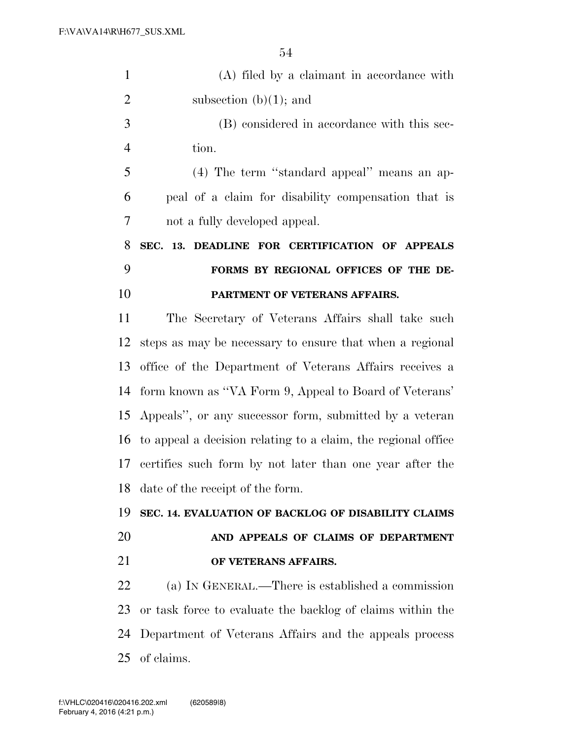| $\mathbf{1}$   | (A) filed by a claimant in accordance with                    |
|----------------|---------------------------------------------------------------|
| $\overline{2}$ | subsection $(b)(1)$ ; and                                     |
| 3              | (B) considered in accordance with this sec-                   |
| $\overline{4}$ | tion.                                                         |
| 5              | (4) The term "standard appeal" means an ap-                   |
| 6              | peal of a claim for disability compensation that is           |
| 7              | not a fully developed appeal.                                 |
| 8              | SEC. 13. DEADLINE FOR CERTIFICATION OF APPEALS                |
| 9              | FORMS BY REGIONAL OFFICES OF THE DE-                          |
| 10             | PARTMENT OF VETERANS AFFAIRS.                                 |
| 11             | The Secretary of Veterans Affairs shall take such             |
| 12             | steps as may be necessary to ensure that when a regional      |
| 13             | office of the Department of Veterans Affairs receives a       |
| 14             | form known as "VA Form 9, Appeal to Board of Veterans"        |
| 15             | Appeals", or any successor form, submitted by a veteran       |
| 16             | to appeal a decision relating to a claim, the regional office |
| 17             | certifies such form by not later than one year after the      |
| 18             | date of the receipt of the form.                              |
| 19             | SEC. 14. EVALUATION OF BACKLOG OF DISABILITY CLAIMS           |
| 20             | AND APPEALS OF CLAIMS OF DEPARTMENT                           |
| 21             | OF VETERANS AFFAIRS.                                          |
| 22             | (a) IN GENERAL.—There is established a commission             |
| 23             | or task force to evaluate the backlog of claims within the    |
| 24             | Department of Veterans Affairs and the appeals process        |
| 25             | of claims.                                                    |
|                |                                                               |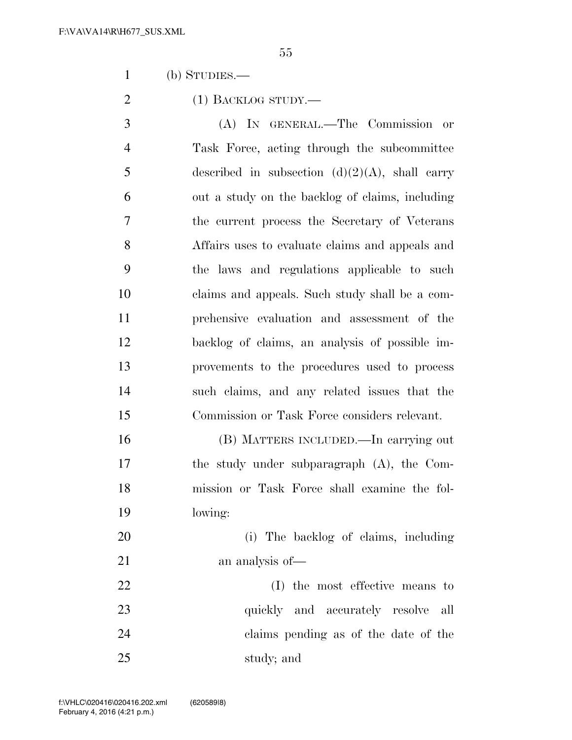(b) STUDIES.—

2 (1) BACKLOG STUDY.—

 (A) IN GENERAL.—The Commission or Task Force, acting through the subcommittee 5 described in subsection  $(d)(2)(A)$ , shall carry out a study on the backlog of claims, including the current process the Secretary of Veterans Affairs uses to evaluate claims and appeals and the laws and regulations applicable to such claims and appeals. Such study shall be a com- prehensive evaluation and assessment of the backlog of claims, an analysis of possible im- provements to the procedures used to process such claims, and any related issues that the Commission or Task Force considers relevant.

 (B) MATTERS INCLUDED.—In carrying out the study under subparagraph (A), the Com- mission or Task Force shall examine the fol-lowing:

 (i) The backlog of claims, including 21 an analysis of —

 (I) the most effective means to 23 quickly and accurately resolve all claims pending as of the date of the study; and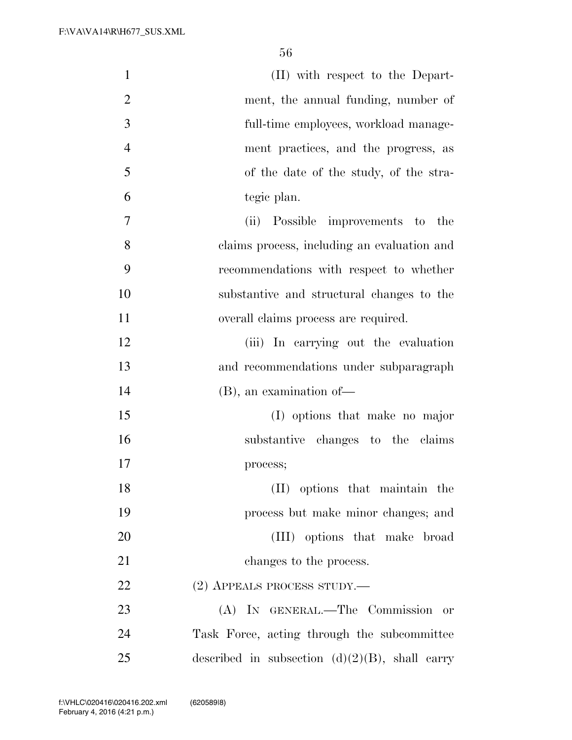| $\mathbf{1}$   | (II) with respect to the Depart-                  |
|----------------|---------------------------------------------------|
| $\overline{2}$ | ment, the annual funding, number of               |
| 3              | full-time employees, workload manage-             |
| $\overline{4}$ | ment practices, and the progress, as              |
| 5              | of the date of the study, of the stra-            |
| 6              | tegic plan.                                       |
| 7              | (ii) Possible improvements to the                 |
| 8              | claims process, including an evaluation and       |
| 9              | recommendations with respect to whether           |
| 10             | substantive and structural changes to the         |
| 11             | overall claims process are required.              |
| 12             | (iii) In carrying out the evaluation              |
| 13             | and recommendations under subparagraph            |
| 14             | $(B)$ , an examination of —                       |
| 15             | (I) options that make no major                    |
| 16             | substantive changes to the claims                 |
| 17             | process;                                          |
| 18             | (II) options that maintain the                    |
| 19             | process but make minor changes; and               |
| 20             | (III) options that make broad                     |
| 21             | changes to the process.                           |
| 22             | (2) APPEALS PROCESS STUDY.—                       |
| 23             | (A) IN GENERAL.—The Commission or                 |
| 24             | Task Force, acting through the subcommittee       |
| 25             | described in subsection $(d)(2)(B)$ , shall carry |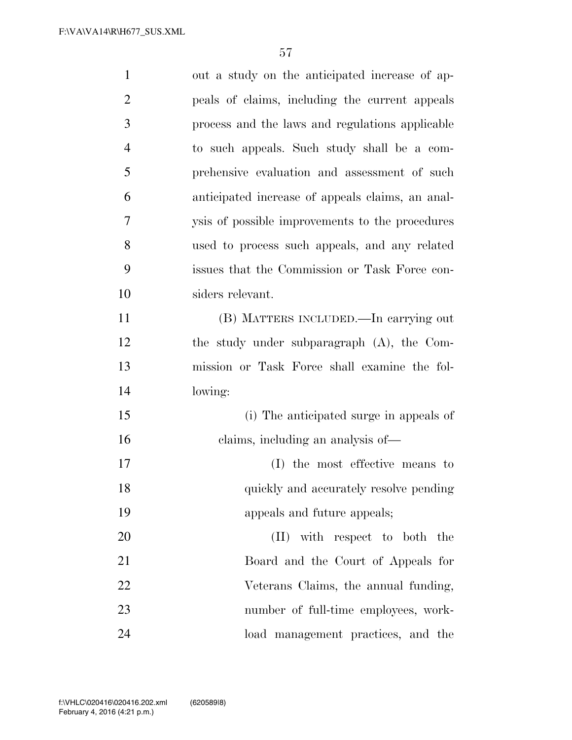| $\mathbf{1}$   | out a study on the anticipated increase of ap-   |
|----------------|--------------------------------------------------|
| $\overline{2}$ | peals of claims, including the current appeals   |
| 3              | process and the laws and regulations applicable  |
| $\overline{4}$ | to such appeals. Such study shall be a com-      |
| 5              | prehensive evaluation and assessment of such     |
| 6              | anticipated increase of appeals claims, an anal- |
| $\overline{7}$ | ysis of possible improvements to the procedures  |
| 8              | used to process such appeals, and any related    |
| 9              | issues that the Commission or Task Force con-    |
| 10             | siders relevant.                                 |
| 11             | (B) MATTERS INCLUDED.—In carrying out            |
| 12             | the study under subparagraph (A), the Com-       |
| 13             | mission or Task Force shall examine the fol-     |
| 14             | lowing:                                          |
| 15             | (i) The anticipated surge in appeals of          |
| 16             | claims, including an analysis of—                |
| 17             | (I) the most effective means to                  |
| 18             | quickly and accurately resolve pending           |
| 19             | appeals and future appeals;                      |
| 20             | (II) with respect to both the                    |
| 21             | Board and the Court of Appeals for               |
| 22             | Veterans Claims, the annual funding,             |
| 23             | number of full-time employees, work-             |
| 24             | load management practices, and the               |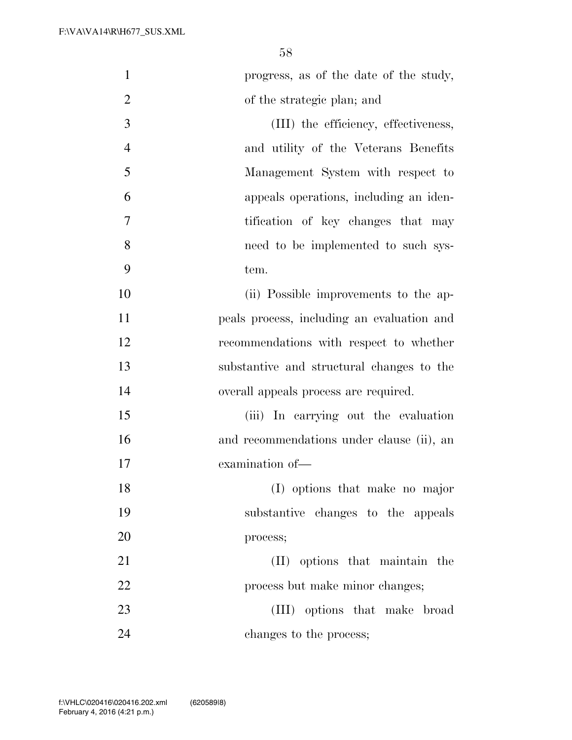| $\mathbf{1}$   | progress, as of the date of the study,     |
|----------------|--------------------------------------------|
| $\overline{2}$ | of the strategic plan; and                 |
| 3              | (III) the efficiency, effectiveness,       |
| $\overline{4}$ | and utility of the Veterans Benefits       |
| 5              | Management System with respect to          |
| 6              | appeals operations, including an iden-     |
| 7              | tification of key changes that may         |
| 8              | need to be implemented to such sys-        |
| 9              | tem.                                       |
| 10             | (ii) Possible improvements to the ap-      |
| 11             | peals process, including an evaluation and |
| 12             | recommendations with respect to whether    |
| 13             | substantive and structural changes to the  |
| 14             | overall appeals process are required.      |
| 15             | (iii) In carrying out the evaluation       |
| 16             | and recommendations under clause (ii), an  |
| 17             | examination of-                            |
| 18             | (I) options that make no major             |
| 19             | substantive changes to the appeals         |
| 20             | process;                                   |
| 21             | (II) options that maintain the             |
| 22             | process but make minor changes;            |
| 23             | (III) options that make broad              |
| 24             | changes to the process;                    |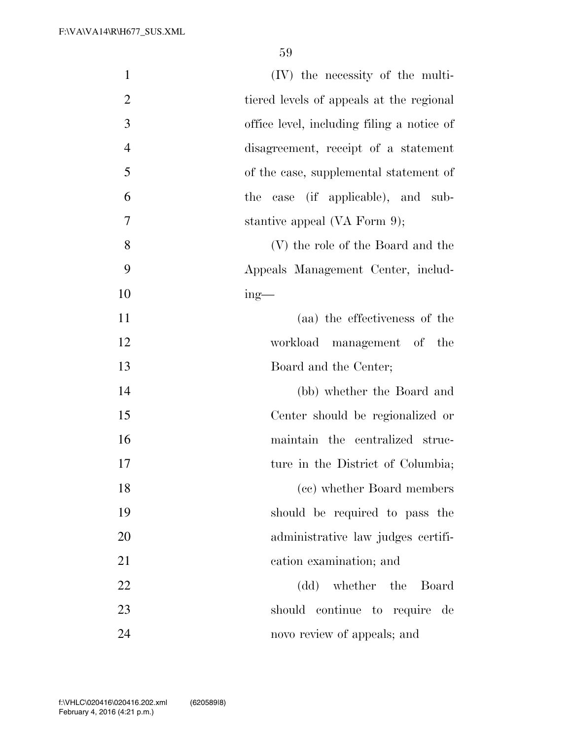| $\mathbf{1}$   | (IV) the necessity of the multi-           |
|----------------|--------------------------------------------|
| $\overline{2}$ | tiered levels of appeals at the regional   |
| 3              | office level, including filing a notice of |
| $\overline{4}$ | disagreement, receipt of a statement       |
| 5              | of the case, supplemental statement of     |
| 6              | the case (if applicable), and sub-         |
| 7              | stantive appeal (VA Form 9);               |
| 8              | (V) the role of the Board and the          |
| 9              | Appeals Management Center, includ-         |
| 10             | $ing$ —                                    |
| 11             | (aa) the effectiveness of the              |
| 12             | workload management of the                 |
| 13             | Board and the Center;                      |
| 14             | (bb) whether the Board and                 |
| 15             | Center should be regionalized or           |
| 16             | maintain the centralized struc-            |
| 17             | ture in the District of Columbia;          |
| 18             | (cc) whether Board members                 |
| 19             | should be required to pass the             |
| 20             | administrative law judges certifi-         |
| 21             | cation examination; and                    |
| 22             | (dd) whether the Board                     |
| 23             | should continue to require<br>– de         |
| 24             | novo review of appeals; and                |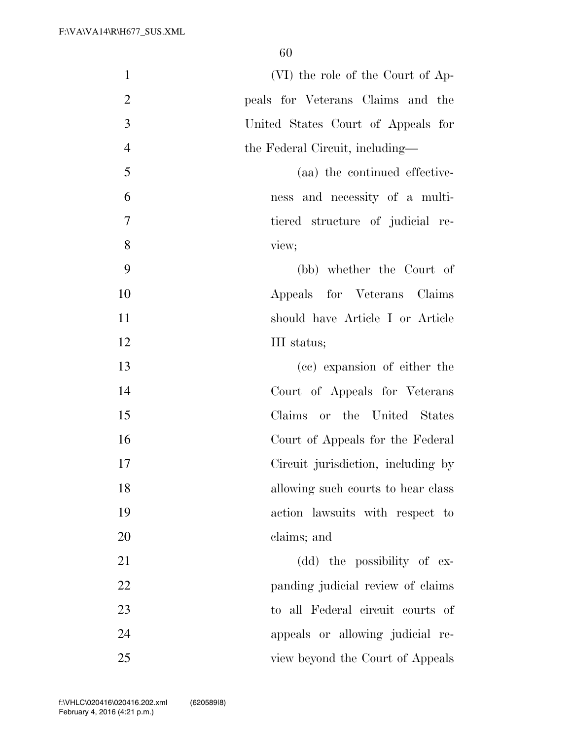| $\mathbf{1}$   | (VI) the role of the Court of Ap-  |
|----------------|------------------------------------|
| $\overline{2}$ | peals for Veterans Claims and the  |
| 3              | United States Court of Appeals for |
| $\overline{4}$ | the Federal Circuit, including-    |
| 5              | (aa) the continued effective-      |
| 6              | ness and necessity of a multi-     |
| $\overline{7}$ | tiered structure of judicial re-   |
| 8              | view;                              |
| 9              | (bb) whether the Court of          |
| 10             | Appeals for Veterans Claims        |
| 11             | should have Article I or Article   |
| 12             | III status;                        |
| 13             | (cc) expansion of either the       |
| 14             | Court of Appeals for Veterans      |
| 15             | Claims or the United States        |
| 16             | Court of Appeals for the Federal   |
| 17             | Circuit jurisdiction, including by |
| 18             | allowing such courts to hear class |
| 19             | action lawsuits with respect to    |
| 20             | claims; and                        |
| 21             | (dd) the possibility of ex-        |
| 22             | panding judicial review of claims  |
| 23             | to all Federal circuit courts of   |
| 24             | appeals or allowing judicial re-   |
| 25             | view beyond the Court of Appeals   |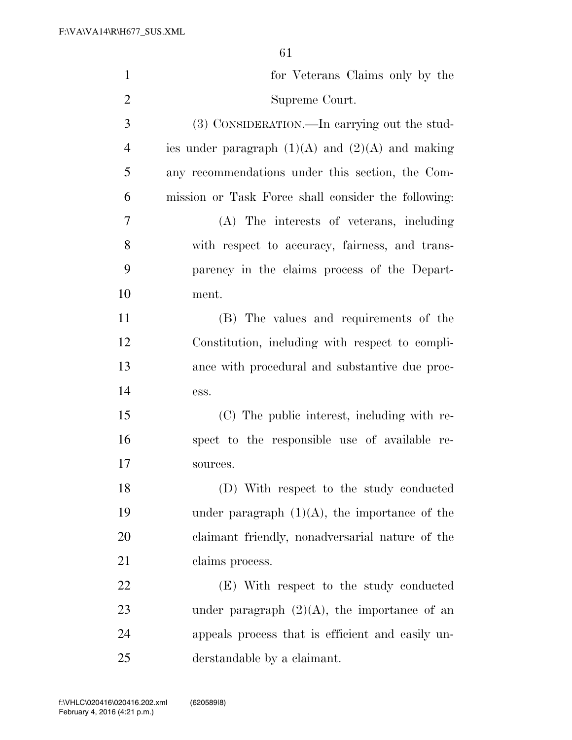| $\mathbf{1}$   | for Veterans Claims only by the                      |
|----------------|------------------------------------------------------|
| $\overline{2}$ | Supreme Court.                                       |
| 3              | (3) CONSIDERATION.—In carrying out the stud-         |
| $\overline{4}$ | ies under paragraph $(1)(A)$ and $(2)(A)$ and making |
| 5              | any recommendations under this section, the Com-     |
| 6              | mission or Task Force shall consider the following:  |
| 7              | (A) The interests of veterans, including             |
| 8              | with respect to accuracy, fairness, and trans-       |
| 9              | parency in the claims process of the Depart-         |
| 10             | ment.                                                |
| 11             | (B) The values and requirements of the               |
| 12             | Constitution, including with respect to compli-      |
| 13             | ance with procedural and substantive due proc-       |
| 14             | ess.                                                 |
| 15             | (C) The public interest, including with re-          |
| 16             | spect to the responsible use of available re-        |
| 17             | sources.                                             |
| 18             | (D) With respect to the study conducted              |
| 19             | under paragraph $(1)(A)$ , the importance of the     |
| 20             | claimant friendly, nonadversarial nature of the      |
| 21             | claims process.                                      |
| 22             | (E) With respect to the study conducted              |
| 23             | under paragraph $(2)(A)$ , the importance of an      |
| 24             | appeals process that is efficient and easily un-     |
| 25             | derstandable by a claimant.                          |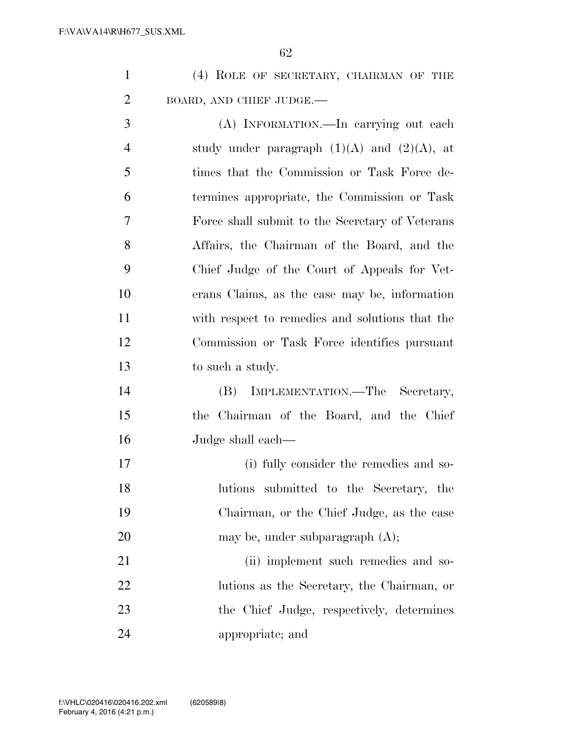| $\mathbf{1}$   | (4) ROLE OF SECRETARY, CHAIRMAN OF THE           |
|----------------|--------------------------------------------------|
| $\overline{2}$ | BOARD, AND CHIEF JUDGE.-                         |
| 3              | (A) INFORMATION.—In carrying out each            |
| $\overline{4}$ | study under paragraph $(1)(A)$ and $(2)(A)$ , at |
| 5              | times that the Commission or Task Force de-      |
| 6              | termines appropriate, the Commission or Task     |
| 7              | Force shall submit to the Secretary of Veterans  |
| 8              | Affairs, the Chairman of the Board, and the      |
| 9              | Chief Judge of the Court of Appeals for Vet-     |
| 10             | erans Claims, as the case may be, information    |
| 11             | with respect to remedies and solutions that the  |
| 12             | Commission or Task Force identifies pursuant     |
| 13             | to such a study.                                 |
| 14             | IMPLEMENTATION.—The Secretary,<br>(B)            |
| 15             | the Chairman of the Board, and the Chief         |
| 16             | Judge shall each—                                |

 (i) fully consider the remedies and so- lutions submitted to the Secretary, the Chairman, or the Chief Judge, as the case 20 may be, under subparagraph (A); 21 (ii) implement such remedies and so- lutions as the Secretary, the Chairman, or the Chief Judge, respectively, determines

appropriate; and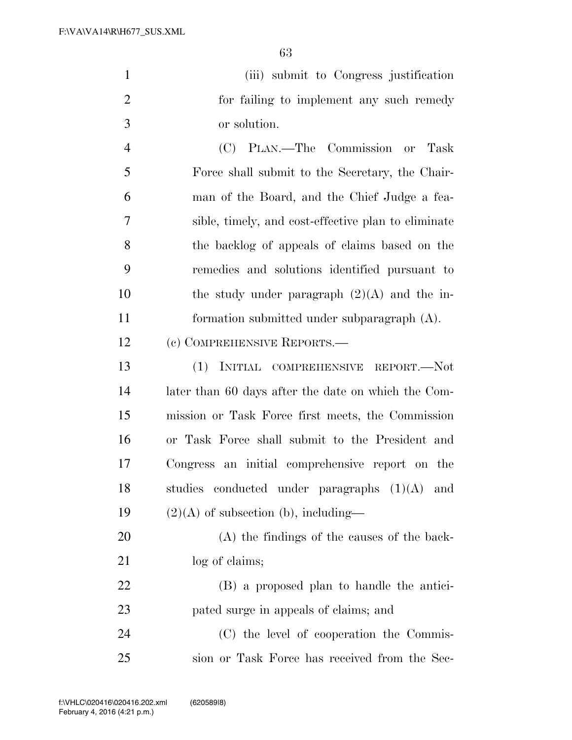| $\mathbf{1}$   | (iii) submit to Congress justification              |
|----------------|-----------------------------------------------------|
| 2              | for failing to implement any such remedy            |
| 3              | or solution.                                        |
| $\overline{4}$ | (C) PLAN.—The Commission or Task                    |
| 5              | Force shall submit to the Secretary, the Chair-     |
| 6              | man of the Board, and the Chief Judge a fea-        |
| 7              | sible, timely, and cost-effective plan to eliminate |
| 8              | the backlog of appeals of claims based on the       |
| 9              | remedies and solutions identified pursuant to       |
| 10             | the study under paragraph $(2)(A)$ and the in-      |
| 11             | formation submitted under subparagraph (A).         |
| 12             | (c) COMPREHENSIVE REPORTS.—                         |
| 13             | (1)<br>INITIAL COMPREHENSIVE REPORT.-Not            |
| 14             | later than 60 days after the date on which the Com- |
| 15             | mission or Task Force first meets, the Commission   |
| 16             | or Task Force shall submit to the President and     |
| 17             | Congress an initial comprehensive report on the     |
| 18             | studies<br>conducted under paragraphs $(1)(A)$ and  |
| 19             | $(2)(A)$ of subsection (b), including—              |
| 20             | (A) the findings of the causes of the back-         |
| 21             | log of claims;                                      |
| 22             | (B) a proposed plan to handle the antici-           |
| 23             | pated surge in appeals of claims; and               |
| 24             | (C) the level of cooperation the Commis-            |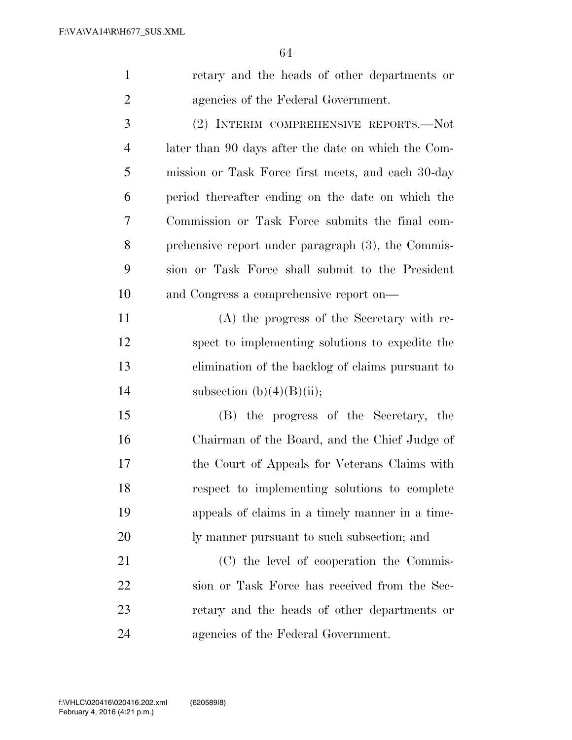| $\mathbf{1}$   | retary and the heads of other departments or        |
|----------------|-----------------------------------------------------|
| 2              | agencies of the Federal Government.                 |
| 3              | (2) INTERIM COMPREHENSIVE REPORTS.—Not              |
| $\overline{4}$ | later than 90 days after the date on which the Com- |
| 5              | mission or Task Force first meets, and each 30-day  |
| 6              | period thereafter ending on the date on which the   |
| 7              | Commission or Task Force submits the final com-     |
|                |                                                     |

 prehensive report under paragraph (3), the Commis- sion or Task Force shall submit to the President and Congress a comprehensive report on—

 (A) the progress of the Secretary with re- spect to implementing solutions to expedite the elimination of the backlog of claims pursuant to 14 subsection  $(b)(4)(B)(ii)$ ;

 (B) the progress of the Secretary, the Chairman of the Board, and the Chief Judge of the Court of Appeals for Veterans Claims with respect to implementing solutions to complete appeals of claims in a timely manner in a time-ly manner pursuant to such subsection; and

 (C) the level of cooperation the Commis- sion or Task Force has received from the Sec- retary and the heads of other departments or agencies of the Federal Government.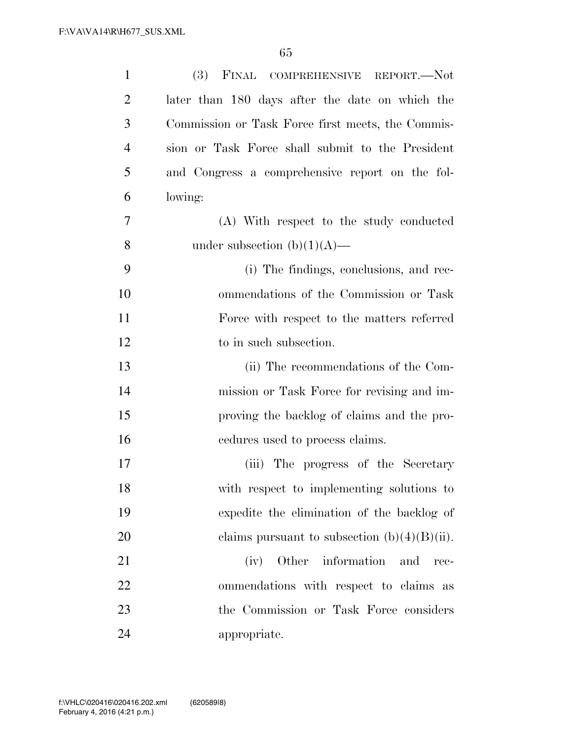| $\mathbf{1}$   | (3) FINAL COMPREHENSIVE REPORT.-Not               |
|----------------|---------------------------------------------------|
| $\overline{2}$ | later than 180 days after the date on which the   |
| 3              | Commission or Task Force first meets, the Commis- |
| $\overline{4}$ | sion or Task Force shall submit to the President  |
| 5              | and Congress a comprehensive report on the fol-   |
| 6              | lowing:                                           |
| 7              | (A) With respect to the study conducted           |
| 8              | under subsection $(b)(1)(A)$ —                    |
| 9              | (i) The findings, conclusions, and rec-           |
| 10             | ommendations of the Commission or Task            |
| 11             | Force with respect to the matters referred        |
| 12             | to in such subsection.                            |
| 13             | (ii) The recommendations of the Com-              |
| 14             | mission or Task Force for revising and im-        |
| 15             | proving the backlog of claims and the pro-        |
| 16             | endures used to process claims.                   |
| 17             | (iii) The progress of the Secretary               |
| 18             | with respect to implementing solutions to         |
| 19             | expedite the elimination of the backlog of        |
| 20             | claims pursuant to subsection $(b)(4)(B)(ii)$ .   |
| 21             | Other information<br>(iv)<br>and<br>rec-          |
| 22             | ommendations with respect to claims as            |
| 23             | the Commission or Task Force considers            |
| 24             | appropriate.                                      |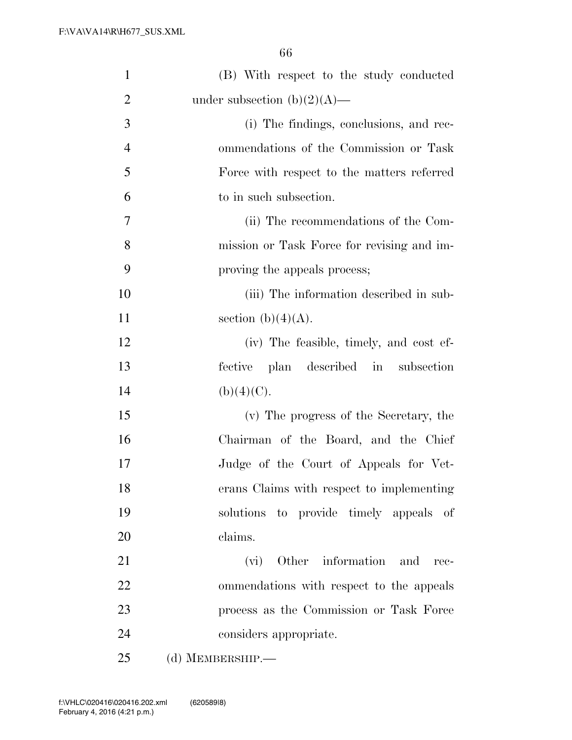| $\mathbf{1}$   | (B) With respect to the study conducted    |
|----------------|--------------------------------------------|
| $\overline{2}$ | under subsection $(b)(2)(A)$ —             |
| 3              | (i) The findings, conclusions, and rec-    |
| $\overline{4}$ | ommendations of the Commission or Task     |
| 5              | Force with respect to the matters referred |
| 6              | to in such subsection.                     |
| $\overline{7}$ | (ii) The recommendations of the Com-       |
| 8              | mission or Task Force for revising and im- |
| 9              | proving the appeals process;               |
| 10             | (iii) The information described in sub-    |
| 11             | section (b) $(4)(A)$ .                     |
| 12             | (iv) The feasible, timely, and cost ef-    |
| 13             | fective plan described in subsection       |
| 14             | (b)(4)(C).                                 |
| 15             | (v) The progress of the Secretary, the     |
| 16             | Chairman of the Board, and the Chief       |
| 17             | Judge of the Court of Appeals for Vet-     |
| 18             | erans Claims with respect to implementing  |
| 19             | solutions to provide timely appeals of     |
| 20             | claims.                                    |
| 21             | (vi) Other information and<br>rec-         |
| 22             | ommendations with respect to the appeals   |
| 23             | process as the Commission or Task Force    |
| 24             | considers appropriate.                     |
| 25             | (d) MEMBERSHIP.-                           |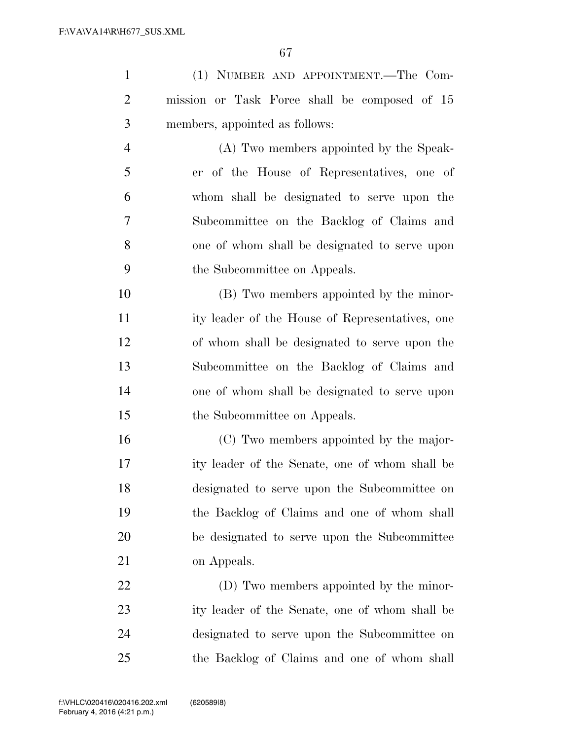| $\mathbf{1}$   | (1) NUMBER AND APPOINTMENT.—The Com-            |
|----------------|-------------------------------------------------|
| $\overline{2}$ | mission or Task Force shall be composed of 15   |
| 3              | members, appointed as follows:                  |
| $\overline{4}$ | (A) Two members appointed by the Speak-         |
| 5              | er of the House of Representatives, one of      |
| 6              | whom shall be designated to serve upon the      |
| 7              | Subcommittee on the Backlog of Claims and       |
| 8              | one of whom shall be designated to serve upon   |
| 9              | the Subcommittee on Appeals.                    |
| 10             | (B) Two members appointed by the minor-         |
| 11             | ity leader of the House of Representatives, one |
| 12             | of whom shall be designated to serve upon the   |
| 13             | Subcommittee on the Backlog of Claims and       |
| 14             | one of whom shall be designated to serve upon   |
| 15             | the Subcommittee on Appeals.                    |
| 16             | (C) Two members appointed by the major-         |
| 17             | ity leader of the Senate, one of whom shall be  |
| 18             | designated to serve upon the Subcommittee on    |
| 19             | the Backlog of Claims and one of whom shall     |
| 20             | be designated to serve upon the Subcommittee    |
| 21             | on Appeals.                                     |
| 22             | (D) Two members appointed by the minor-         |

 ity leader of the Senate, one of whom shall be designated to serve upon the Subcommittee on the Backlog of Claims and one of whom shall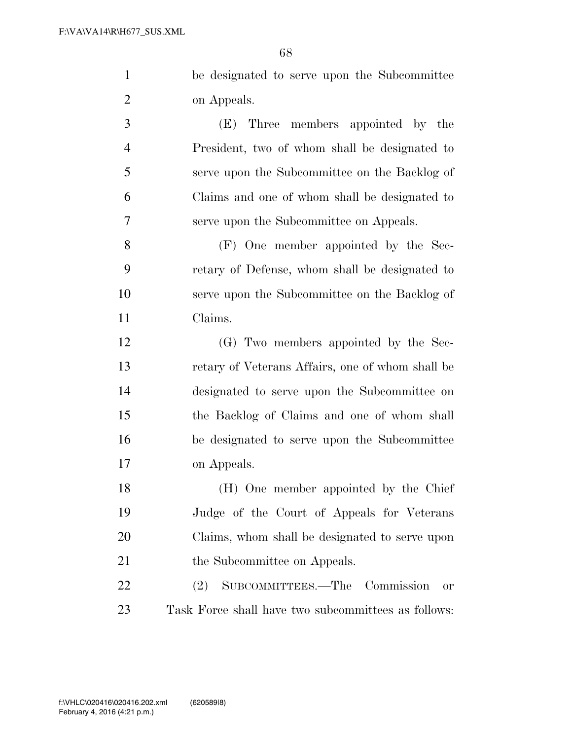be designated to serve upon the Subcommittee on Appeals.

 (E) Three members appointed by the President, two of whom shall be designated to serve upon the Subcommittee on the Backlog of Claims and one of whom shall be designated to serve upon the Subcommittee on Appeals.

 (F) One member appointed by the Sec- retary of Defense, whom shall be designated to serve upon the Subcommittee on the Backlog of Claims.

 (G) Two members appointed by the Sec- retary of Veterans Affairs, one of whom shall be designated to serve upon the Subcommittee on the Backlog of Claims and one of whom shall be designated to serve upon the Subcommittee on Appeals.

 (H) One member appointed by the Chief Judge of the Court of Appeals for Veterans Claims, whom shall be designated to serve upon 21 the Subcommittee on Appeals.

 (2) SUBCOMMITTEES.—The Commission or Task Force shall have two subcommittees as follows: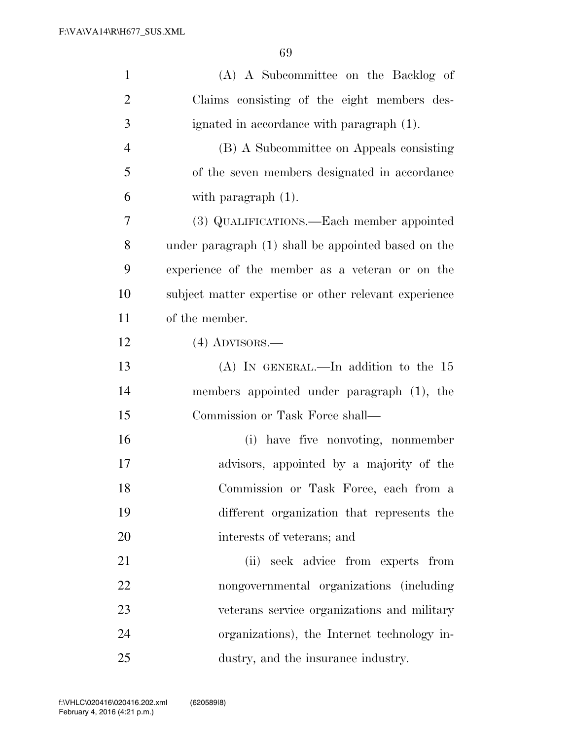| $\mathbf{1}$   | (A) A Subcommittee on the Backlog of                  |
|----------------|-------------------------------------------------------|
| $\overline{2}$ | Claims consisting of the eight members des-           |
| 3              | ignated in accordance with paragraph (1).             |
| $\overline{4}$ | (B) A Subcommittee on Appeals consisting              |
| 5              | of the seven members designated in accordance         |
| 6              | with paragraph $(1)$ .                                |
| 7              | (3) QUALIFICATIONS.—Each member appointed             |
| 8              | under paragraph (1) shall be appointed based on the   |
| 9              | experience of the member as a veteran or on the       |
| 10             | subject matter expertise or other relevant experience |
| 11             | of the member.                                        |
| 12             | $(4)$ ADVISORS.—                                      |
| 13             | (A) IN GENERAL.—In addition to the $15$               |
| 14             | members appointed under paragraph (1), the            |
| 15             | Commission or Task Force shall—                       |
| 16             | (i) have five nonvoting, nonmember                    |
| 17             | advisors, appointed by a majority of the              |
| 18             | Commission or Task Force, each from a                 |
| 19             | different organization that represents the            |
| 20             | interests of veterans; and                            |
| 21             | (ii) seek advice from experts from                    |
| 22             | nongovernmental organizations (including              |
| 23             | veterans service organizations and military           |
| 24             | organizations), the Internet technology in-           |
| 25             | dustry, and the insurance industry.                   |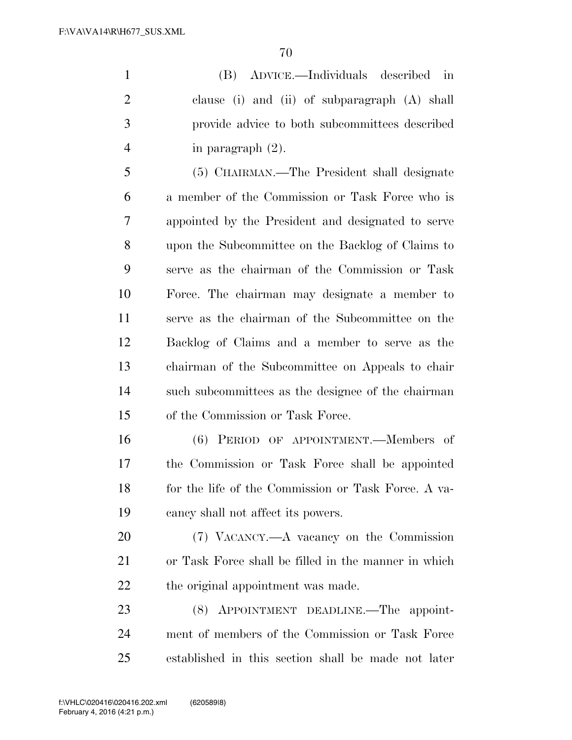(B) ADVICE.—Individuals described in clause (i) and (ii) of subparagraph (A) shall provide advice to both subcommittees described in paragraph (2).

 (5) CHAIRMAN.—The President shall designate a member of the Commission or Task Force who is appointed by the President and designated to serve upon the Subcommittee on the Backlog of Claims to serve as the chairman of the Commission or Task Force. The chairman may designate a member to serve as the chairman of the Subcommittee on the Backlog of Claims and a member to serve as the chairman of the Subcommittee on Appeals to chair such subcommittees as the designee of the chairman of the Commission or Task Force.

 (6) PERIOD OF APPOINTMENT.—Members of the Commission or Task Force shall be appointed 18 for the life of the Commission or Task Force. A va-cancy shall not affect its powers.

 (7) VACANCY.—A vacancy on the Commission or Task Force shall be filled in the manner in which 22 the original appointment was made.

 (8) APPOINTMENT DEADLINE.—The appoint- ment of members of the Commission or Task Force established in this section shall be made not later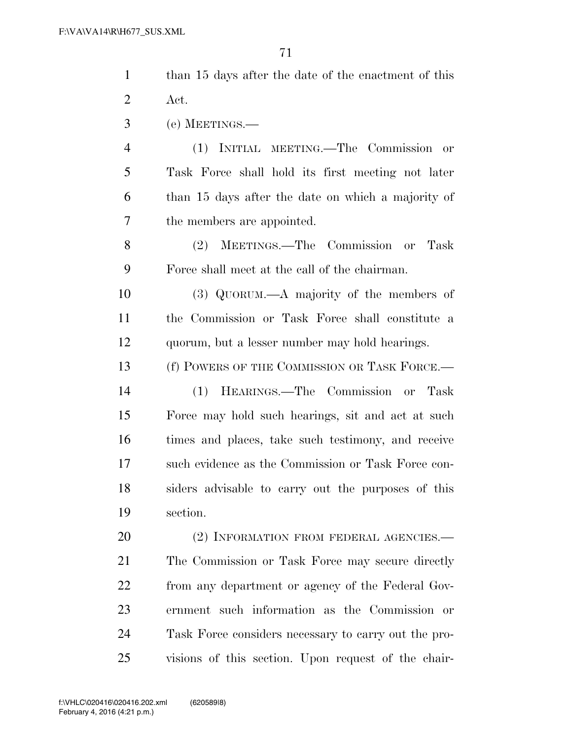| $\mathbf{1}$   | than 15 days after the date of the enactment of this |
|----------------|------------------------------------------------------|
| $\overline{2}$ | Act.                                                 |
| 3              | (e) MEETINGS.—                                       |
| $\overline{4}$ | (1) INITIAL MEETING.—The Commission<br>or            |
| 5              | Task Force shall hold its first meeting not later    |
| 6              | than 15 days after the date on which a majority of   |
| 7              | the members are appointed.                           |
| 8              | MEETINGS.—The Commission or Task<br>(2)              |
| 9              | Force shall meet at the call of the chairman.        |
| 10             | $(3)$ QUORUM.—A majority of the members of           |
| 11             | the Commission or Task Force shall constitute a      |
| 12             | quorum, but a lesser number may hold hearings.       |
| 13             | (f) POWERS OF THE COMMISSION OR TASK FORCE.—         |
| 14             | HEARINGS.—The Commission or Task<br>(1)              |
| 15             | Force may hold such hearings, sit and act at such    |
| 16             | times and places, take such testimony, and receive   |
| 17             | such evidence as the Commission or Task Force con-   |
| 18             | siders advisable to carry out the purposes of this   |
| 19             | section.                                             |
| 20             | (2) INFORMATION FROM FEDERAL AGENCIES.-              |
| 21             | The Commission or Task Force may secure directly     |
| 22             | from any department or agency of the Federal Gov-    |
| 23             | ernment such information as the Commission or        |
| 24             | Task Force considers necessary to carry out the pro- |
| 25             | visions of this section. Upon request of the chair-  |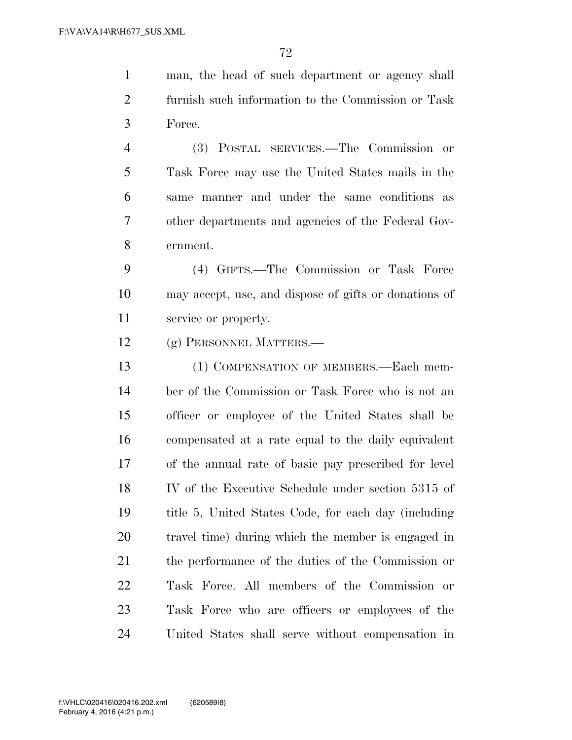man, the head of such department or agency shall furnish such information to the Commission or Task Force.

 (3) POSTAL SERVICES.—The Commission or Task Force may use the United States mails in the same manner and under the same conditions as other departments and agencies of the Federal Gov-ernment.

 (4) GIFTS.—The Commission or Task Force may accept, use, and dispose of gifts or donations of service or property.

(g) PERSONNEL MATTERS.—

 (1) COMPENSATION OF MEMBERS.—Each mem- ber of the Commission or Task Force who is not an officer or employee of the United States shall be compensated at a rate equal to the daily equivalent of the annual rate of basic pay prescribed for level IV of the Executive Schedule under section 5315 of title 5, United States Code, for each day (including travel time) during which the member is engaged in the performance of the duties of the Commission or Task Force. All members of the Commission or Task Force who are officers or employees of the United States shall serve without compensation in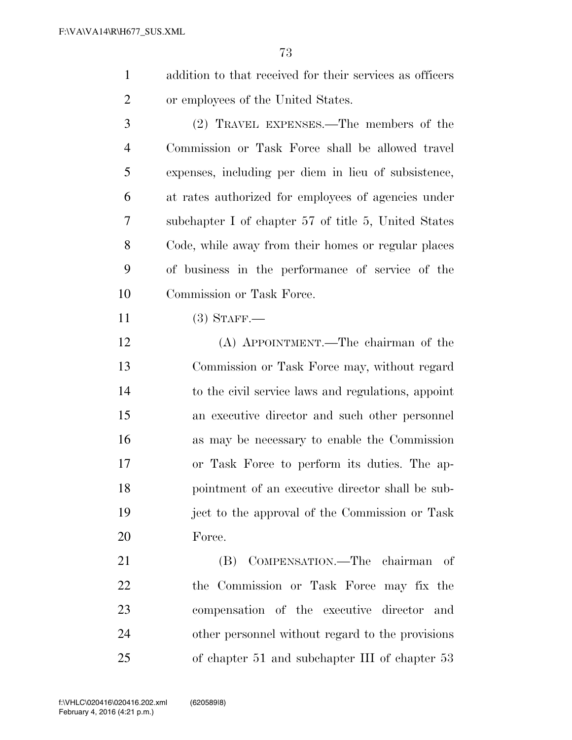- addition to that received for their services as officers or employees of the United States.
- (2) TRAVEL EXPENSES.—The members of the Commission or Task Force shall be allowed travel expenses, including per diem in lieu of subsistence, at rates authorized for employees of agencies under subchapter I of chapter 57 of title 5, United States Code, while away from their homes or regular places of business in the performance of service of the Commission or Task Force.
- (3) STAFF.—
- (A) APPOINTMENT.—The chairman of the Commission or Task Force may, without regard to the civil service laws and regulations, appoint an executive director and such other personnel as may be necessary to enable the Commission or Task Force to perform its duties. The ap- pointment of an executive director shall be sub- ject to the approval of the Commission or Task Force.
- (B) COMPENSATION.—The chairman of the Commission or Task Force may fix the compensation of the executive director and other personnel without regard to the provisions of chapter 51 and subchapter III of chapter 53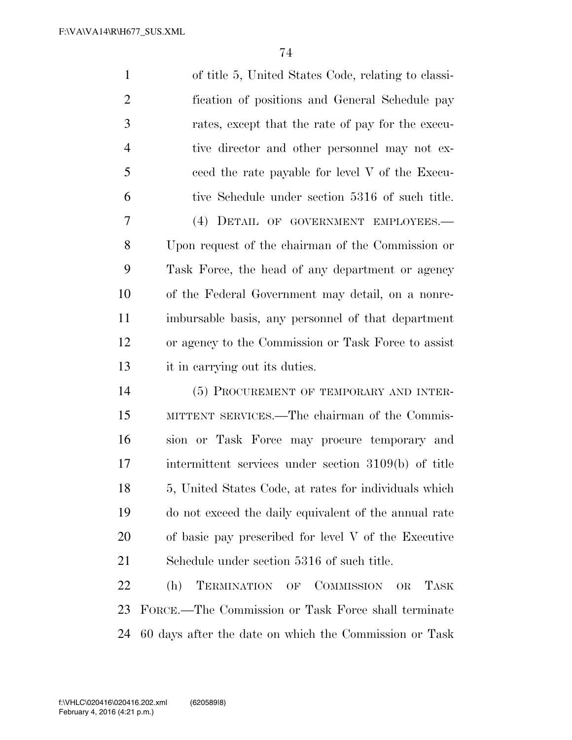| $\mathbf{1}$   | of title 5, United States Code, relating to classi-    |
|----------------|--------------------------------------------------------|
| $\overline{2}$ | fication of positions and General Schedule pay         |
| 3              | rates, except that the rate of pay for the execu-      |
| $\overline{4}$ | tive director and other personnel may not ex-          |
| 5              | ceed the rate payable for level V of the Execu-        |
| 6              | tive Schedule under section 5316 of such title.        |
| 7              | (4) DETAIL OF GOVERNMENT EMPLOYEES.-                   |
| 8              | Upon request of the chairman of the Commission or      |
| 9              | Task Force, the head of any department or agency       |
| 10             | of the Federal Government may detail, on a nonre-      |
| 11             | imbursable basis, any personnel of that department     |
| 12             | or agency to the Commission or Task Force to assist    |
| 13             | it in carrying out its duties.                         |
| 14             | (5) PROCUREMENT OF TEMPORARY AND INTER-                |
| 15             | MITTENT SERVICES.—The chairman of the Commis-          |
| 16             | sion or Task Force may procure temporary and           |
| 17             | intermittent services under section 3109(b) of title   |
| 18             | 5, United States Code, at rates for individuals which  |
| 19             | do not exceed the daily equivalent of the annual rate  |
| 20             | of basic pay prescribed for level $V$ of the Executive |
| 21             | Schedule under section 5316 of such title.             |
| 22             | TERMINATION OF COMMISSION<br>(h)<br>TASK<br>OR         |
| 23             | FORCE.—The Commission or Task Force shall terminate    |

60 days after the date on which the Commission or Task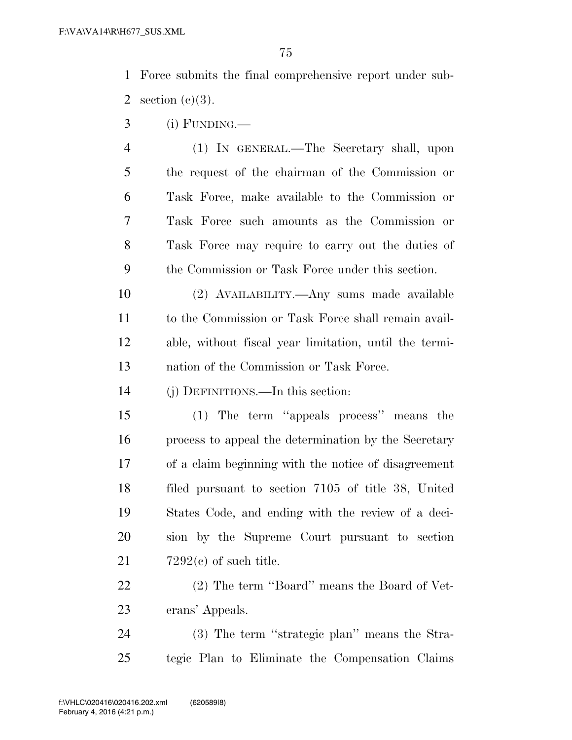Force submits the final comprehensive report under sub-2 section  $(e)(3)$ .

- (i) FUNDING.—
- (1) IN GENERAL.—The Secretary shall, upon the request of the chairman of the Commission or Task Force, make available to the Commission or Task Force such amounts as the Commission or Task Force may require to carry out the duties of the Commission or Task Force under this section.
- (2) AVAILABILITY.—Any sums made available to the Commission or Task Force shall remain avail- able, without fiscal year limitation, until the termi-nation of the Commission or Task Force.
- (j) DEFINITIONS.—In this section:
- (1) The term ''appeals process'' means the process to appeal the determination by the Secretary of a claim beginning with the notice of disagreement filed pursuant to section 7105 of title 38, United States Code, and ending with the review of a deci- sion by the Supreme Court pursuant to section  $21 \qquad \qquad 7292(c)$  of such title.
- (2) The term ''Board'' means the Board of Vet-erans' Appeals.
- 24 (3) The term "strategic plan" means the Stra-tegic Plan to Eliminate the Compensation Claims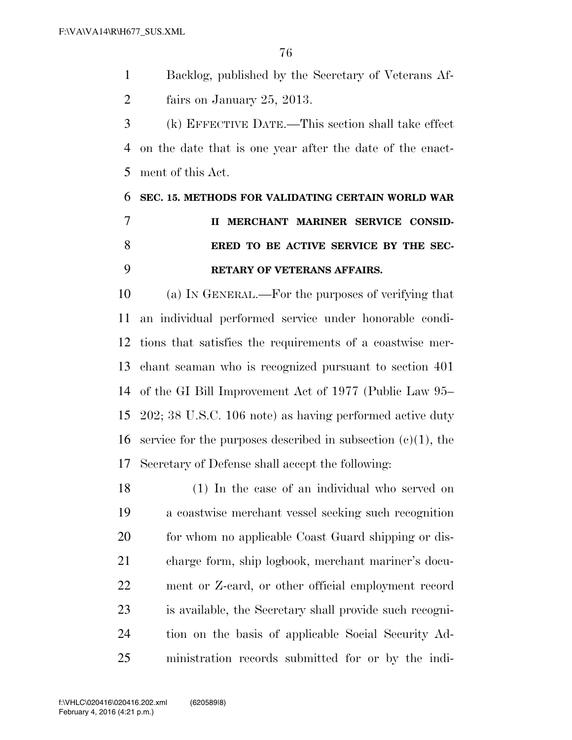Backlog, published by the Secretary of Veterans Af-fairs on January 25, 2013.

 (k) EFFECTIVE DATE.—This section shall take effect on the date that is one year after the date of the enact-ment of this Act.

## **SEC. 15. METHODS FOR VALIDATING CERTAIN WORLD WAR II MERCHANT MARINER SERVICE CONSID- ERED TO BE ACTIVE SERVICE BY THE SEC-RETARY OF VETERANS AFFAIRS.**

 (a) IN GENERAL.—For the purposes of verifying that an individual performed service under honorable condi- tions that satisfies the requirements of a coastwise mer- chant seaman who is recognized pursuant to section 401 of the GI Bill Improvement Act of 1977 (Public Law 95– 202; 38 U.S.C. 106 note) as having performed active duty 16 service for the purposes described in subsection  $(c)(1)$ , the Secretary of Defense shall accept the following:

 (1) In the case of an individual who served on a coastwise merchant vessel seeking such recognition 20 for whom no applicable Coast Guard shipping or dis- charge form, ship logbook, merchant mariner's docu- ment or Z-card, or other official employment record is available, the Secretary shall provide such recogni- tion on the basis of applicable Social Security Ad-ministration records submitted for or by the indi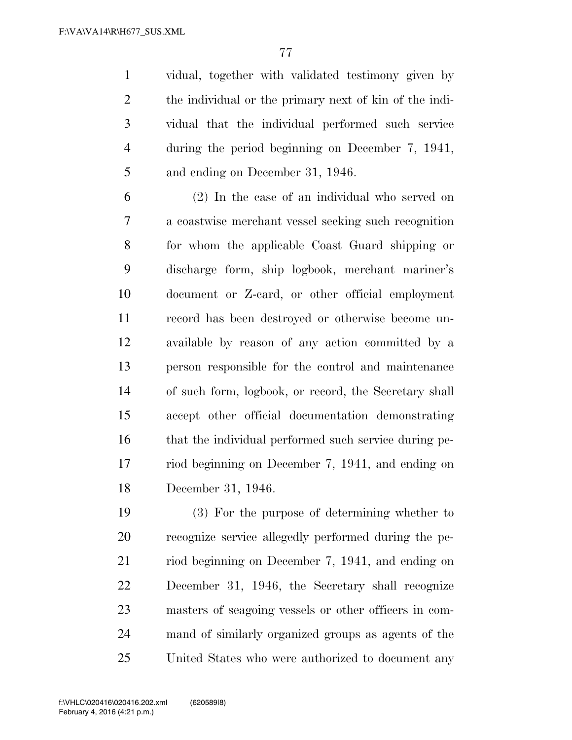vidual, together with validated testimony given by the individual or the primary next of kin of the indi- vidual that the individual performed such service during the period beginning on December 7, 1941, and ending on December 31, 1946.

 (2) In the case of an individual who served on a coastwise merchant vessel seeking such recognition for whom the applicable Coast Guard shipping or discharge form, ship logbook, merchant mariner's document or Z-card, or other official employment record has been destroyed or otherwise become un- available by reason of any action committed by a person responsible for the control and maintenance of such form, logbook, or record, the Secretary shall accept other official documentation demonstrating that the individual performed such service during pe- riod beginning on December 7, 1941, and ending on December 31, 1946.

 (3) For the purpose of determining whether to recognize service allegedly performed during the pe- riod beginning on December 7, 1941, and ending on December 31, 1946, the Secretary shall recognize masters of seagoing vessels or other officers in com- mand of similarly organized groups as agents of the United States who were authorized to document any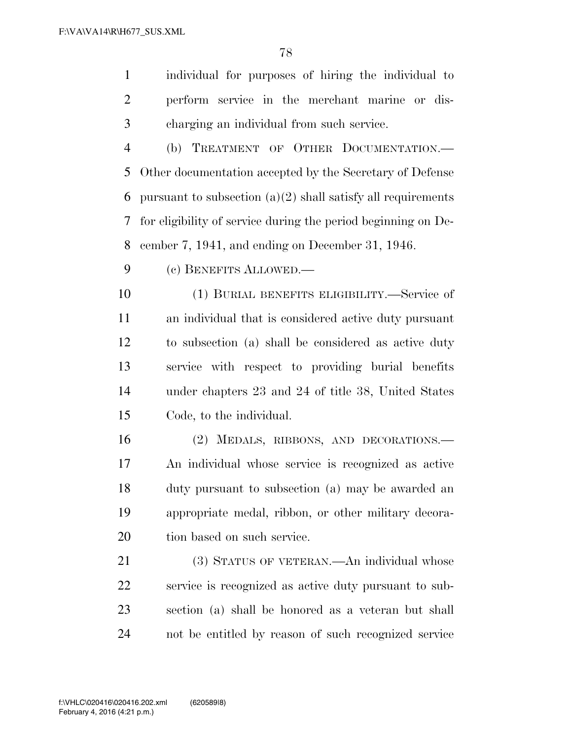individual for purposes of hiring the individual to perform service in the merchant marine or dis-charging an individual from such service.

 (b) TREATMENT OF OTHER DOCUMENTATION.— Other documentation accepted by the Secretary of Defense 6 pursuant to subsection  $(a)(2)$  shall satisfy all requirements for eligibility of service during the period beginning on De-cember 7, 1941, and ending on December 31, 1946.

(c) BENEFITS ALLOWED.—

 (1) BURIAL BENEFITS ELIGIBILITY.—Service of an individual that is considered active duty pursuant to subsection (a) shall be considered as active duty service with respect to providing burial benefits under chapters 23 and 24 of title 38, United States Code, to the individual.

 (2) MEDALS, RIBBONS, AND DECORATIONS.— An individual whose service is recognized as active duty pursuant to subsection (a) may be awarded an appropriate medal, ribbon, or other military decora-tion based on such service.

 (3) STATUS OF VETERAN.—An individual whose service is recognized as active duty pursuant to sub- section (a) shall be honored as a veteran but shall not be entitled by reason of such recognized service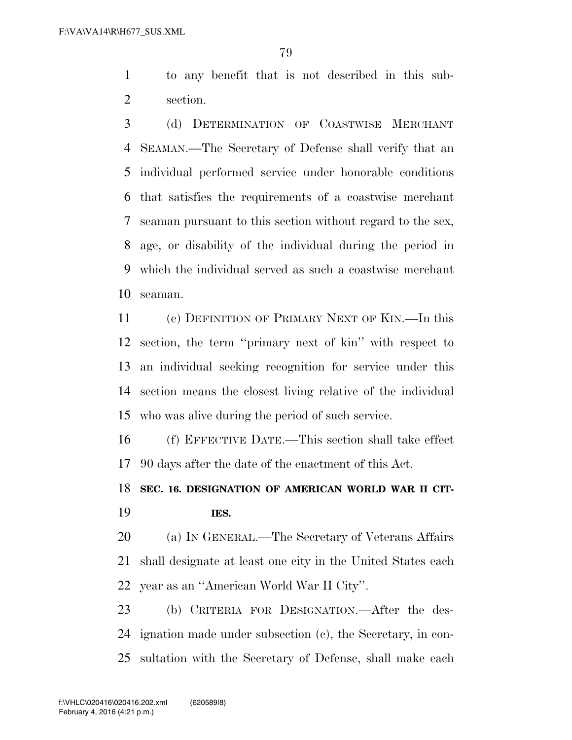to any benefit that is not described in this sub-section.

 (d) DETERMINATION OF COASTWISE MERCHANT SEAMAN.—The Secretary of Defense shall verify that an individual performed service under honorable conditions that satisfies the requirements of a coastwise merchant seaman pursuant to this section without regard to the sex, age, or disability of the individual during the period in which the individual served as such a coastwise merchant seaman.

 (e) DEFINITION OF PRIMARY NEXT OF KIN.—In this section, the term ''primary next of kin'' with respect to an individual seeking recognition for service under this section means the closest living relative of the individual who was alive during the period of such service.

 (f) EFFECTIVE DATE.—This section shall take effect 90 days after the date of the enactment of this Act.

## **SEC. 16. DESIGNATION OF AMERICAN WORLD WAR II CIT-IES.**

 (a) IN GENERAL.—The Secretary of Veterans Affairs shall designate at least one city in the United States each year as an ''American World War II City''.

 (b) CRITERIA FOR DESIGNATION.—After the des- ignation made under subsection (c), the Secretary, in con-sultation with the Secretary of Defense, shall make each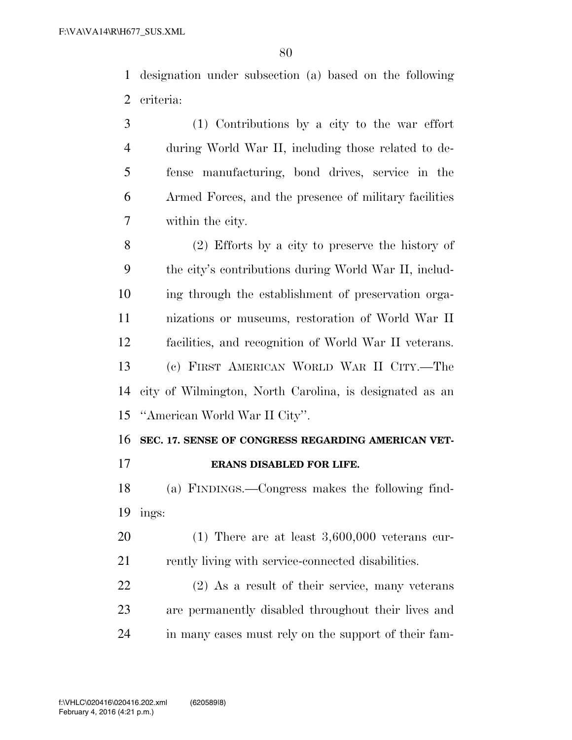designation under subsection (a) based on the following criteria:

 (1) Contributions by a city to the war effort during World War II, including those related to de- fense manufacturing, bond drives, service in the Armed Forces, and the presence of military facilities within the city.

 (2) Efforts by a city to preserve the history of the city's contributions during World War II, includ- ing through the establishment of preservation orga- nizations or museums, restoration of World War II facilities, and recognition of World War II veterans. (c) FIRST AMERICAN WORLD WAR II CITY.—The city of Wilmington, North Carolina, is designated as an ''American World War II City''.

## **SEC. 17. SENSE OF CONGRESS REGARDING AMERICAN VET-**

## **ERANS DISABLED FOR LIFE.**

 (a) FINDINGS.—Congress makes the following find-ings:

 (1) There are at least 3,600,000 veterans cur-21 rently living with service-connected disabilities.

 (2) As a result of their service, many veterans are permanently disabled throughout their lives and in many cases must rely on the support of their fam-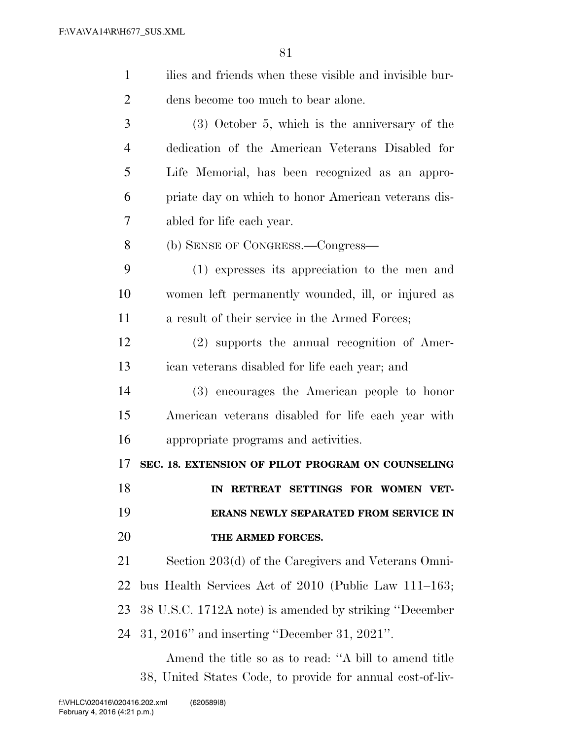| $\mathbf{1}$   | ilies and friends when these visible and invisible bur- |
|----------------|---------------------------------------------------------|
| $\overline{2}$ | dens become too much to bear alone.                     |
| 3              | $(3)$ October 5, which is the anniversary of the        |
| 4              | dedication of the American Veterans Disabled for        |
| 5              | Life Memorial, has been recognized as an appro-         |
| 6              | priate day on which to honor American veterans dis-     |
| 7              | abled for life each year.                               |
| 8              | (b) SENSE OF CONGRESS.—Congress—                        |
| 9              | (1) expresses its appreciation to the men and           |
| 10             | women left permanently wounded, ill, or injured as      |
| 11             | a result of their service in the Armed Forces;          |
| 12             | (2) supports the annual recognition of Amer-            |
| 13             | ican veterans disabled for life each year; and          |
| 14             | (3) encourages the American people to honor             |
| 15             | American veterans disabled for life each year with      |
| 16             | appropriate programs and activities.                    |
| 17             | SEC. 18. EXTENSION OF PILOT PROGRAM ON COUNSELING       |
| 18             | IN RETREAT SETTINGS FOR WOMEN VET-                      |
| 19             | ERANS NEWLY SEPARATED FROM SERVICE IN                   |
| 20             | THE ARMED FORCES.                                       |
| 21             | Section 203(d) of the Caregivers and Veterans Omni-     |
| 22             | bus Health Services Act of 2010 (Public Law 111–163;    |
| 23             | 38 U.S.C. 1712A note) is amended by striking "December" |
| 24             | $31, 2016$ " and inserting "December 31, 2021".         |
|                |                                                         |

Amend the title so as to read: ''A bill to amend title 38, United States Code, to provide for annual cost-of-liv